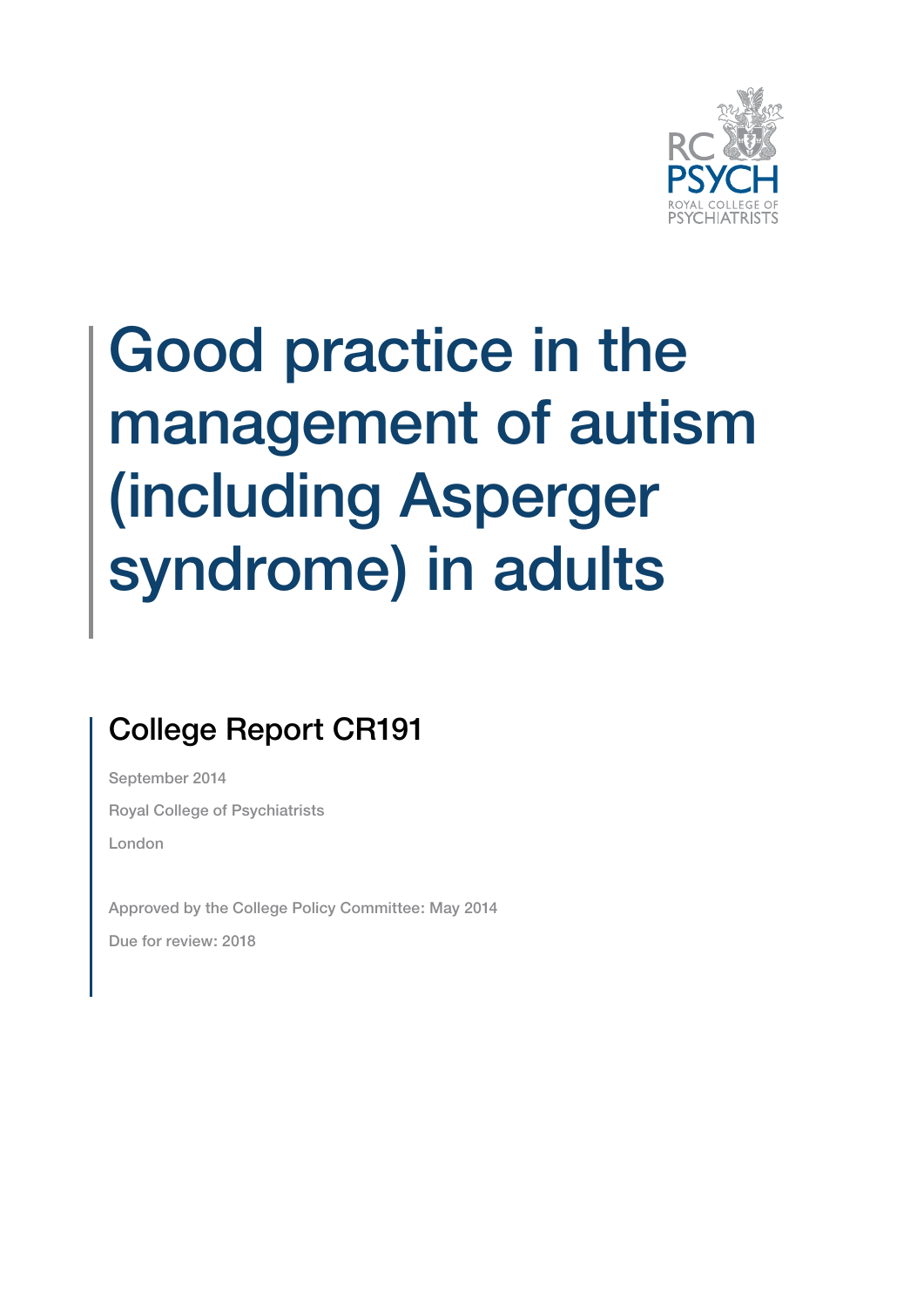

## Good practice in the management of autism (including Asperger syndrome) in adults

## College Report CR191

September 2014 Royal College of Psychiatrists London

Approved by the College Policy Committee: May 2014 Due for review: 2018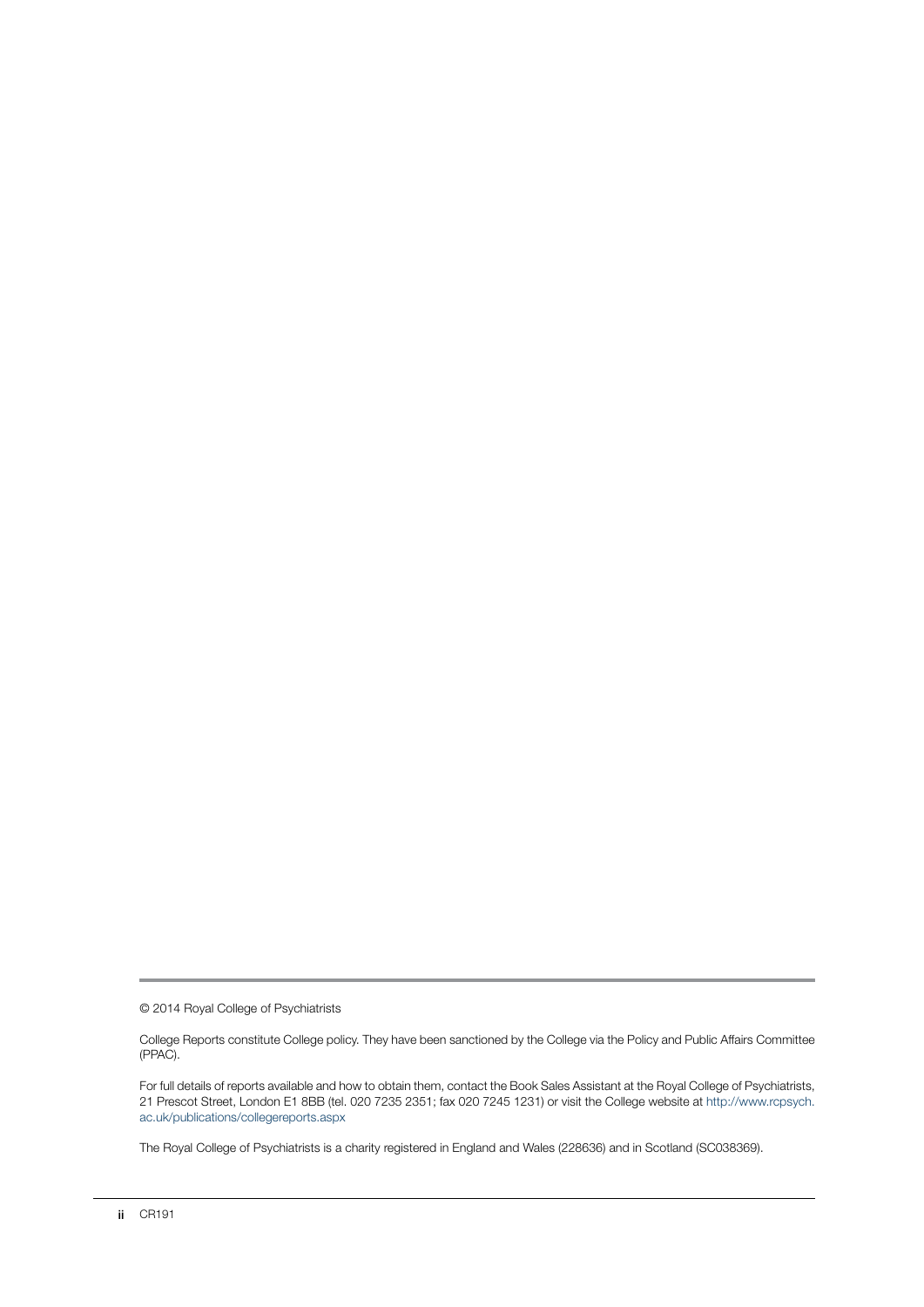© 2014 Royal College of Psychiatrists

College Reports constitute College policy. They have been sanctioned by the College via the Policy and Public Affairs Committee (PPAC).

For full details of reports available and how to obtain them, contact the Book Sales Assistant at the Royal College of Psychiatrists, 21 Prescot Street, London E1 8BB (tel. 020 7235 2351; fax 020 7245 1231) or visit the College website at http://www.rcpsych. ac.uk/publications/collegereports.aspx

The Royal College of Psychiatrists is a charity registered in England and Wales (228636) and in Scotland (SC038369).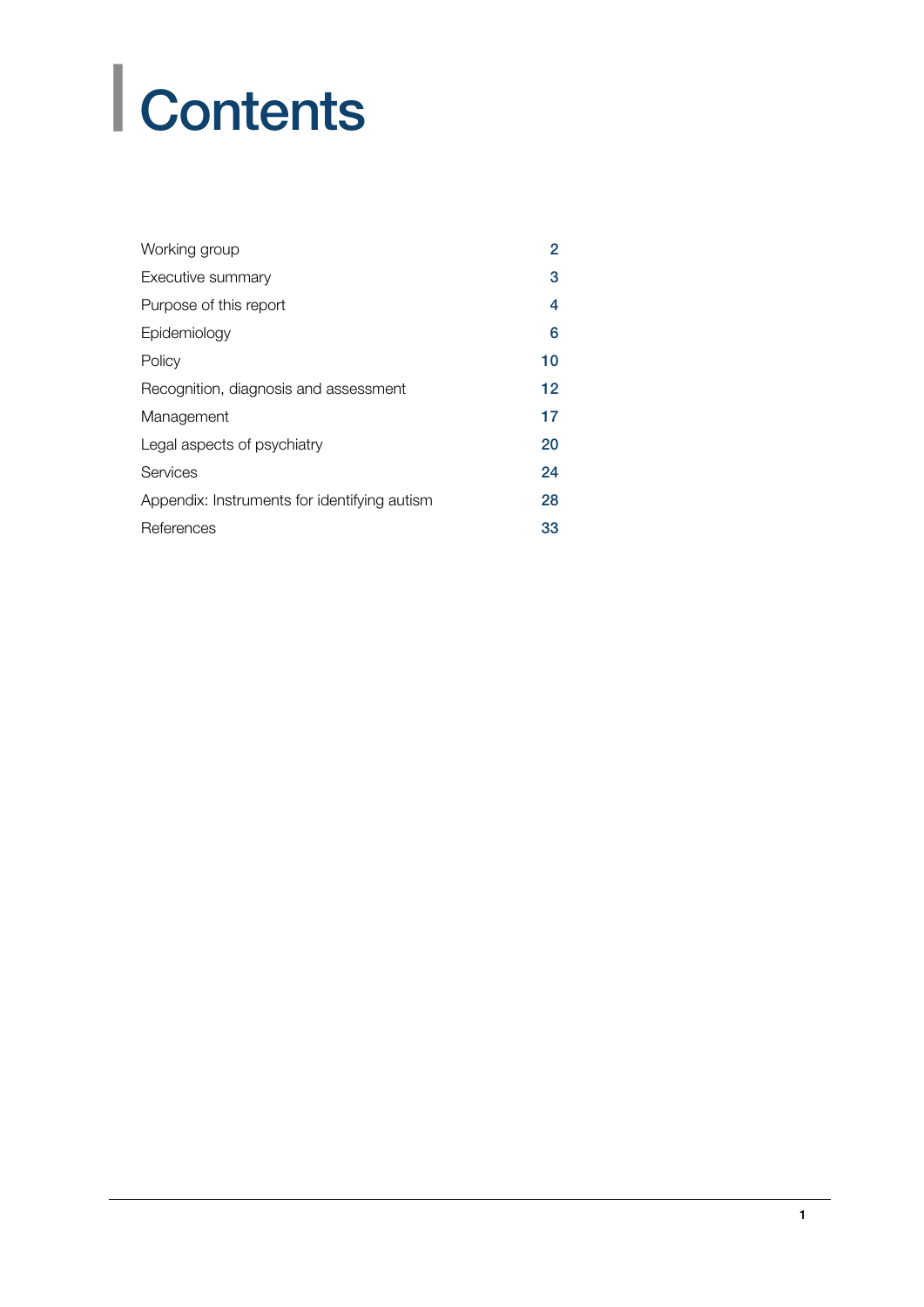# | Contents

| Working group                                | 2  |
|----------------------------------------------|----|
| Executive summary                            | 3  |
| Purpose of this report                       | 4  |
| Epidemiology                                 | 6  |
| Policy                                       | 10 |
| Recognition, diagnosis and assessment        | 12 |
| Management                                   | 17 |
| Legal aspects of psychiatry                  | 20 |
| Services                                     | 24 |
| Appendix: Instruments for identifying autism | 28 |
| References                                   | 33 |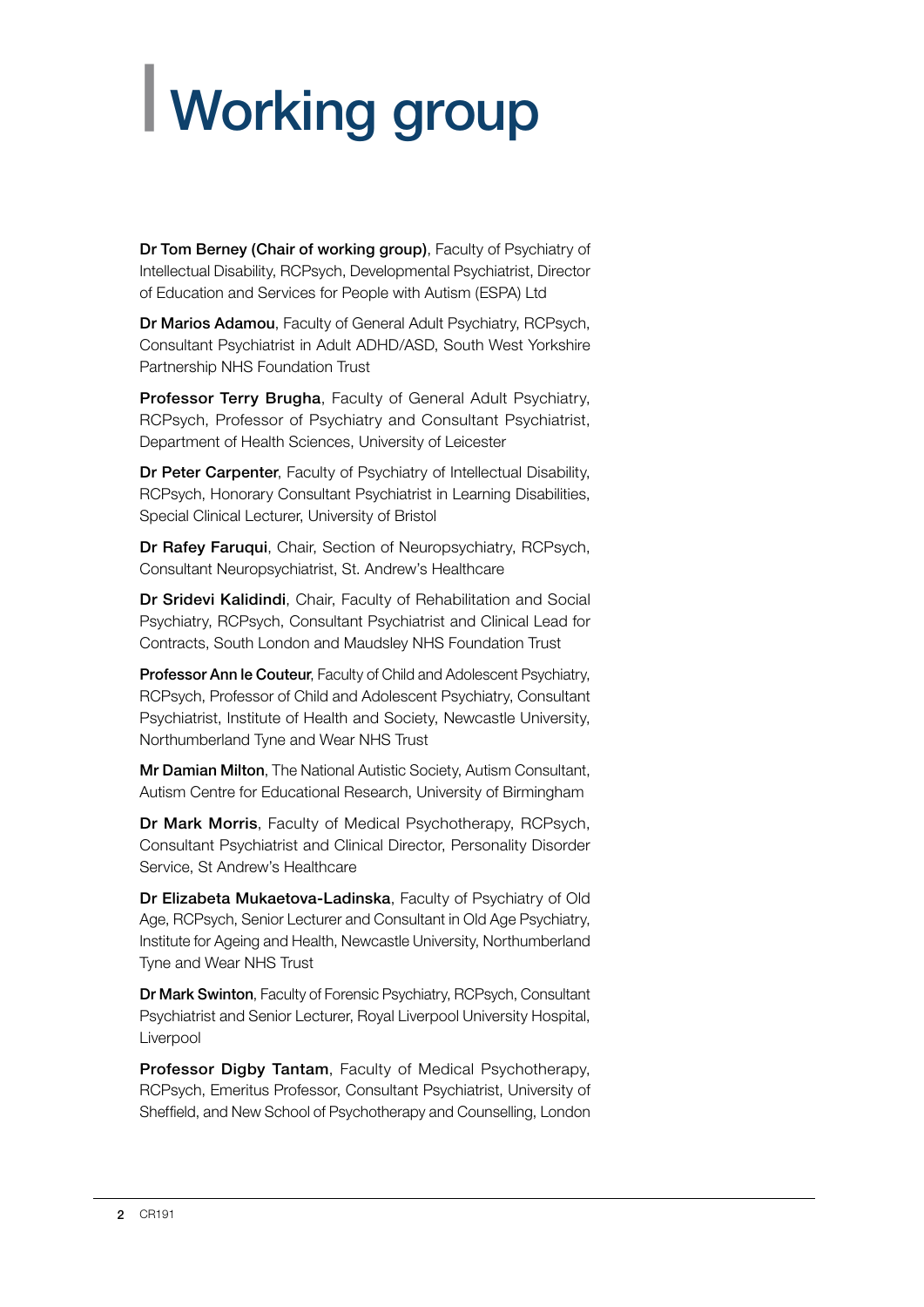# <span id="page-3-0"></span>| Working group

Dr Tom Berney (Chair of working group), Faculty of Psychiatry of Intellectual Disability, RCPsych, Developmental Psychiatrist, Director of Education and Services for People with Autism (ESPA) Ltd

Dr Marios Adamou, Faculty of General Adult Psychiatry, RCPsych, Consultant Psychiatrist in Adult ADHD/ASD, South West Yorkshire Partnership NHS Foundation Trust

Professor Terry Brugha, Faculty of General Adult Psychiatry, RCPsych, Professor of Psychiatry and Consultant Psychiatrist, Department of Health Sciences, University of Leicester

Dr Peter Carpenter, Faculty of Psychiatry of Intellectual Disability, RCPsych, Honorary Consultant Psychiatrist in Learning Disabilities, Special Clinical Lecturer, University of Bristol

Dr Rafey Faruqui, Chair, Section of Neuropsychiatry, RCPsych, Consultant Neuropsychiatrist, St. Andrew's Healthcare

Dr Sridevi Kalidindi, Chair, Faculty of Rehabilitation and Social Psychiatry, RCPsych, Consultant Psychiatrist and Clinical Lead for Contracts, South London and Maudsley NHS Foundation Trust

Professor Ann le Couteur, Faculty of Child and Adolescent Psychiatry, RCPsych, Professor of Child and Adolescent Psychiatry, Consultant Psychiatrist, Institute of Health and Society, Newcastle University, Northumberland Tyne and Wear NHS Trust

Mr Damian Milton, The National Autistic Society, Autism Consultant, Autism Centre for Educational Research, University of Birmingham

Dr Mark Morris, Faculty of Medical Psychotherapy, RCPsych, Consultant Psychiatrist and Clinical Director, Personality Disorder Service, St Andrew's Healthcare

Dr Elizabeta Mukaetova-Ladinska, Faculty of Psychiatry of Old Age, RCPsych, Senior Lecturer and Consultant in Old Age Psychiatry, Institute for Ageing and Health, Newcastle University, Northumberland Tyne and Wear NHS Trust

Dr Mark Swinton, Faculty of Forensic Psychiatry, RCPsych, Consultant Psychiatrist and Senior Lecturer, Royal Liverpool University Hospital, Liverpool

Professor Digby Tantam, Faculty of Medical Psychotherapy, RCPsych, Emeritus Professor, Consultant Psychiatrist, University of Sheffield, and New School of Psychotherapy and Counselling, London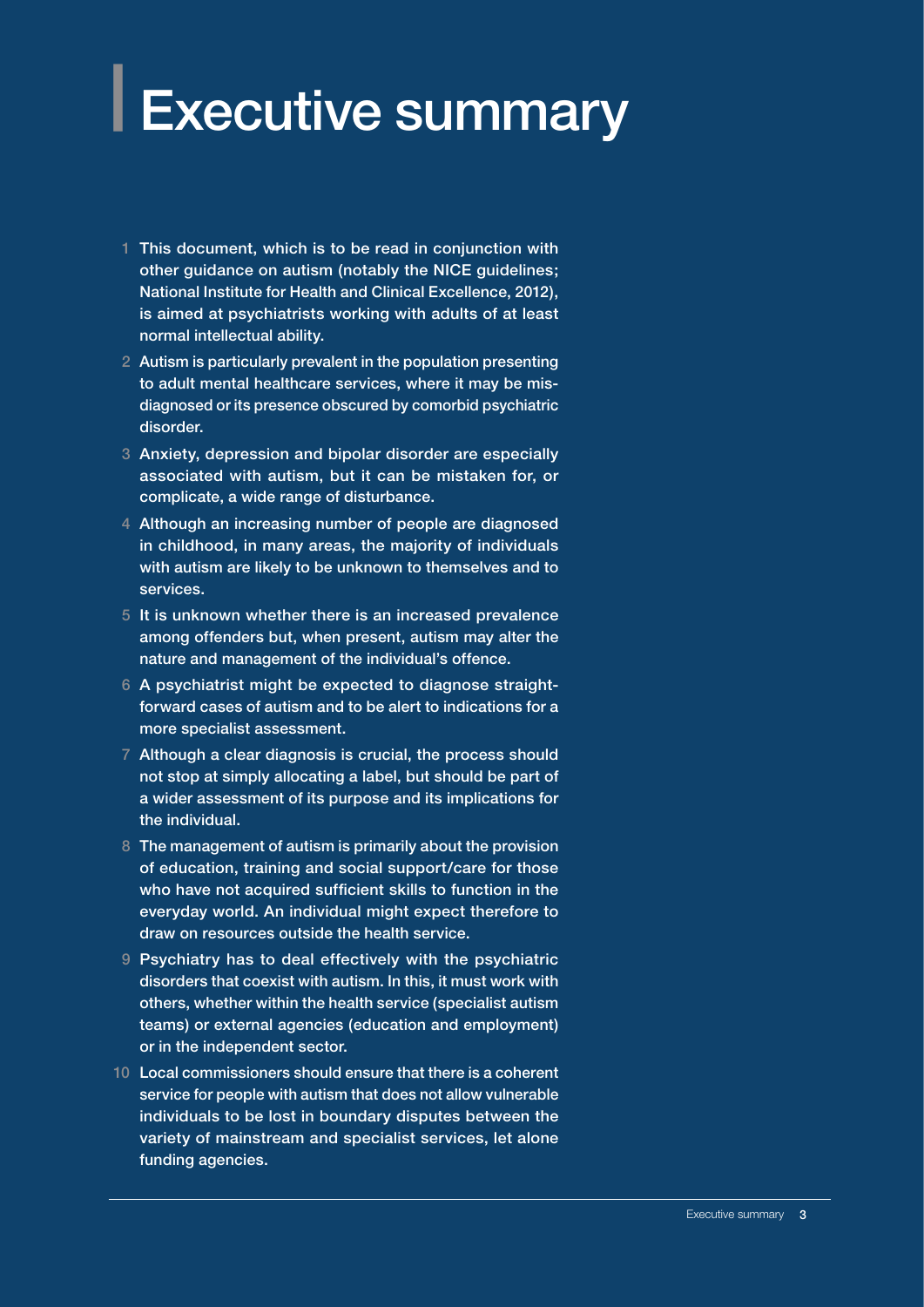## <span id="page-4-0"></span>**Executive summary**

- 1 This document, which is to be read in conjunction with other guidance on autism (notably the NICE guidelines; National Institute for Health and Clinical Excellence, 2012), is aimed at psychiatrists working with adults of at least normal intellectual ability.
- 2 Autism is particularly prevalent in the population presenting to adult mental healthcare services, where it may be misdiagnosed or its presence obscured by comorbid psychiatric disorder.
- 3 Anxiety, depression and bipolar disorder are especially associated with autism, but it can be mistaken for, or complicate, a wide range of disturbance.
- 4 Although an increasing number of people are diagnosed in childhood, in many areas, the majority of individuals with autism are likely to be unknown to themselves and to services.
- 5 It is unknown whether there is an increased prevalence among offenders but, when present, autism may alter the nature and management of the individual's offence.
- 6 A psychiatrist might be expected to diagnose straightforward cases of autism and to be alert to indications for a more specialist assessment.
- 7 Although a clear diagnosis is crucial, the process should not stop at simply allocating a label, but should be part of a wider assessment of its purpose and its implications for the individual.
- 8 The management of autism is primarily about the provision of education, training and social support/care for those who have not acquired sufficient skills to function in the everyday world. An individual might expect therefore to draw on resources outside the health service.
- 9 Psychiatry has to deal effectively with the psychiatric disorders that coexist with autism. In this, it must work with others, whether within the health service (specialist autism teams) or external agencies (education and employment) or in the independent sector.
- 10 Local commissioners should ensure that there is a coherent service for people with autism that does not allow vulnerable individuals to be lost in boundary disputes between the variety of mainstream and specialist services, let alone funding agencies.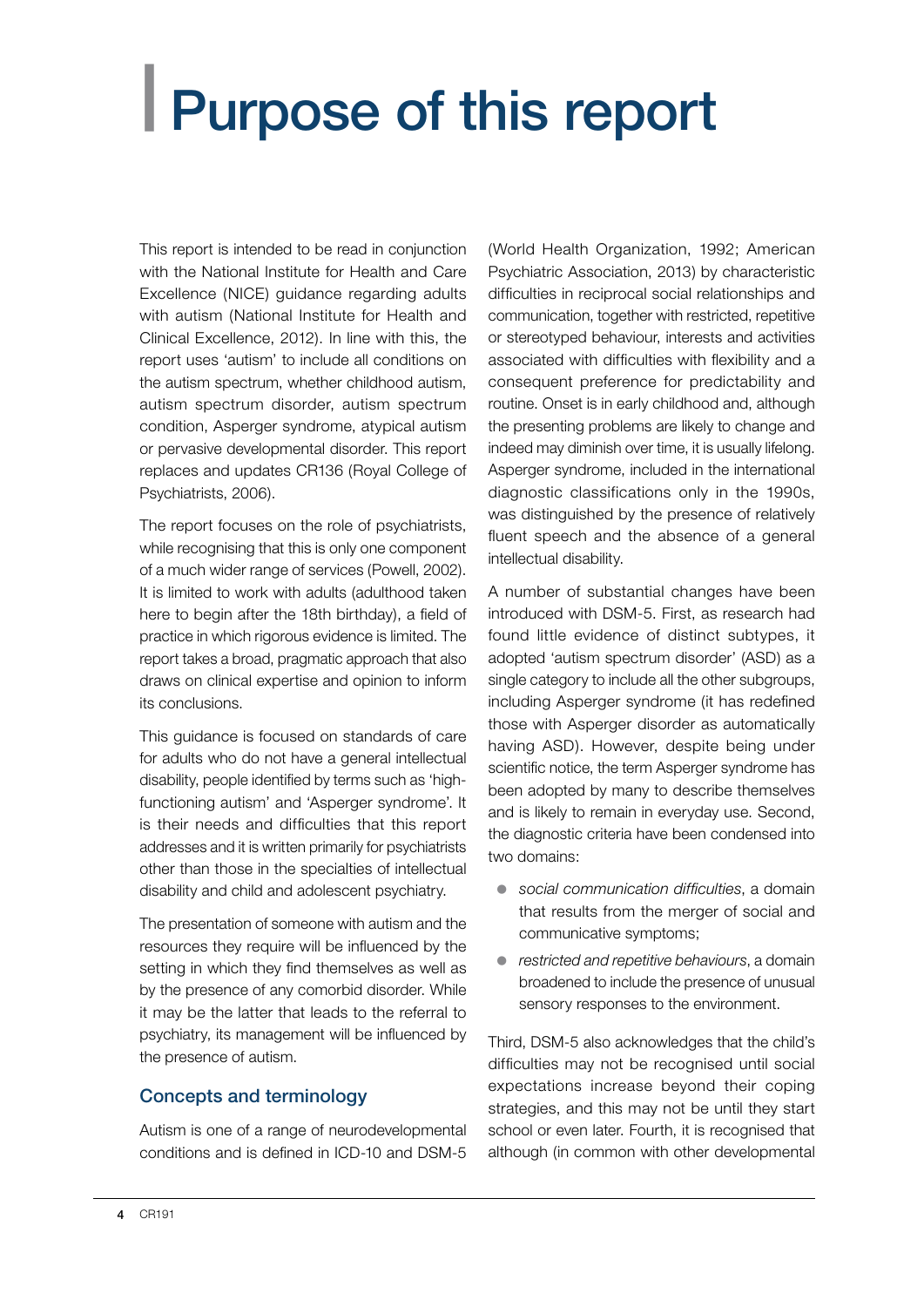## <span id="page-5-0"></span>| Purpose of this report

This report is intended to be read in conjunction with the National Institute for Health and Care Excellence (NICE) guidance regarding adults with autism (National Institute for Health and Clinical Excellence, 2012). In line with this, the report uses 'autism' to include all conditions on the autism spectrum, whether childhood autism, autism spectrum disorder, autism spectrum condition, Asperger syndrome, atypical autism or pervasive developmental disorder. This report replaces and updates CR136 (Royal College of Psychiatrists, 2006).

The report focuses on the role of psychiatrists, while recognising that this is only one component of a much wider range of services (Powell, 2002). It is limited to work with adults (adulthood taken here to begin after the 18th birthday), a field of practice in which rigorous evidence is limited. The report takes a broad, pragmatic approach that also draws on clinical expertise and opinion to inform its conclusions.

This guidance is focused on standards of care for adults who do not have a general intellectual disability, people identified by terms such as 'highfunctioning autism' and 'Asperger syndrome'. It is their needs and difficulties that this report addresses and it is written primarily for psychiatrists other than those in the specialties of intellectual disability and child and adolescent psychiatry.

The presentation of someone with autism and the resources they require will be influenced by the setting in which they find themselves as well as by the presence of any comorbid disorder. While it may be the latter that leads to the referral to psychiatry, its management will be influenced by the presence of autism.

#### Concepts and terminology

Autism is one of a range of neurodevelopmental conditions and is defined in ICD-10 and DSM-5

(World Health Organization, 1992; American Psychiatric Association, 2013) by characteristic difficulties in reciprocal social relationships and communication, together with restricted, repetitive or stereotyped behaviour, interests and activities associated with difficulties with flexibility and a consequent preference for predictability and routine. Onset is in early childhood and, although the presenting problems are likely to change and indeed may diminish over time, it is usually lifelong. Asperger syndrome, included in the international diagnostic classifications only in the 1990s, was distinguished by the presence of relatively fluent speech and the absence of a general intellectual disability.

A number of substantial changes have been introduced with DSM-5. First, as research had found little evidence of distinct subtypes, it adopted 'autism spectrum disorder' (ASD) as a single category to include all the other subgroups, including Asperger syndrome (it has redefined those with Asperger disorder as automatically having ASD). However, despite being under scientific notice, the term Asperger syndrome has been adopted by many to describe themselves and is likely to remain in everyday use. Second, the diagnostic criteria have been condensed into two domains:

- **•** social communication difficulties, a domain that results from the merger of social and communicative symptoms;
- **•** *restricted and repetitive behaviours*, a domain broadened to include the presence of unusual sensory responses to the environment.

Third, DSM-5 also acknowledges that the child's difficulties may not be recognised until social expectations increase beyond their coping strategies, and this may not be until they start school or even later. Fourth, it is recognised that although (in common with other developmental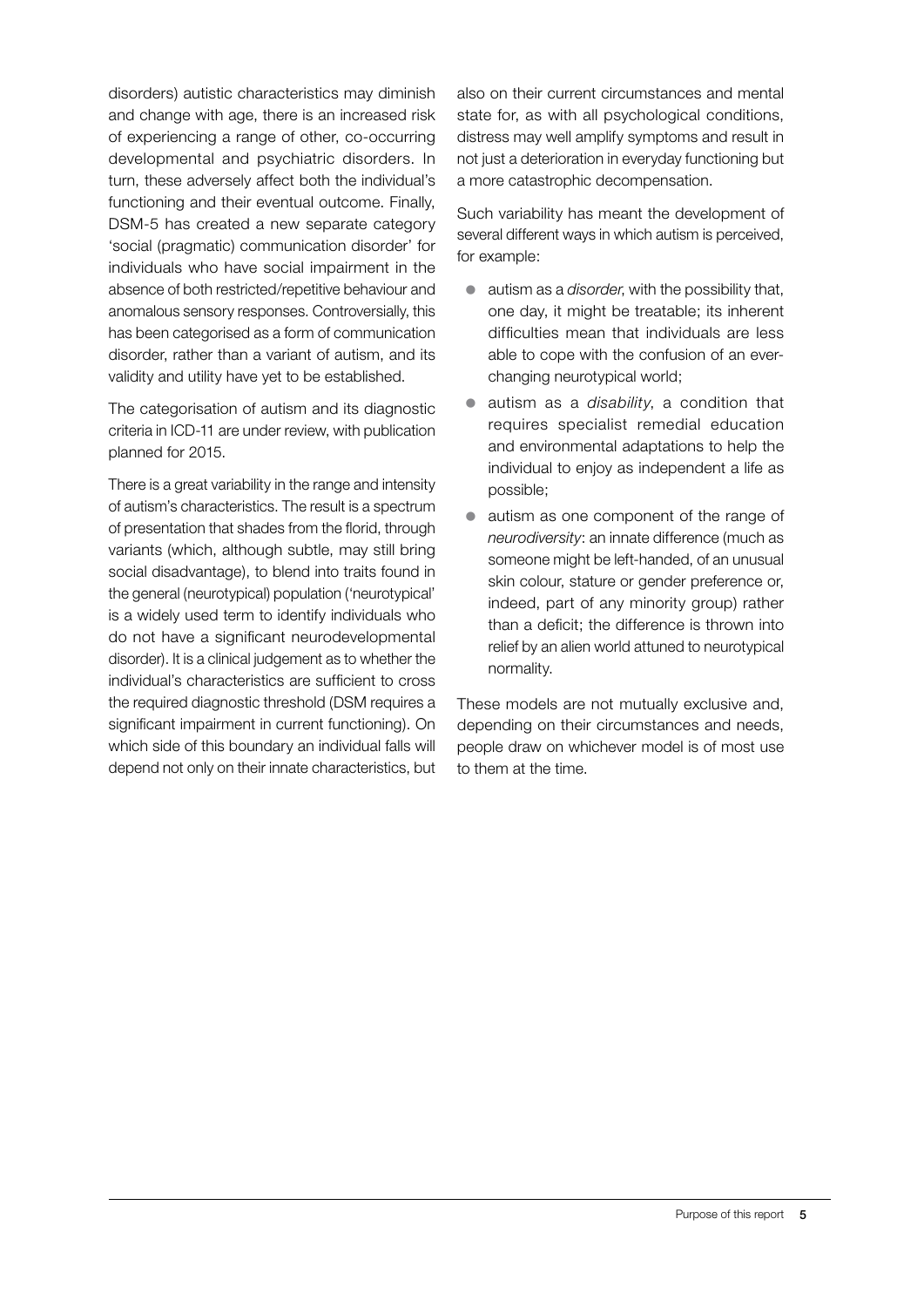disorders) autistic characteristics may diminish and change with age, there is an increased risk of experiencing a range of other, co-occurring developmental and psychiatric disorders. In turn, these adversely affect both the individual's functioning and their eventual outcome. Finally, DSM-5 has created a new separate category 'social (pragmatic) communication disorder' for individuals who have social impairment in the absence of both restricted/repetitive behaviour and anomalous sensory responses. Controversially, this has been categorised as a form of communication disorder, rather than a variant of autism, and its validity and utility have yet to be established.

The categorisation of autism and its diagnostic criteria in ICD-11 are under review, with publication planned for 2015.

There is a great variability in the range and intensity of autism's characteristics. The result is a spectrum of presentation that shades from the florid, through variants (which, although subtle, may still bring social disadvantage), to blend into traits found in the general (neurotypical) population ('neurotypical' is a widely used term to identify individuals who do not have a significant neurodevelopmental disorder). It is a clinical judgement as to whether the individual's characteristics are sufficient to cross the required diagnostic threshold (DSM requires a significant impairment in current functioning). On which side of this boundary an individual falls will depend not only on their innate characteristics, but

also on their current circumstances and mental state for, as with all psychological conditions, distress may well amplify symptoms and result in not just a deterioration in everyday functioning but a more catastrophic decompensation.

Such variability has meant the development of several different ways in which autism is perceived, for example:

- autism as a *disorder*, with the possibility that, one day, it might be treatable; its inherent difficulties mean that individuals are less able to cope with the confusion of an everchanging neurotypical world;
- z autism as a *disability*, a condition that requires specialist remedial education and environmental adaptations to help the individual to enjoy as independent a life as possible;
- $\bullet$  autism as one component of the range of *neurodiversity*: an innate difference (much as someone might be left-handed, of an unusual skin colour, stature or gender preference or, indeed, part of any minority group) rather than a deficit; the difference is thrown into relief by an alien world attuned to neurotypical normality.

These models are not mutually exclusive and, depending on their circumstances and needs, people draw on whichever model is of most use to them at the time.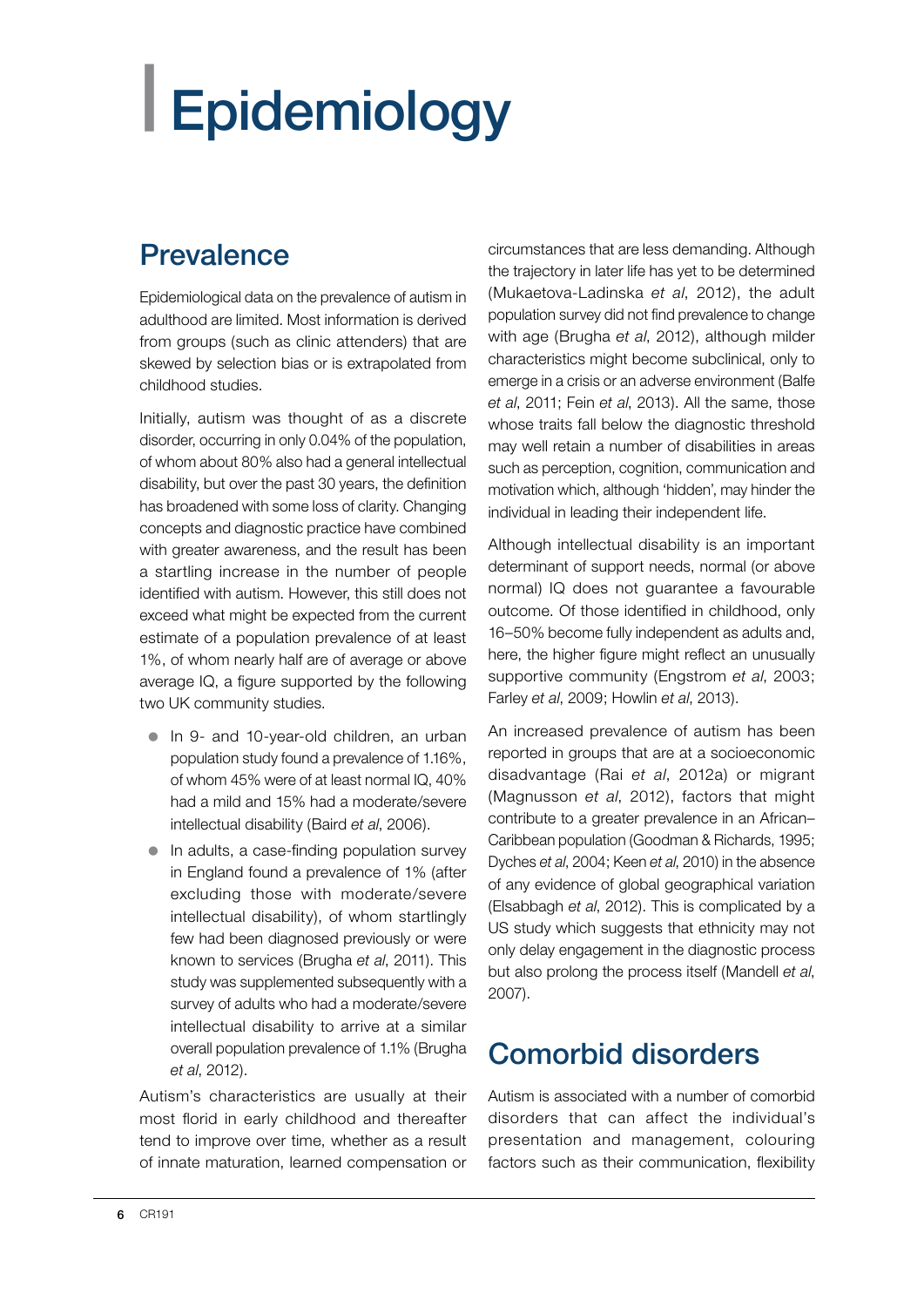# <span id="page-7-0"></span>| Epidemiology

## **Prevalence**

Epidemiological data on the prevalence of autism in adulthood are limited. Most information is derived from groups (such as clinic attenders) that are skewed by selection bias or is extrapolated from childhood studies.

Initially, autism was thought of as a discrete disorder, occurring in only 0.04% of the population, of whom about 80% also had a general intellectual disability, but over the past 30 years, the definition has broadened with some loss of clarity. Changing concepts and diagnostic practice have combined with greater awareness, and the result has been a startling increase in the number of people identified with autism. However, this still does not exceed what might be expected from the current estimate of a population prevalence of at least 1%, of whom nearly half are of average or above average IQ, a figure supported by the following two UK community studies.

- In 9- and 10-year-old children, an urban population study found a prevalence of 1.16%, of whom 45% were of at least normal IQ, 40% had a mild and 15% had a moderate/severe intellectual disability (Baird *et al*, 2006).
- In adults, a case-finding population survey in England found a prevalence of 1% (after excluding those with moderate/severe intellectual disability), of whom startlingly few had been diagnosed previously or were known to services (Brugha *et al*, 2011). This study was supplemented subsequently with a survey of adults who had a moderate/severe intellectual disability to arrive at a similar overall population prevalence of 1.1% (Brugha *et al*, 2012).

Autism's characteristics are usually at their most florid in early childhood and thereafter tend to improve over time, whether as a result of innate maturation, learned compensation or

circumstances that are less demanding. Although the trajectory in later life has yet to be determined (Mukaetova-Ladinska *et al*, 2012), the adult population survey did not find prevalence to change with age (Brugha *et al*, 2012), although milder characteristics might become subclinical, only to emerge in a crisis or an adverse environment (Balfe *et al*, 2011; Fein *et al*, 2013). All the same, those whose traits fall below the diagnostic threshold may well retain a number of disabilities in areas such as perception, cognition, communication and motivation which, although 'hidden', may hinder the individual in leading their independent life.

Although intellectual disability is an important determinant of support needs, normal (or above normal) IQ does not guarantee a favourable outcome. Of those identified in childhood, only 16–50% become fully independent as adults and, here, the higher figure might reflect an unusually supportive community (Engstrom *et al*, 2003; Farley *et al*, 2009; Howlin *et al*, 2013).

An increased prevalence of autism has been reported in groups that are at a socioeconomic disadvantage (Rai *et al*, 2012a) or migrant (Magnusson *et al*, 2012), factors that might contribute to a greater prevalence in an African– Caribbean population (Goodman & Richards, 1995; Dyches *et al*, 2004; Keen *et al*, 2010) in the absence of any evidence of global geographical variation (Elsabbagh *et al*, 2012). This is complicated by a US study which suggests that ethnicity may not only delay engagement in the diagnostic process but also prolong the process itself (Mandell *et al*, 2007).

## Comorbid disorders

Autism is associated with a number of comorbid disorders that can affect the individual's presentation and management, colouring factors such as their communication, flexibility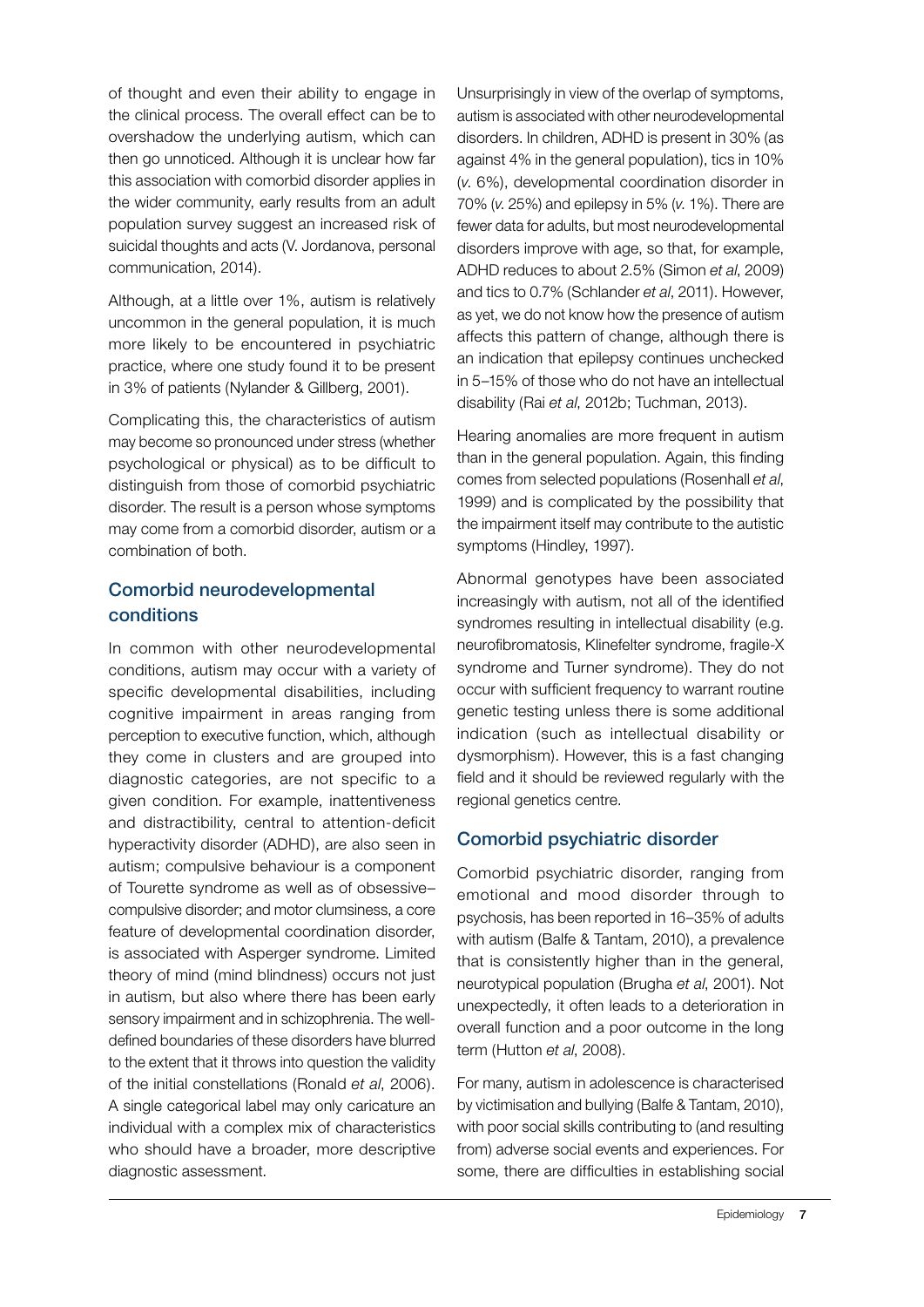of thought and even their ability to engage in the clinical process. The overall effect can be to overshadow the underlying autism, which can then go unnoticed. Although it is unclear how far this association with comorbid disorder applies in the wider community, early results from an adult population survey suggest an increased risk of suicidal thoughts and acts (V. Jordanova, personal communication, 2014).

Although, at a little over 1%, autism is relatively uncommon in the general population, it is much more likely to be encountered in psychiatric practice, where one study found it to be present in 3% of patients (Nylander & Gillberg, 2001).

Complicating this, the characteristics of autism may become so pronounced under stress (whether psychological or physical) as to be difficult to distinguish from those of comorbid psychiatric disorder. The result is a person whose symptoms may come from a comorbid disorder, autism or a combination of both.

#### Comorbid neurodevelopmental conditions

In common with other neurodevelopmental conditions, autism may occur with a variety of specific developmental disabilities, including cognitive impairment in areas ranging from perception to executive function, which, although they come in clusters and are grouped into diagnostic categories, are not specific to a given condition. For example, inattentiveness and distractibility, central to attention-deficit hyperactivity disorder (ADHD), are also seen in autism; compulsive behaviour is a component of Tourette syndrome as well as of obsessive– compulsive disorder; and motor clumsiness, a core feature of developmental coordination disorder, is associated with Asperger syndrome. Limited theory of mind (mind blindness) occurs not just in autism, but also where there has been early sensory impairment and in schizophrenia. The welldefined boundaries of these disorders have blurred to the extent that it throws into question the validity of the initial constellations (Ronald *et al*, 2006). A single categorical label may only caricature an individual with a complex mix of characteristics who should have a broader, more descriptive diagnostic assessment.

Unsurprisingly in view of the overlap of symptoms, autism is associated with other neurodevelopmental disorders. In children, ADHD is present in 30% (as against 4% in the general population), tics in 10% (*v*. 6%), developmental coordination disorder in 70% (*v*. 25%) and epilepsy in 5% (*v*. 1%). There are fewer data for adults, but most neurodevelopmental disorders improve with age, so that, for example, ADHD reduces to about 2.5% (Simon *et al*, 2009) and tics to 0.7% (Schlander *et al*, 2011). However, as yet, we do not know how the presence of autism affects this pattern of change, although there is an indication that epilepsy continues unchecked in 5–15% of those who do not have an intellectual disability (Rai *et al*, 2012b; Tuchman, 2013).

Hearing anomalies are more frequent in autism than in the general population. Again, this finding comes from selected populations (Rosenhall *et al*, 1999) and is complicated by the possibility that the impairment itself may contribute to the autistic symptoms (Hindley, 1997).

Abnormal genotypes have been associated increasingly with autism, not all of the identified syndromes resulting in intellectual disability (e.g. neurofibromatosis, Klinefelter syndrome, fragile-X syndrome and Turner syndrome). They do not occur with sufficient frequency to warrant routine genetic testing unless there is some additional indication (such as intellectual disability or dysmorphism). However, this is a fast changing field and it should be reviewed regularly with the regional genetics centre.

#### Comorbid psychiatric disorder

Comorbid psychiatric disorder, ranging from emotional and mood disorder through to psychosis, has been reported in 16–35% of adults with autism (Balfe & Tantam, 2010), a prevalence that is consistently higher than in the general, neurotypical population (Brugha *et al*, 2001). Not unexpectedly, it often leads to a deterioration in overall function and a poor outcome in the long term (Hutton *et al*, 2008).

For many, autism in adolescence is characterised by victimisation and bullying (Balfe & Tantam, 2010), with poor social skills contributing to (and resulting from) adverse social events and experiences. For some, there are difficulties in establishing social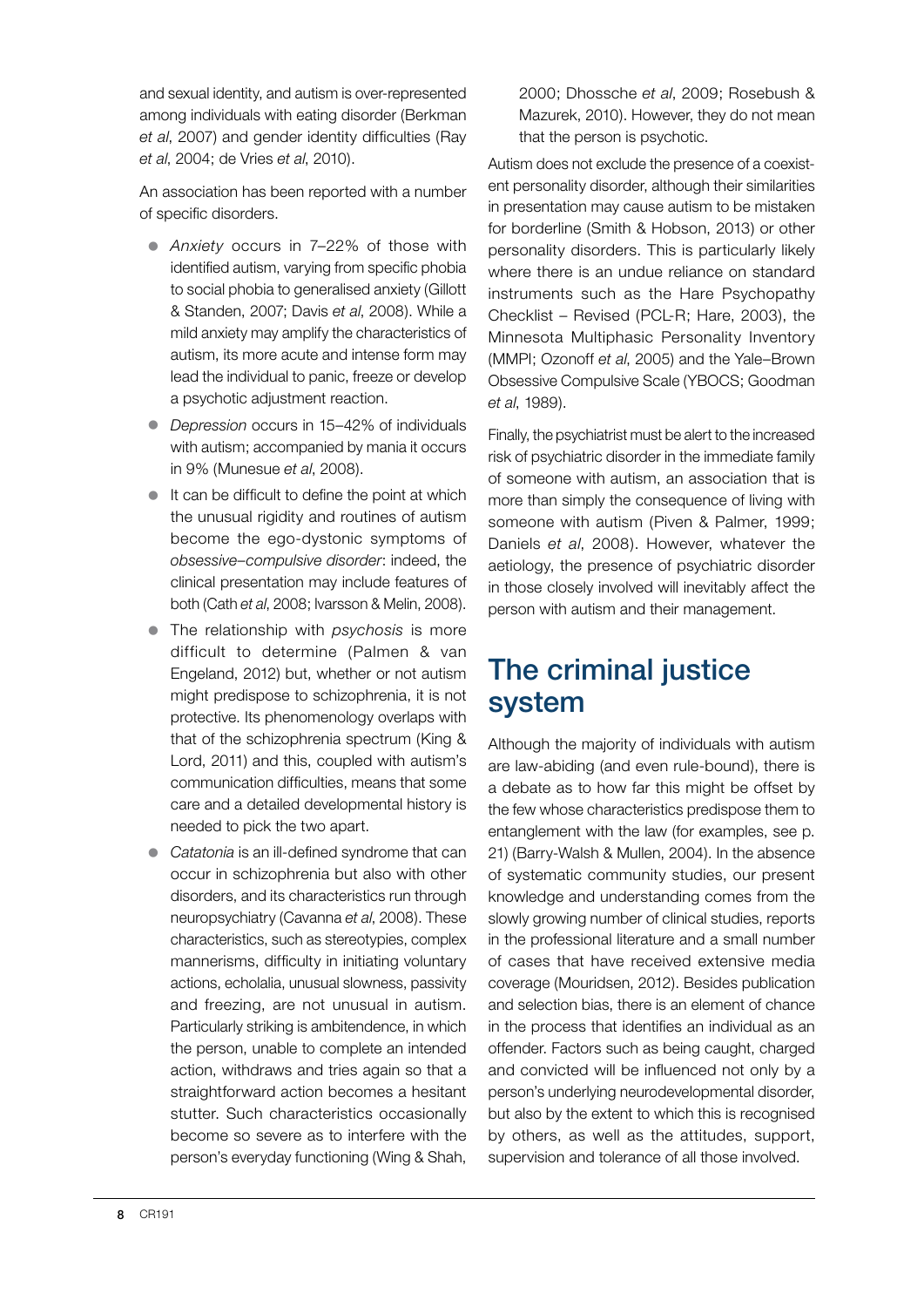and sexual identity, and autism is over-represented among individuals with eating disorder (Berkman *et al*, 2007) and gender identity difficulties (Ray *et al*, 2004; de Vries *et al*, 2010).

An association has been reported with a number of specific disorders.

- **•** Anxiety occurs in 7-22% of those with identified autism, varying from specific phobia to social phobia to generalised anxiety (Gillott & Standen, 2007; Davis *et al*, 2008). While a mild anxiety may amplify the characteristics of autism, its more acute and intense form may lead the individual to panic, freeze or develop a psychotic adjustment reaction.
- *Depression* occurs in 15–42% of individuals with autism; accompanied by mania it occurs in 9% (Munesue *et al*, 2008).
- $\bullet$  It can be difficult to define the point at which the unusual rigidity and routines of autism become the ego-dystonic symptoms of *obsessive–compulsive disorder*: indeed, the clinical presentation may include features of both (Cath *et al*, 2008; Ivarsson & Melin, 2008).
- The relationship with *psychosis* is more difficult to determine (Palmen & van Engeland, 2012) but, whether or not autism might predispose to schizophrenia, it is not protective. Its phenomenology overlaps with that of the schizophrenia spectrum (King & Lord, 2011) and this, coupled with autism's communication difficulties, means that some care and a detailed developmental history is needed to pick the two apart.
- *Catatonia* is an ill-defined syndrome that can occur in schizophrenia but also with other disorders, and its characteristics run through neuropsychiatry (Cavanna *et al*, 2008). These characteristics, such as stereotypies, complex mannerisms, difficulty in initiating voluntary actions, echolalia, unusual slowness, passivity and freezing, are not unusual in autism. Particularly striking is ambitendence, in which the person, unable to complete an intended action, withdraws and tries again so that a straightforward action becomes a hesitant stutter. Such characteristics occasionally become so severe as to interfere with the person's everyday functioning (Wing & Shah,

2000; Dhossche *et al*, 2009; Rosebush & Mazurek, 2010). However, they do not mean that the person is psychotic.

Autism does not exclude the presence of a coexistent personality disorder, although their similarities in presentation may cause autism to be mistaken for borderline (Smith & Hobson, 2013) or other personality disorders. This is particularly likely where there is an undue reliance on standard instruments such as the Hare Psychopathy Checklist – Revised (PCL-R; Hare, 2003), the Minnesota Multiphasic Personality Inventory (MMPI; Ozonoff *et al*, 2005) and the Yale–Brown Obsessive Compulsive Scale (YBOCS; Goodman *et al*, 1989).

Finally, the psychiatrist must be alert to the increased risk of psychiatric disorder in the immediate family of someone with autism, an association that is more than simply the consequence of living with someone with autism (Piven & Palmer, 1999; Daniels *et al*, 2008). However, whatever the aetiology, the presence of psychiatric disorder in those closely involved will inevitably affect the person with autism and their management.

## The criminal justice system

Although the majority of individuals with autism are law-abiding (and even rule-bound), there is a debate as to how far this might be offset by the few whose characteristics predispose them to entanglement with the law (for examples, see p. 21) (Barry-Walsh & Mullen, 2004). In the absence of systematic community studies, our present knowledge and understanding comes from the slowly growing number of clinical studies, reports in the professional literature and a small number of cases that have received extensive media coverage (Mouridsen, 2012). Besides publication and selection bias, there is an element of chance in the process that identifies an individual as an offender. Factors such as being caught, charged and convicted will be influenced not only by a person's underlying neurodevelopmental disorder, but also by the extent to which this is recognised by others, as well as the attitudes, support, supervision and tolerance of all those involved.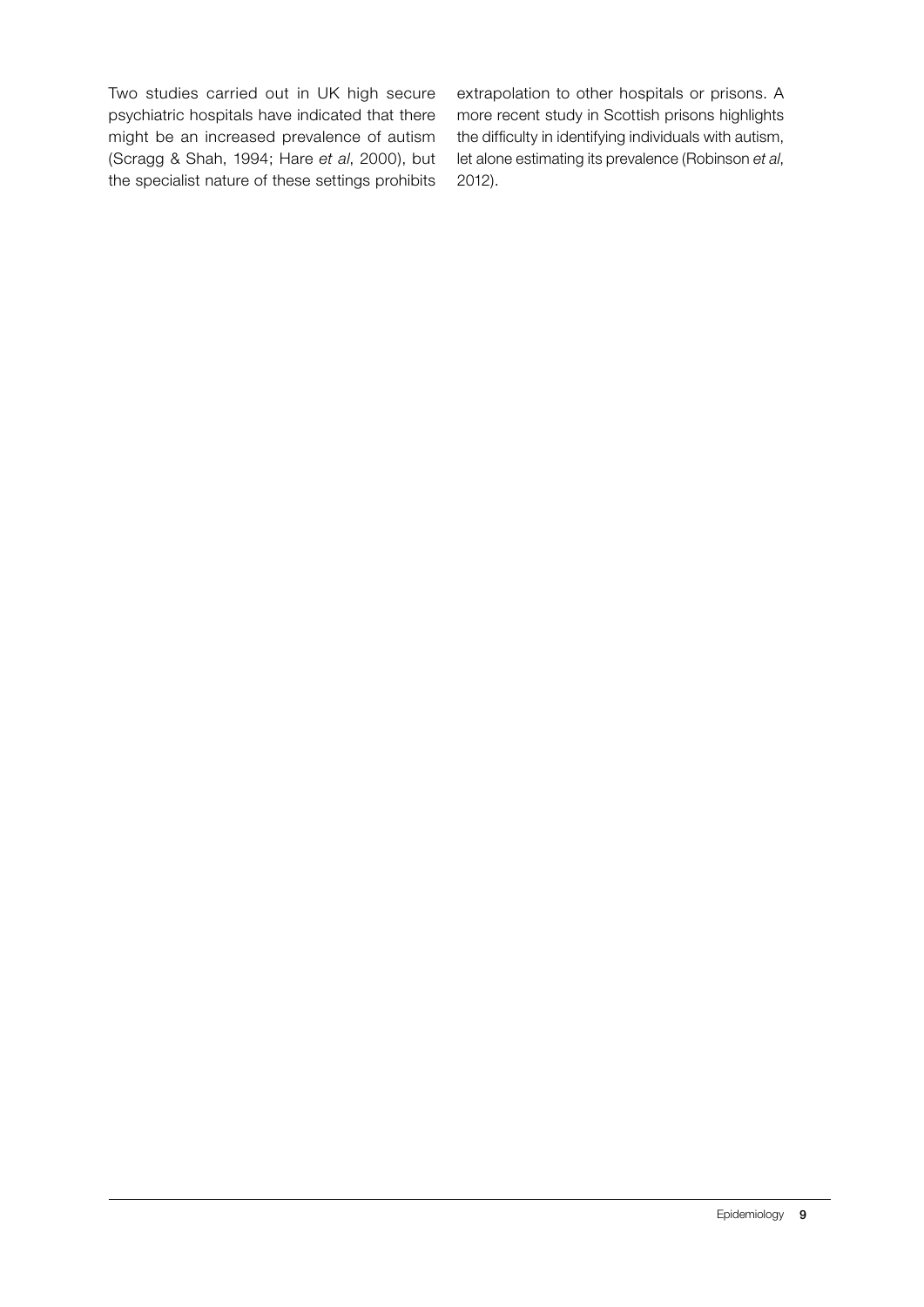Two studies carried out in UK high secure psychiatric hospitals have indicated that there might be an increased prevalence of autism (Scragg & Shah, 1994; Hare *et al*, 2000), but the specialist nature of these settings prohibits extrapolation to other hospitals or prisons. A more recent study in Scottish prisons highlights the difficulty in identifying individuals with autism, let alone estimating its prevalence (Robinson *et al*, 2012).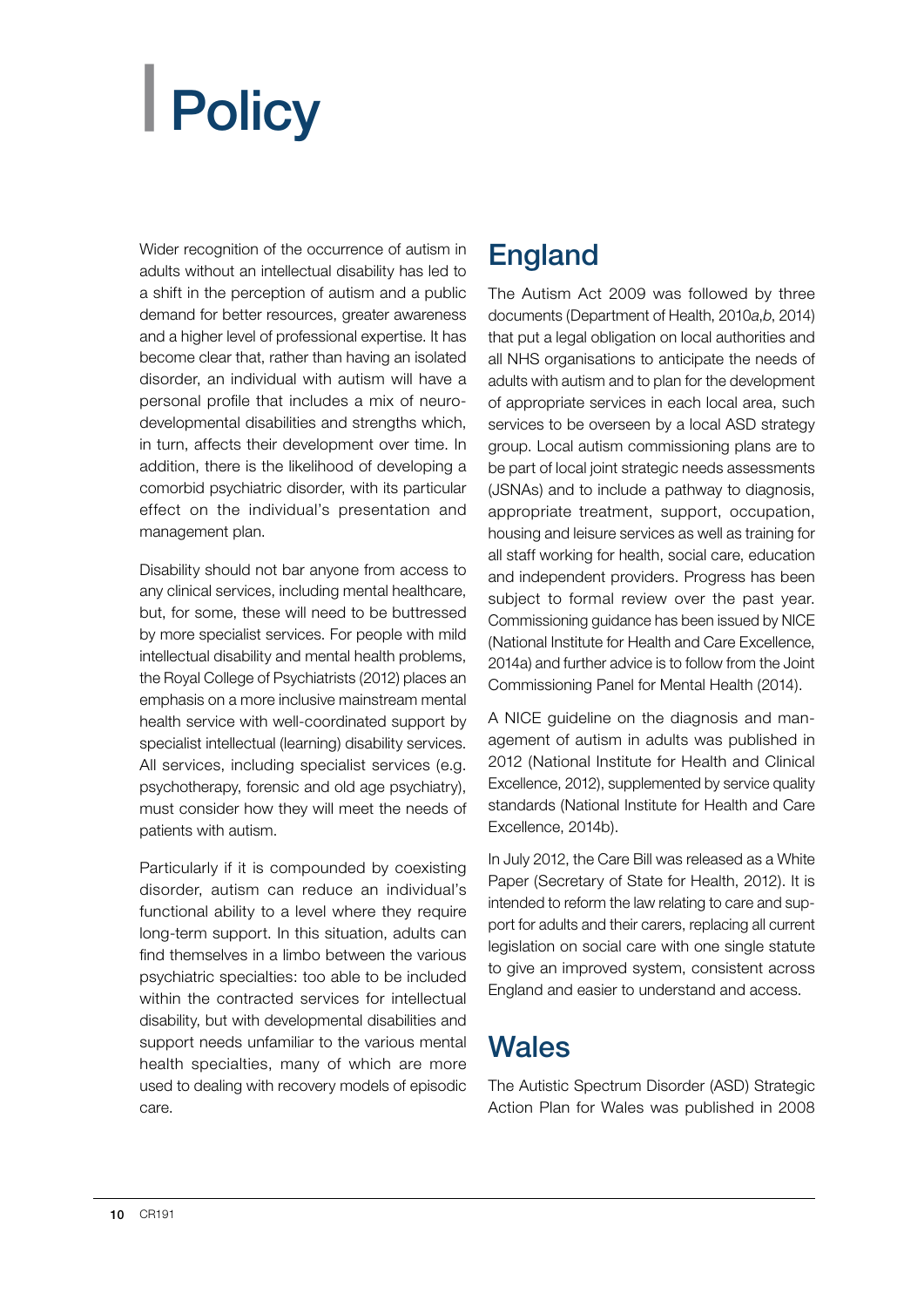# <span id="page-11-0"></span>| Policy

Wider recognition of the occurrence of autism in adults without an intellectual disability has led to a shift in the perception of autism and a public demand for better resources, greater awareness and a higher level of professional expertise. It has become clear that, rather than having an isolated disorder, an individual with autism will have a personal profile that includes a mix of neurodevelopmental disabilities and strengths which, in turn, affects their development over time. In addition, there is the likelihood of developing a comorbid psychiatric disorder, with its particular effect on the individual's presentation and management plan.

Disability should not bar anyone from access to any clinical services, including mental healthcare, but, for some, these will need to be buttressed by more specialist services. For people with mild intellectual disability and mental health problems, the Royal College of Psychiatrists (2012) places an emphasis on a more inclusive mainstream mental health service with well-coordinated support by specialist intellectual (learning) disability services. All services, including specialist services (e.g. psychotherapy, forensic and old age psychiatry), must consider how they will meet the needs of patients with autism.

Particularly if it is compounded by coexisting disorder, autism can reduce an individual's functional ability to a level where they require long-term support. In this situation, adults can find themselves in a limbo between the various psychiatric specialties: too able to be included within the contracted services for intellectual disability, but with developmental disabilities and support needs unfamiliar to the various mental health specialties, many of which are more used to dealing with recovery models of episodic care.

## England

The Autism Act 2009 was followed by three documents (Department of Health, 2010*a*,*b*, 2014) that put a legal obligation on local authorities and all NHS organisations to anticipate the needs of adults with autism and to plan for the development of appropriate services in each local area, such services to be overseen by a local ASD strategy group. Local autism commissioning plans are to be part of local joint strategic needs assessments (JSNAs) and to include a pathway to diagnosis, appropriate treatment, support, occupation, housing and leisure services as well as training for all staff working for health, social care, education and independent providers. Progress has been subject to formal review over the past year. Commissioning guidance has been issued by NICE (National Institute for Health and Care Excellence, 2014a) and further advice is to follow from the Joint Commissioning Panel for Mental Health (2014).

A NICE guideline on the diagnosis and management of autism in adults was published in 2012 (National Institute for Health and Clinical Excellence, 2012), supplemented by service quality standards (National Institute for Health and Care Excellence, 2014b).

In July 2012, the Care Bill was released as a White Paper (Secretary of State for Health, 2012). It is intended to reform the law relating to care and support for adults and their carers, replacing all current legislation on social care with one single statute to give an improved system, consistent across England and easier to understand and access.

## **Wales**

The Autistic Spectrum Disorder (ASD) Strategic Action Plan for Wales was published in 2008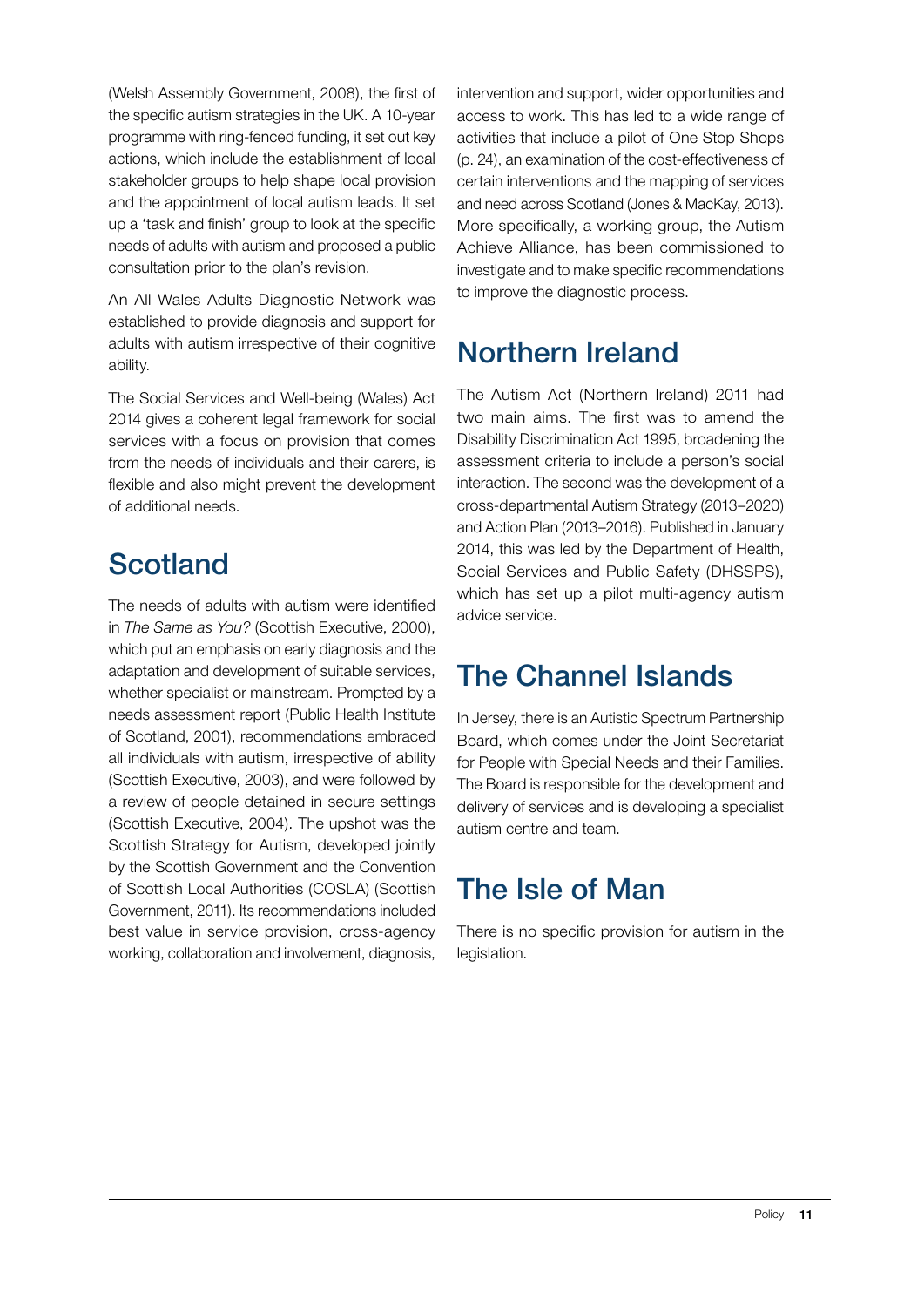(Welsh Assembly Government, 2008), the first of the specific autism strategies in the UK. A 10-year programme with ring-fenced funding, it set out key actions, which include the establishment of local stakeholder groups to help shape local provision and the appointment of local autism leads. It set up a 'task and finish' group to look at the specific needs of adults with autism and proposed a public consultation prior to the plan's revision.

An All Wales Adults Diagnostic Network was established to provide diagnosis and support for adults with autism irrespective of their cognitive ability.

The Social Services and Well-being (Wales) Act 2014 gives a coherent legal framework for social services with a focus on provision that comes from the needs of individuals and their carers, is flexible and also might prevent the development of additional needs.

## **Scotland**

The needs of adults with autism were identified in *The Same as You?* (Scottish Executive, 2000), which put an emphasis on early diagnosis and the adaptation and development of suitable services, whether specialist or mainstream. Prompted by a needs assessment report (Public Health Institute of Scotland, 2001), recommendations embraced all individuals with autism, irrespective of ability (Scottish Executive, 2003), and were followed by a review of people detained in secure settings (Scottish Executive, 2004). The upshot was the Scottish Strategy for Autism, developed jointly by the Scottish Government and the Convention of Scottish Local Authorities (COSLA) (Scottish Government, 2011). Its recommendations included best value in service provision, cross-agency working, collaboration and involvement, diagnosis,

intervention and support, wider opportunities and access to work. This has led to a wide range of activities that include a pilot of One Stop Shops (p. 24), an examination of the cost-effectiveness of certain interventions and the mapping of services and need across Scotland (Jones & MacKay, 2013). More specifically, a working group, the Autism Achieve Alliance, has been commissioned to investigate and to make specific recommendations to improve the diagnostic process.

## Northern Ireland

The Autism Act (Northern Ireland) 2011 had two main aims. The first was to amend the Disability Discrimination Act 1995, broadening the assessment criteria to include a person's social interaction. The second was the development of a cross-departmental Autism Strategy (2013–2020) and Action Plan (2013–2016). Published in January 2014, this was led by the Department of Health, Social Services and Public Safety (DHSSPS), which has set up a pilot multi-agency autism advice service.

## The Channel Islands

In Jersey, there is an Autistic Spectrum Partnership Board, which comes under the Joint Secretariat for People with Special Needs and their Families. The Board is responsible for the development and delivery of services and is developing a specialist autism centre and team.

## The Isle of Man

There is no specific provision for autism in the legislation.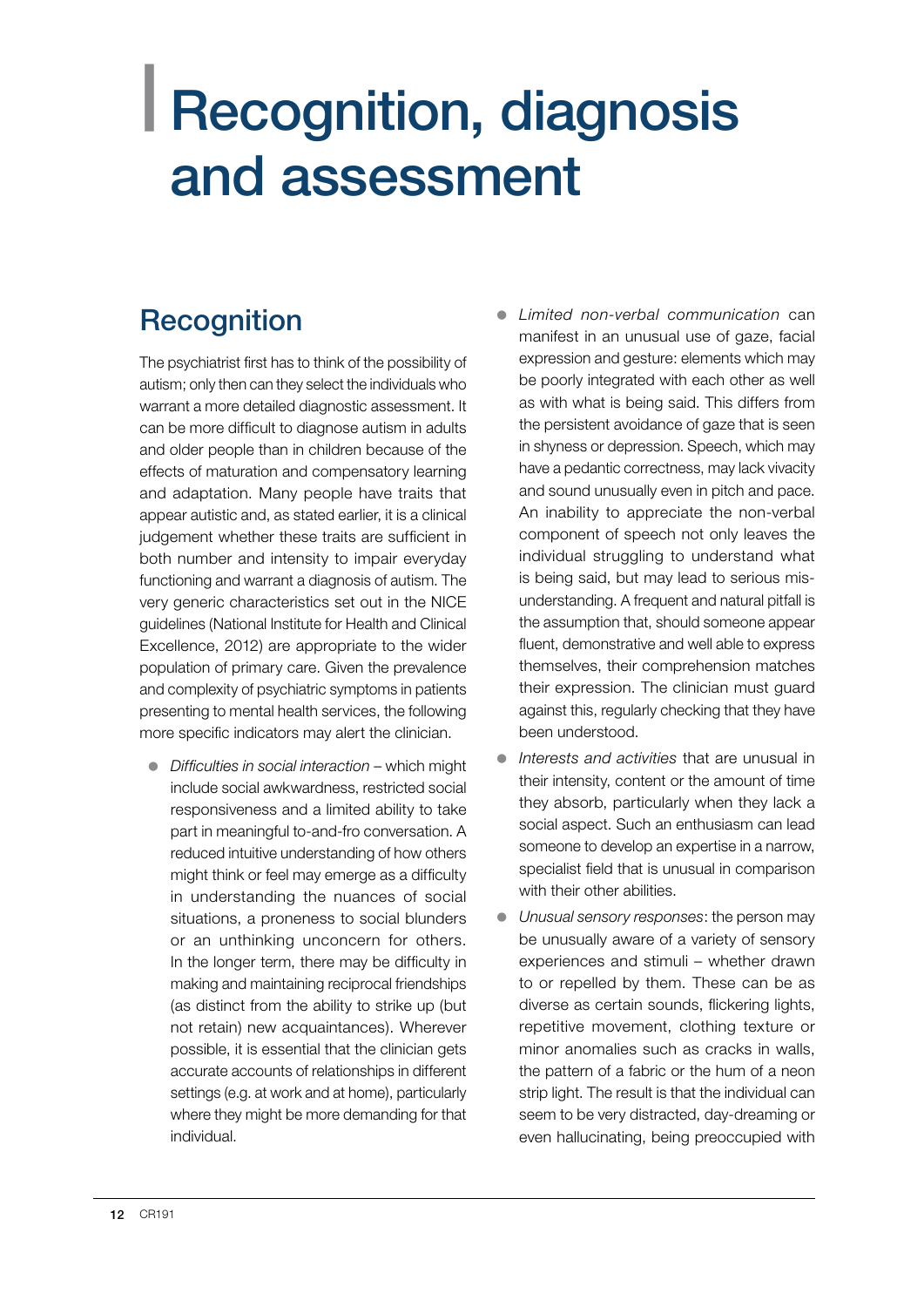## <span id="page-13-0"></span>| Recognition, diagnosis and assessment

## **Recognition**

The psychiatrist first has to think of the possibility of autism; only then can they select the individuals who warrant a more detailed diagnostic assessment. It can be more difficult to diagnose autism in adults and older people than in children because of the effects of maturation and compensatory learning and adaptation. Many people have traits that appear autistic and, as stated earlier, it is a clinical judgement whether these traits are sufficient in both number and intensity to impair everyday functioning and warrant a diagnosis of autism. The very generic characteristics set out in the NICE guidelines (National Institute for Health and Clinical Excellence, 2012) are appropriate to the wider population of primary care. Given the prevalence and complexity of psychiatric symptoms in patients presenting to mental health services, the following more specific indicators may alert the clinician.

- **•** *Difficulties in social interaction* which might include social awkwardness, restricted social responsiveness and a limited ability to take part in meaningful to-and-fro conversation. A reduced intuitive understanding of how others might think or feel may emerge as a difficulty in understanding the nuances of social situations, a proneness to social blunders or an unthinking unconcern for others. In the longer term, there may be difficulty in making and maintaining reciprocal friendships (as distinct from the ability to strike up (but not retain) new acquaintances). Wherever possible, it is essential that the clinician gets accurate accounts of relationships in different settings (e.g. at work and at home), particularly where they might be more demanding for that individual.
- z *Limited non-verbal communication* can manifest in an unusual use of gaze, facial expression and gesture: elements which may be poorly integrated with each other as well as with what is being said. This differs from the persistent avoidance of gaze that is seen in shyness or depression. Speech, which may have a pedantic correctness, may lack vivacity and sound unusually even in pitch and pace. An inability to appreciate the non-verbal component of speech not only leaves the individual struggling to understand what is being said, but may lead to serious misunderstanding. A frequent and natural pitfall is the assumption that, should someone appear fluent, demonstrative and well able to express themselves, their comprehension matches their expression. The clinician must guard against this, regularly checking that they have been understood.
- **•** *Interests and activities* that are unusual in their intensity, content or the amount of time they absorb, particularly when they lack a social aspect. Such an enthusiasm can lead someone to develop an expertise in a narrow, specialist field that is unusual in comparison with their other abilities.
- **•** Unusual sensory responses: the person may be unusually aware of a variety of sensory experiences and stimuli – whether drawn to or repelled by them. These can be as diverse as certain sounds, flickering lights, repetitive movement, clothing texture or minor anomalies such as cracks in walls, the pattern of a fabric or the hum of a neon strip light. The result is that the individual can seem to be very distracted, day-dreaming or even hallucinating, being preoccupied with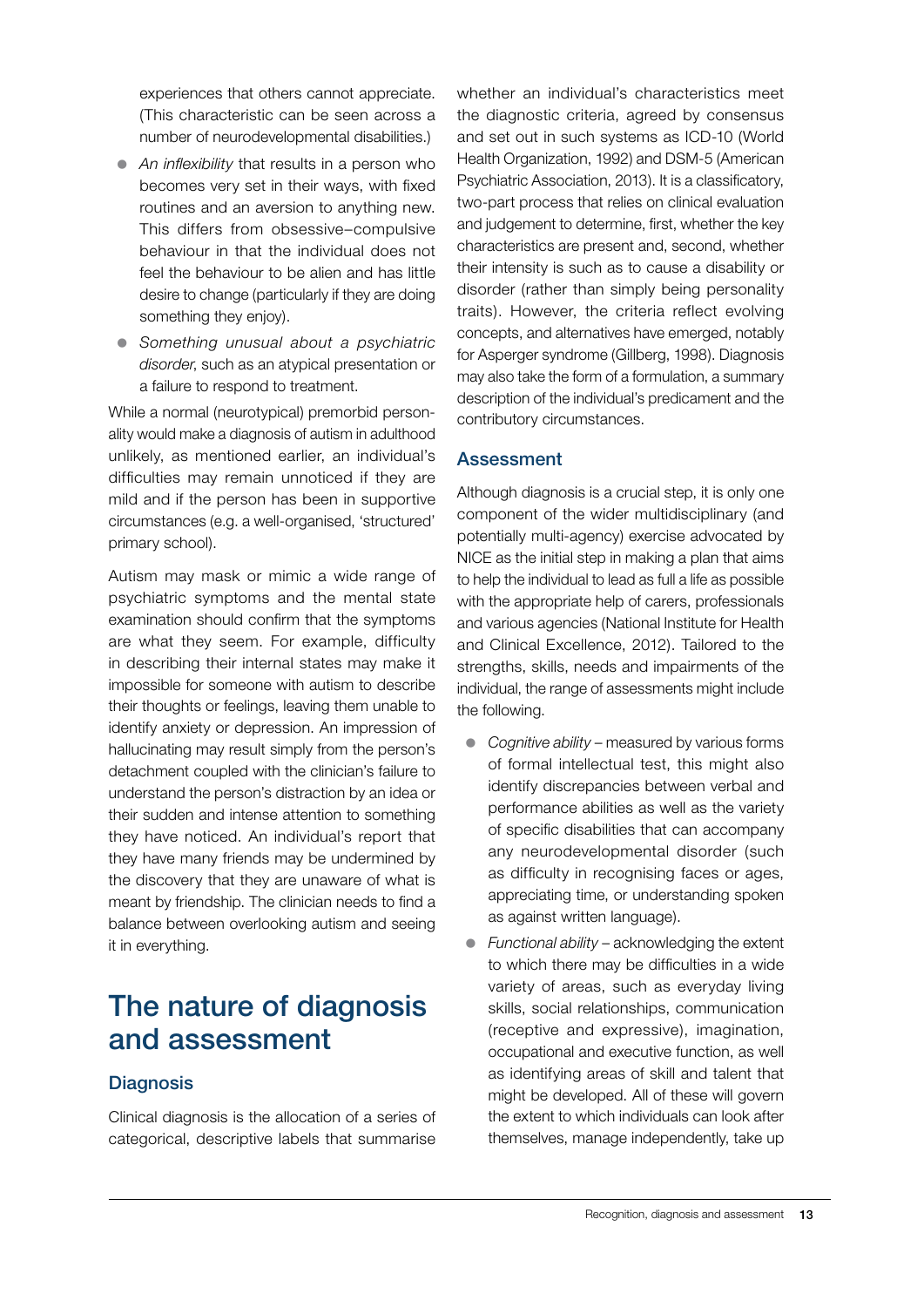experiences that others cannot appreciate. (This characteristic can be seen across a number of neurodevelopmental disabilities.)

- An inflexibility that results in a person who becomes very set in their ways, with fixed routines and an aversion to anything new. This differs from obsessive–compulsive behaviour in that the individual does not feel the behaviour to be alien and has little desire to change (particularly if they are doing something they enjoy).
- z *Something unusual about a psychiatric disorder*, such as an atypical presentation or a failure to respond to treatment.

While a normal (neurotypical) premorbid personality would make a diagnosis of autism in adulthood unlikely, as mentioned earlier, an individual's difficulties may remain unnoticed if they are mild and if the person has been in supportive circumstances (e.g. a well-organised, 'structured' primary school).

Autism may mask or mimic a wide range of psychiatric symptoms and the mental state examination should confirm that the symptoms are what they seem. For example, difficulty in describing their internal states may make it impossible for someone with autism to describe their thoughts or feelings, leaving them unable to identify anxiety or depression. An impression of hallucinating may result simply from the person's detachment coupled with the clinician's failure to understand the person's distraction by an idea or their sudden and intense attention to something they have noticed. An individual's report that they have many friends may be undermined by the discovery that they are unaware of what is meant by friendship. The clinician needs to find a balance between overlooking autism and seeing it in everything.

## The nature of diagnosis and assessment

#### **Diagnosis**

Clinical diagnosis is the allocation of a series of categorical, descriptive labels that summarise whether an individual's characteristics meet the diagnostic criteria, agreed by consensus and set out in such systems as ICD-10 (World Health Organization, 1992) and DSM-5 (American Psychiatric Association, 2013). It is a classificatory, two-part process that relies on clinical evaluation and judgement to determine, first, whether the key characteristics are present and, second, whether their intensity is such as to cause a disability or disorder (rather than simply being personality traits). However, the criteria reflect evolving concepts, and alternatives have emerged, notably for Asperger syndrome (Gillberg, 1998). Diagnosis may also take the form of a formulation, a summary description of the individual's predicament and the contributory circumstances.

#### **Assessment**

Although diagnosis is a crucial step, it is only one component of the wider multidisciplinary (and potentially multi-agency) exercise advocated by NICE as the initial step in making a plan that aims to help the individual to lead as full a life as possible with the appropriate help of carers, professionals and various agencies (National Institute for Health and Clinical Excellence, 2012). Tailored to the strengths, skills, needs and impairments of the individual, the range of assessments might include the following.

- *Cognitive ability* measured by various forms of formal intellectual test, this might also identify discrepancies between verbal and performance abilities as well as the variety of specific disabilities that can accompany any neurodevelopmental disorder (such as difficulty in recognising faces or ages, appreciating time, or understanding spoken as against written language).
- *Functional ability* acknowledging the extent to which there may be difficulties in a wide variety of areas, such as everyday living skills, social relationships, communication (receptive and expressive), imagination, occupational and executive function, as well as identifying areas of skill and talent that might be developed. All of these will govern the extent to which individuals can look after themselves, manage independently, take up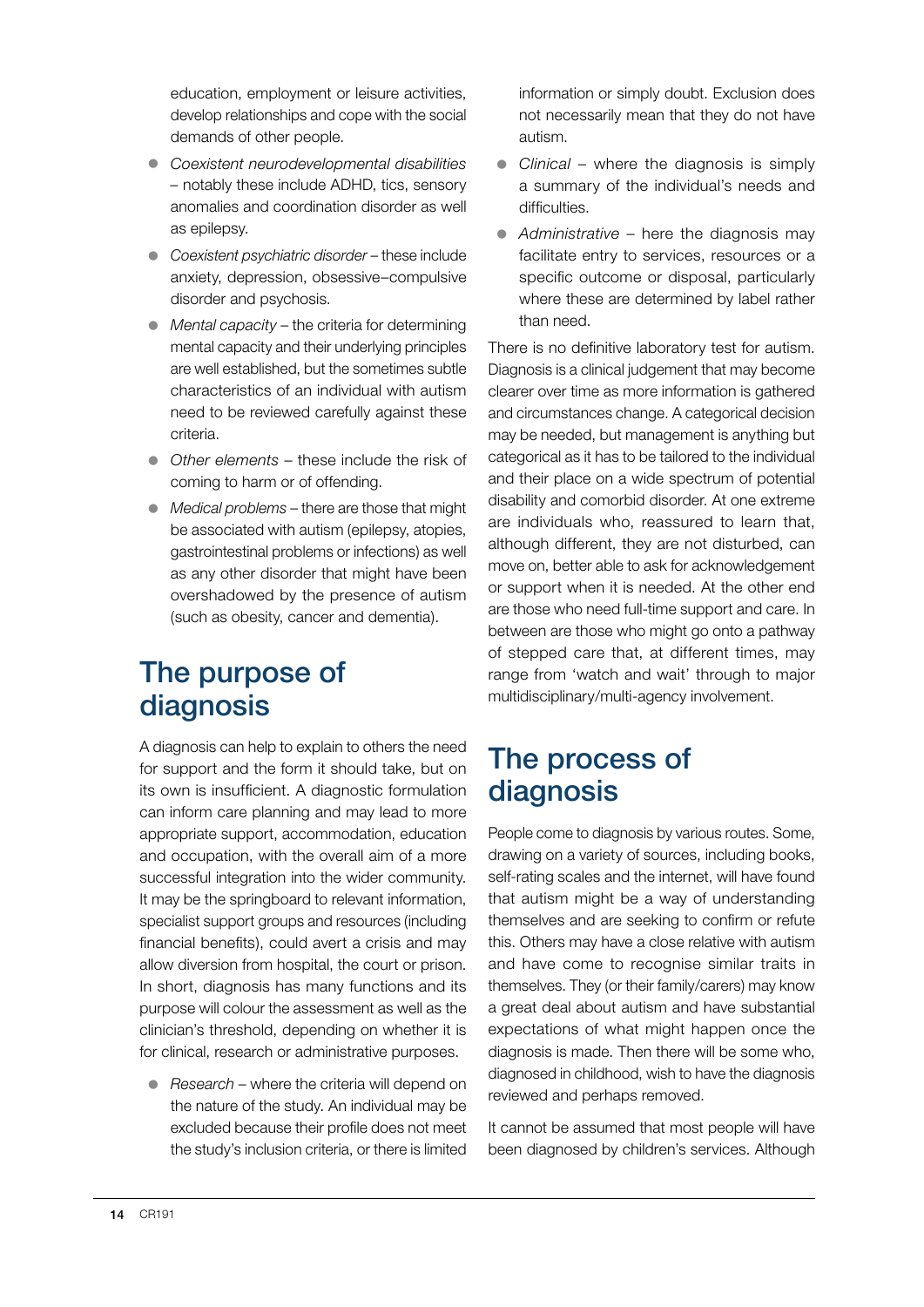education, employment or leisure activities, develop relationships and cope with the social demands of other people.

- z *Coexistent neurodevelopmental disabilities –* notably these include ADHD, tics, sensory anomalies and coordination disorder as well as epilepsy.
- **•** *Coexistent psychiatric disorder* these include anxiety, depression, obsessive–compulsive disorder and psychosis.
- *Mental capacity* the criteria for determining mental capacity and their underlying principles are well established, but the sometimes subtle characteristics of an individual with autism need to be reviewed carefully against these criteria.
- Other elements these include the risk of coming to harm or of offending.
- *Medical problems* there are those that might be associated with autism (epilepsy, atopies, gastrointestinal problems or infections) as well as any other disorder that might have been overshadowed by the presence of autism (such as obesity, cancer and dementia).

## The purpose of diagnosis

A diagnosis can help to explain to others the need for support and the form it should take, but on its own is insufficient. A diagnostic formulation can inform care planning and may lead to more appropriate support, accommodation, education and occupation, with the overall aim of a more successful integration into the wider community. It may be the springboard to relevant information, specialist support groups and resources (including financial benefits), could avert a crisis and may allow diversion from hospital, the court or prison. In short, diagnosis has many functions and its purpose will colour the assessment as well as the clinician's threshold, depending on whether it is for clinical, research or administrative purposes.

● *Research* – where the criteria will depend on the nature of the study. An individual may be excluded because their profile does not meet the study's inclusion criteria, or there is limited

information or simply doubt. Exclusion does not necessarily mean that they do not have autism.

- *Clinical* where the diagnosis is simply a summary of the individual's needs and difficulties.
- *Administrative* here the diagnosis may facilitate entry to services, resources or a specific outcome or disposal, particularly where these are determined by label rather than need.

There is no definitive laboratory test for autism. Diagnosis is a clinical judgement that may become clearer over time as more information is gathered and circumstances change. A categorical decision may be needed, but management is anything but categorical as it has to be tailored to the individual and their place on a wide spectrum of potential disability and comorbid disorder. At one extreme are individuals who, reassured to learn that, although different, they are not disturbed, can move on, better able to ask for acknowledgement or support when it is needed. At the other end are those who need full-time support and care. In between are those who might go onto a pathway of stepped care that, at different times, may range from 'watch and wait' through to major multidisciplinary/multi-agency involvement.

## The process of diagnosis

People come to diagnosis by various routes. Some, drawing on a variety of sources, including books, self-rating scales and the internet, will have found that autism might be a way of understanding themselves and are seeking to confirm or refute this. Others may have a close relative with autism and have come to recognise similar traits in themselves. They (or their family/carers) may know a great deal about autism and have substantial expectations of what might happen once the diagnosis is made. Then there will be some who, diagnosed in childhood, wish to have the diagnosis reviewed and perhaps removed.

It cannot be assumed that most people will have been diagnosed by children's services. Although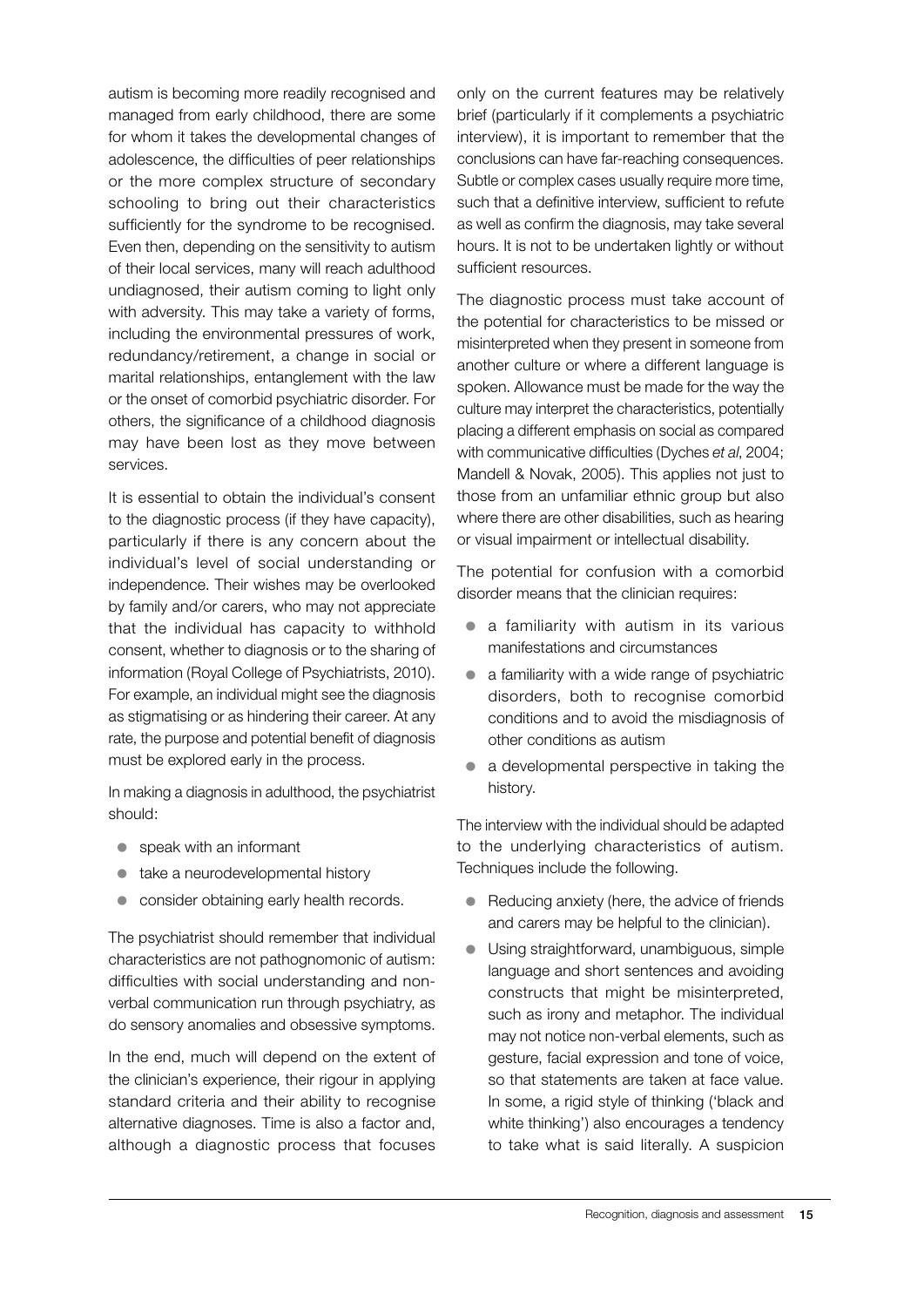autism is becoming more readily recognised and managed from early childhood, there are some for whom it takes the developmental changes of adolescence, the difficulties of peer relationships or the more complex structure of secondary schooling to bring out their characteristics sufficiently for the syndrome to be recognised. Even then, depending on the sensitivity to autism of their local services, many will reach adulthood undiagnosed, their autism coming to light only with adversity. This may take a variety of forms, including the environmental pressures of work, redundancy/retirement, a change in social or marital relationships, entanglement with the law or the onset of comorbid psychiatric disorder. For others, the significance of a childhood diagnosis may have been lost as they move between services.

It is essential to obtain the individual's consent to the diagnostic process (if they have capacity), particularly if there is any concern about the individual's level of social understanding or independence. Their wishes may be overlooked by family and/or carers, who may not appreciate that the individual has capacity to withhold consent, whether to diagnosis or to the sharing of information (Royal College of Psychiatrists, 2010). For example, an individual might see the diagnosis as stigmatising or as hindering their career. At any rate, the purpose and potential benefit of diagnosis must be explored early in the process.

In making a diagnosis in adulthood, the psychiatrist should:

- $\bullet$  speak with an informant
- $\bullet$  take a neurodevelopmental history
- consider obtaining early health records.

The psychiatrist should remember that individual characteristics are not pathognomonic of autism: difficulties with social understanding and nonverbal communication run through psychiatry, as do sensory anomalies and obsessive symptoms.

In the end, much will depend on the extent of the clinician's experience, their rigour in applying standard criteria and their ability to recognise alternative diagnoses. Time is also a factor and, although a diagnostic process that focuses only on the current features may be relatively brief (particularly if it complements a psychiatric interview), it is important to remember that the conclusions can have far-reaching consequences. Subtle or complex cases usually require more time, such that a definitive interview, sufficient to refute as well as confirm the diagnosis, may take several hours. It is not to be undertaken lightly or without sufficient resources.

The diagnostic process must take account of the potential for characteristics to be missed or misinterpreted when they present in someone from another culture or where a different language is spoken. Allowance must be made for the way the culture may interpret the characteristics, potentially placing a different emphasis on social as compared with communicative difficulties (Dyches *et al*, 2004; Mandell & Novak, 2005). This applies not just to those from an unfamiliar ethnic group but also where there are other disabilities, such as hearing or visual impairment or intellectual disability.

The potential for confusion with a comorbid disorder means that the clinician requires:

- a familiarity with autism in its various manifestations and circumstances
- $\bullet$  a familiarity with a wide range of psychiatric disorders, both to recognise comorbid conditions and to avoid the misdiagnosis of other conditions as autism
- $\bullet$  a developmental perspective in taking the history.

The interview with the individual should be adapted to the underlying characteristics of autism. Techniques include the following.

- Reducing anxiety (here, the advice of friends and carers may be helpful to the clinician).
- Using straightforward, unambiguous, simple language and short sentences and avoiding constructs that might be misinterpreted, such as irony and metaphor. The individual may not notice non-verbal elements, such as gesture, facial expression and tone of voice, so that statements are taken at face value. In some, a rigid style of thinking ('black and white thinking') also encourages a tendency to take what is said literally. A suspicion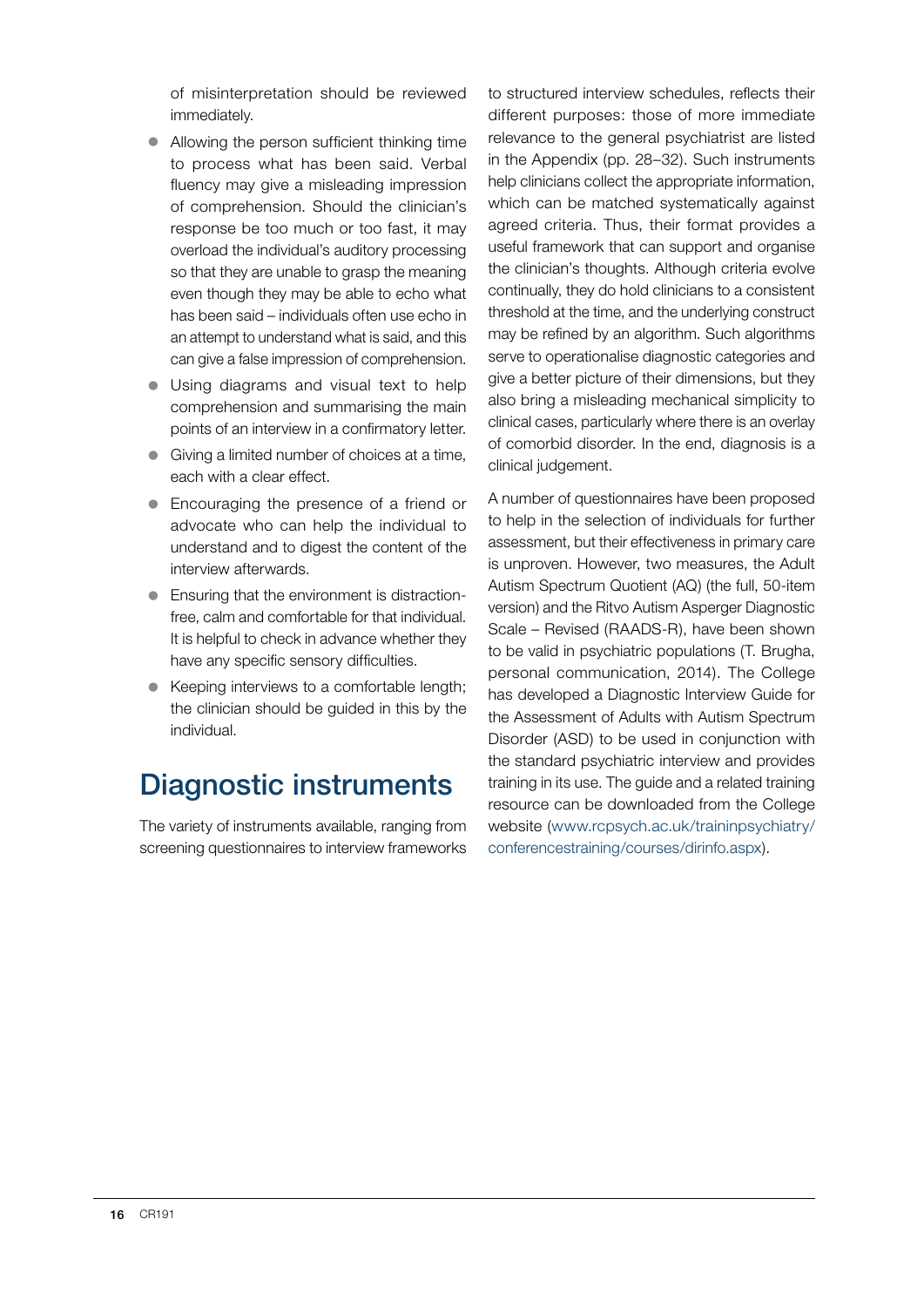of misinterpretation should be reviewed immediately.

- $\bullet$  Allowing the person sufficient thinking time to process what has been said. Verbal fluency may give a misleading impression of comprehension. Should the clinician's response be too much or too fast, it may overload the individual's auditory processing so that they are unable to grasp the meaning even though they may be able to echo what has been said – individuals often use echo in an attempt to understand what is said, and this can give a false impression of comprehension.
- Using diagrams and visual text to help comprehension and summarising the main points of an interview in a confirmatory letter.
- $\bullet$  Giving a limited number of choices at a time, each with a clear effect.
- Encouraging the presence of a friend or advocate who can help the individual to understand and to digest the content of the interview afterwards.
- $\bullet$  Ensuring that the environment is distractionfree, calm and comfortable for that individual. It is helpful to check in advance whether they have any specific sensory difficulties.
- Keeping interviews to a comfortable length; the clinician should be guided in this by the individual.

## Diagnostic instruments

The variety of instruments available, ranging from screening questionnaires to interview frameworks to structured interview schedules, reflects their different purposes: those of more immediate relevance to the general psychiatrist are listed in the Appendix (pp. 28–32). Such instruments help clinicians collect the appropriate information, which can be matched systematically against agreed criteria. Thus, their format provides a useful framework that can support and organise the clinician's thoughts. Although criteria evolve continually, they do hold clinicians to a consistent threshold at the time, and the underlying construct may be refined by an algorithm. Such algorithms serve to operationalise diagnostic categories and give a better picture of their dimensions, but they also bring a misleading mechanical simplicity to clinical cases, particularly where there is an overlay of comorbid disorder. In the end, diagnosis is a clinical judgement.

A number of questionnaires have been proposed to help in the selection of individuals for further assessment, but their effectiveness in primary care is unproven. However, two measures, the Adult Autism Spectrum Quotient (AQ) (the full, 50-item version) and the Ritvo Autism Asperger Diagnostic Scale – Revised (RAADS-R), have been shown to be valid in psychiatric populations (T. Brugha, personal communication, 2014). The College has developed a Diagnostic Interview Guide for the Assessment of Adults with Autism Spectrum Disorder (ASD) to be used in conjunction with the standard psychiatric interview and provides training in its use. The guide and a related training resource can be downloaded from the College website ([www.rcpsych.ac.uk/traininpsychiatry/](www.rcpsych.ac.uk/traininpsychiatry/conferencestraining/courses/dirinfo.aspx) [conferencestraining/courses/dirinfo.aspx](www.rcpsych.ac.uk/traininpsychiatry/conferencestraining/courses/dirinfo.aspx)).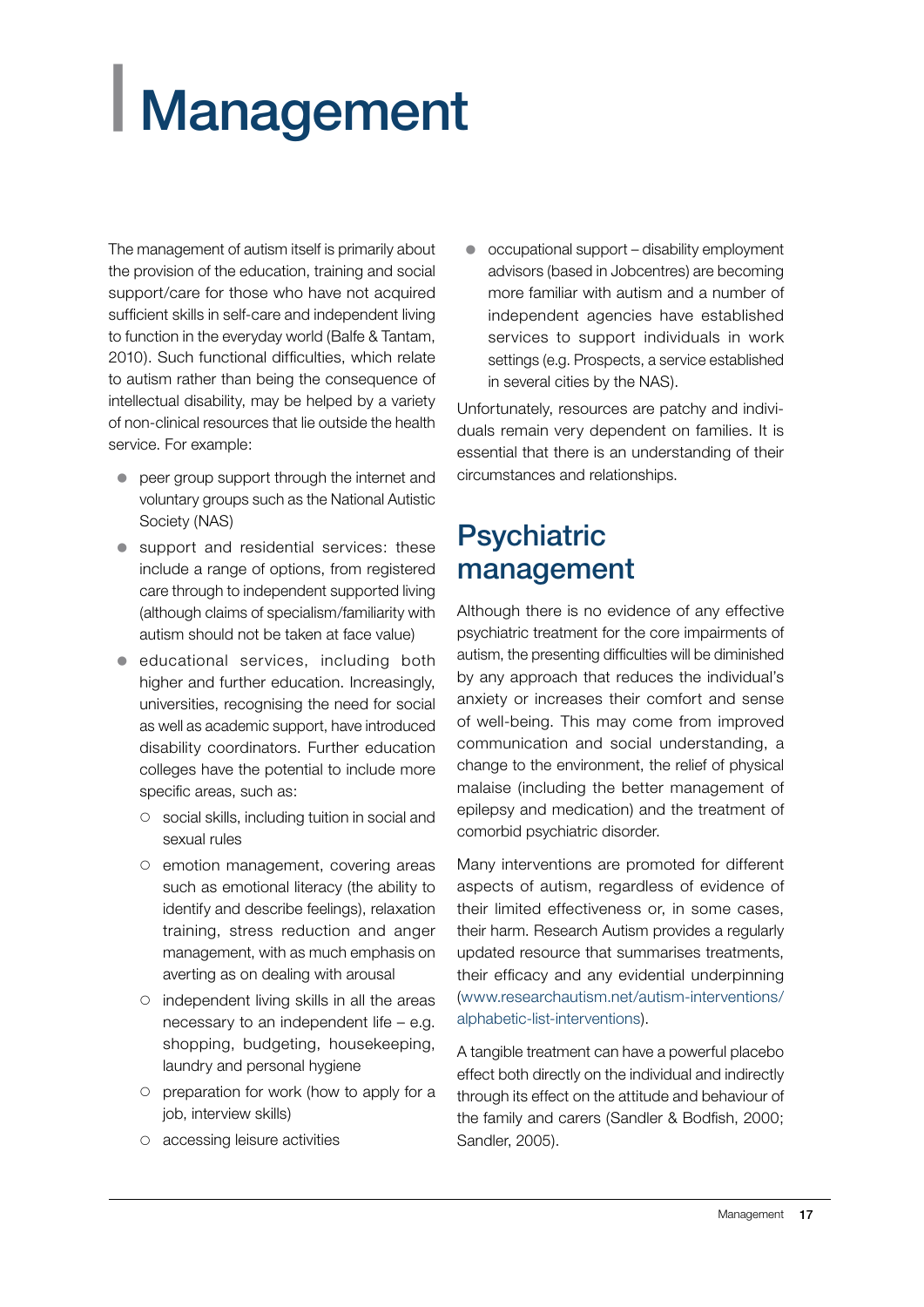# <span id="page-18-0"></span>| Management

The management of autism itself is primarily about the provision of the education, training and social support/care for those who have not acquired sufficient skills in self-care and independent living to function in the everyday world (Balfe & Tantam, 2010). Such functional difficulties, which relate to autism rather than being the consequence of intellectual disability, may be helped by a variety of non-clinical resources that lie outside the health service. For example:

- **•** peer group support through the internet and voluntary groups such as the National Autistic Society (NAS)
- $\bullet$  support and residential services: these include a range of options, from registered care through to independent supported living (although claims of specialism/familiarity with autism should not be taken at face value)
- $\bullet$  educational services, including both higher and further education. Increasingly, universities, recognising the need for social as well as academic support, have introduced disability coordinators. Further education colleges have the potential to include more specific areas, such as:
	- { social skills, including tuition in social and sexual rules
	- $\circ$  emotion management, covering areas such as emotional literacy (the ability to identify and describe feelings), relaxation training, stress reduction and anger management, with as much emphasis on averting as on dealing with arousal
	- $\circ$  independent living skills in all the areas necessary to an independent life – e.g. shopping, budgeting, housekeeping, laundry and personal hygiene
	- $\circ$  preparation for work (how to apply for a job, interview skills)
	- $\circ$  accessing leisure activities

 $\bullet$  occupational support – disability employment advisors (based in Jobcentres) are becoming more familiar with autism and a number of independent agencies have established services to support individuals in work settings (e.g. Prospects, a service established in several cities by the NAS).

Unfortunately, resources are patchy and individuals remain very dependent on families. It is essential that there is an understanding of their circumstances and relationships.

## **Psychiatric** management

Although there is no evidence of any effective psychiatric treatment for the core impairments of autism, the presenting difficulties will be diminished by any approach that reduces the individual's anxiety or increases their comfort and sense of well-being. This may come from improved communication and social understanding, a change to the environment, the relief of physical malaise (including the better management of epilepsy and medication) and the treatment of comorbid psychiatric disorder.

Many interventions are promoted for different aspects of autism, regardless of evidence of their limited effectiveness or, in some cases, their harm. Research Autism provides a regularly updated resource that summarises treatments, their efficacy and any evidential underpinning (www.researchautism.net/autism-interventions/ alphabetic-list-interventions).

A tangible treatment can have a powerful placebo effect both directly on the individual and indirectly through its effect on the attitude and behaviour of the family and carers (Sandler & Bodfish, 2000; Sandler, 2005).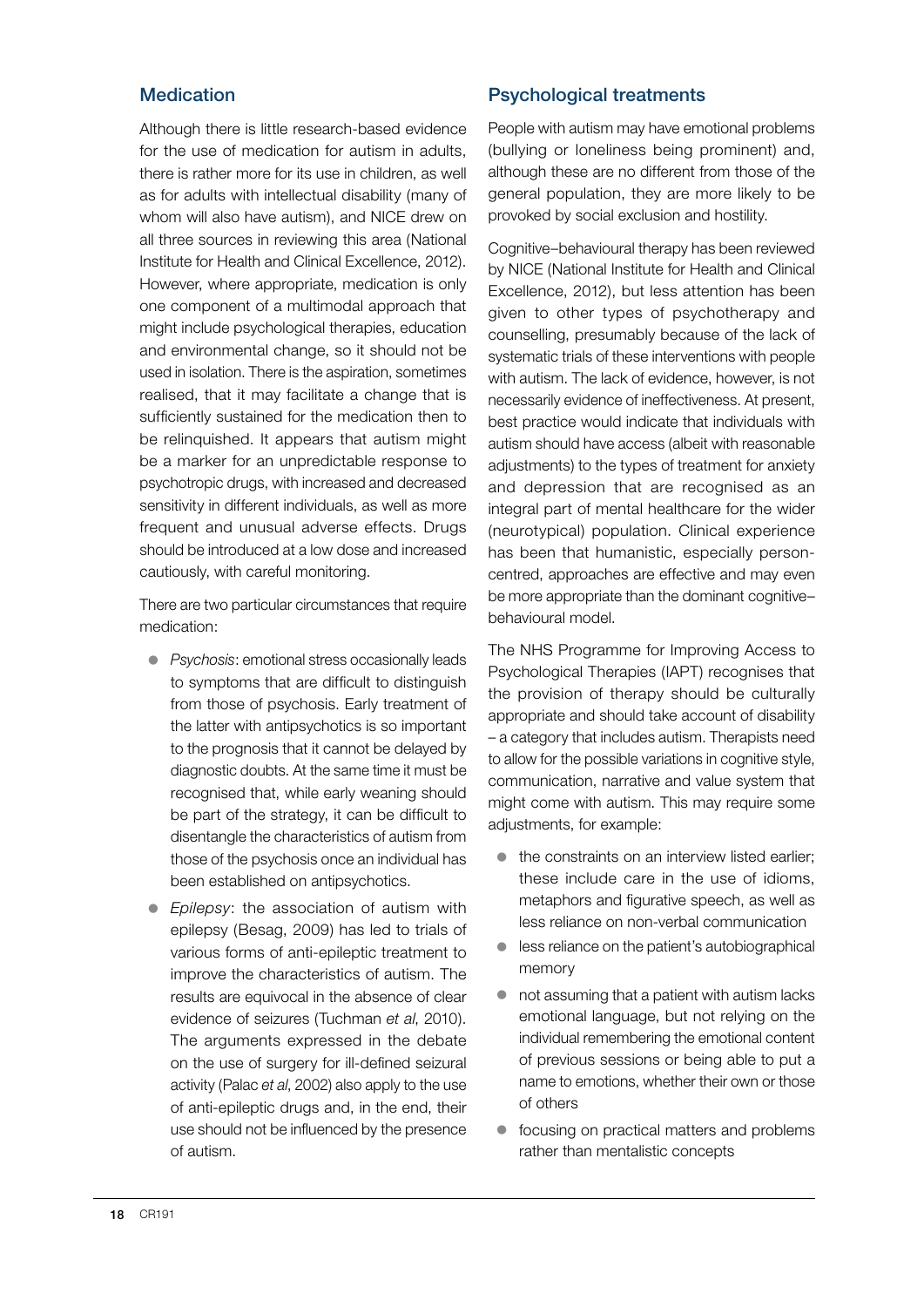#### **Medication**

Although there is little research-based evidence for the use of medication for autism in adults, there is rather more for its use in children, as well as for adults with intellectual disability (many of whom will also have autism), and NICE drew on all three sources in reviewing this area (National Institute for Health and Clinical Excellence, 2012). However, where appropriate, medication is only one component of a multimodal approach that might include psychological therapies, education and environmental change, so it should not be used in isolation. There is the aspiration, sometimes realised, that it may facilitate a change that is sufficiently sustained for the medication then to be relinquished. It appears that autism might be a marker for an unpredictable response to psychotropic drugs, with increased and decreased sensitivity in different individuals, as well as more frequent and unusual adverse effects. Drugs should be introduced at a low dose and increased cautiously, with careful monitoring.

There are two particular circumstances that require medication:

- **•** *Psychosis:* emotional stress occasionally leads to symptoms that are difficult to distinguish from those of psychosis. Early treatment of the latter with antipsychotics is so important to the prognosis that it cannot be delayed by diagnostic doubts. At the same time it must be recognised that, while early weaning should be part of the strategy, it can be difficult to disentangle the characteristics of autism from those of the psychosis once an individual has been established on antipsychotics.
- **•** *Epilepsy*: the association of autism with epilepsy (Besag, 2009) has led to trials of various forms of anti-epileptic treatment to improve the characteristics of autism. The results are equivocal in the absence of clear evidence of seizures (Tuchman *et al*, 2010). The arguments expressed in the debate on the use of surgery for ill-defined seizural activity (Palac *et al*, 2002) also apply to the use of anti-epileptic drugs and, in the end, their use should not be influenced by the presence of autism.

#### Psychological treatments

People with autism may have emotional problems (bullying or loneliness being prominent) and, although these are no different from those of the general population, they are more likely to be provoked by social exclusion and hostility.

Cognitive–behavioural therapy has been reviewed by NICE (National Institute for Health and Clinical Excellence, 2012), but less attention has been given to other types of psychotherapy and counselling, presumably because of the lack of systematic trials of these interventions with people with autism. The lack of evidence, however, is not necessarily evidence of ineffectiveness. At present, best practice would indicate that individuals with autism should have access (albeit with reasonable adjustments) to the types of treatment for anxiety and depression that are recognised as an integral part of mental healthcare for the wider (neurotypical) population. Clinical experience has been that humanistic, especially personcentred, approaches are effective and may even be more appropriate than the dominant cognitive– behavioural model.

The NHS Programme for Improving Access to Psychological Therapies (IAPT) recognises that the provision of therapy should be culturally appropriate and should take account of disability – a category that includes autism. Therapists need to allow for the possible variations in cognitive style, communication, narrative and value system that might come with autism. This may require some adjustments, for example:

- $\bullet$  the constraints on an interview listed earlier; these include care in the use of idioms, metaphors and figurative speech, as well as less reliance on non-verbal communication
- $\bullet$  less reliance on the patient's autobiographical memory
- $\bullet$  not assuming that a patient with autism lacks emotional language, but not relying on the individual remembering the emotional content of previous sessions or being able to put a name to emotions, whether their own or those of others
- $\bullet$  focusing on practical matters and problems rather than mentalistic concepts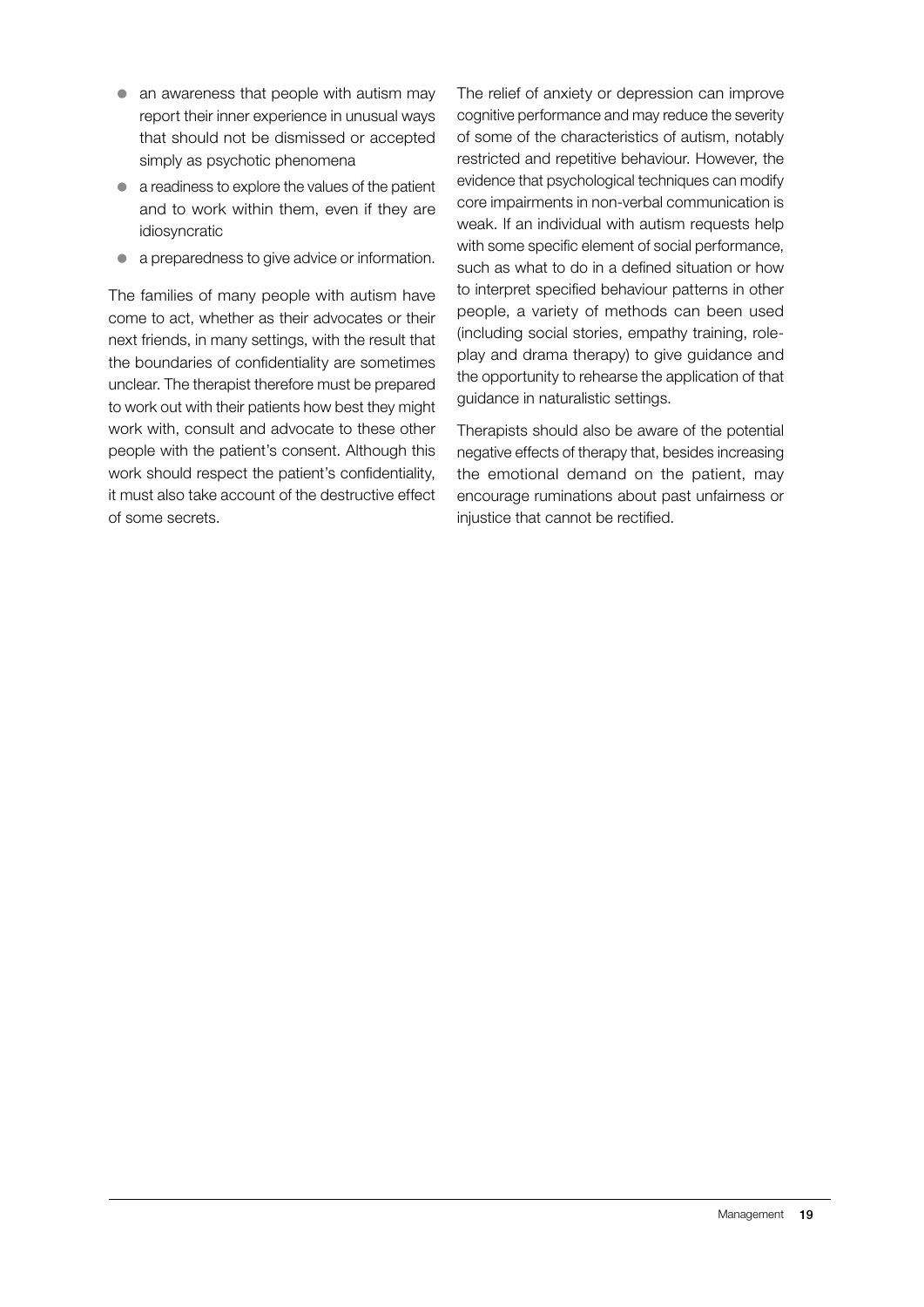- $\bullet$  an awareness that people with autism may report their inner experience in unusual ways that should not be dismissed or accepted simply as psychotic phenomena
- $\bullet$  a readiness to explore the values of the patient and to work within them, even if they are idiosyncratic
- a preparedness to give advice or information.

The families of many people with autism have come to act, whether as their advocates or their next friends, in many settings, with the result that the boundaries of confidentiality are sometimes unclear. The therapist therefore must be prepared to work out with their patients how best they might work with, consult and advocate to these other people with the patient's consent. Although this work should respect the patient's confidentiality, it must also take account of the destructive effect of some secrets.

The relief of anxiety or depression can improve cognitive performance and may reduce the severity of some of the characteristics of autism, notably restricted and repetitive behaviour. However, the evidence that psychological techniques can modify core impairments in non-verbal communication is weak. If an individual with autism requests help with some specific element of social performance, such as what to do in a defined situation or how to interpret specified behaviour patterns in other people, a variety of methods can been used (including social stories, empathy training, roleplay and drama therapy) to give guidance and the opportunity to rehearse the application of that guidance in naturalistic settings.

Therapists should also be aware of the potential negative effects of therapy that, besides increasing the emotional demand on the patient, may encourage ruminations about past unfairness or injustice that cannot be rectified.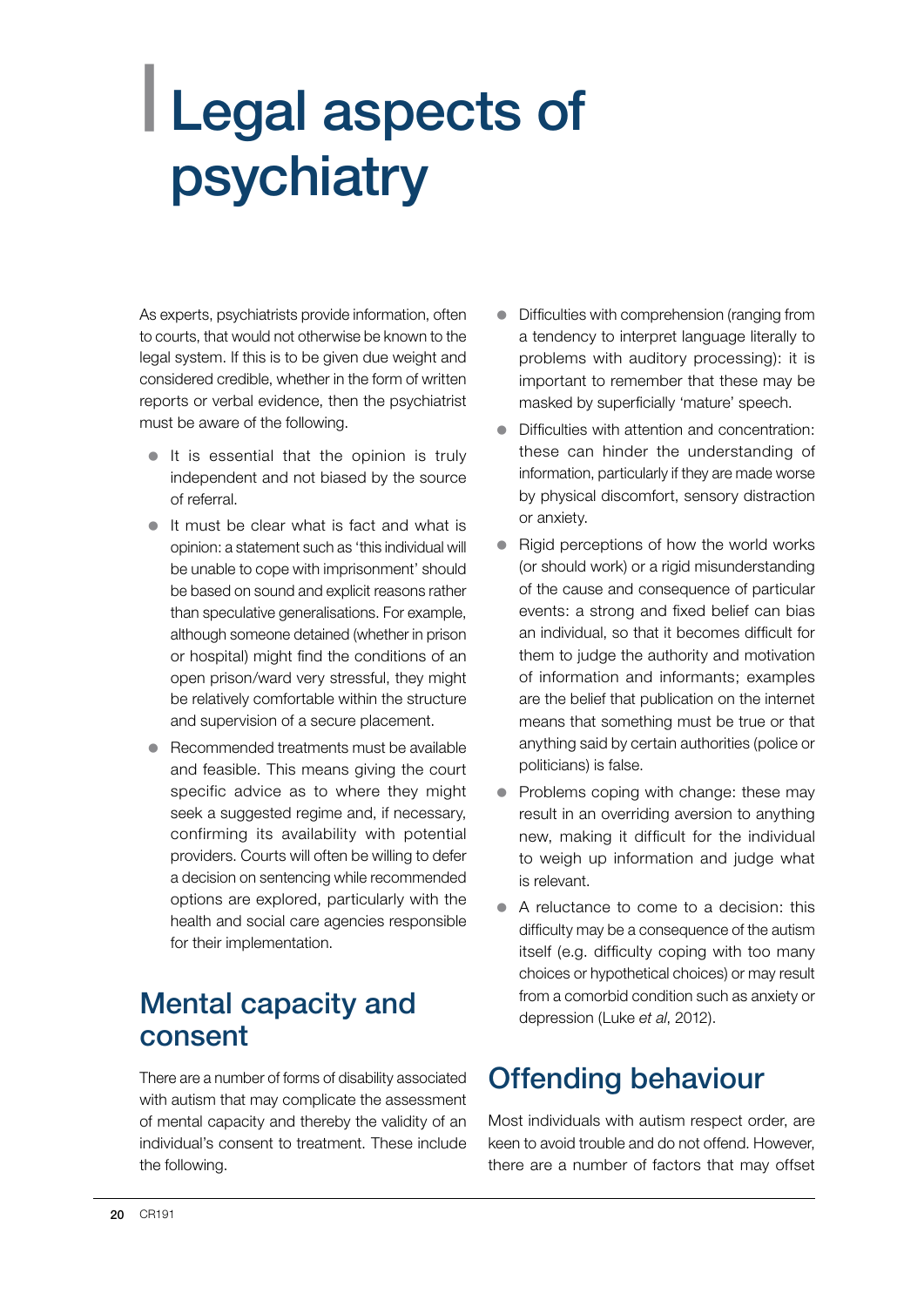## <span id="page-21-0"></span>| Legal aspects of psychiatry

As experts, psychiatrists provide information, often to courts, that would not otherwise be known to the legal system. If this is to be given due weight and considered credible, whether in the form of written reports or verbal evidence, then the psychiatrist must be aware of the following.

- $\bullet$  It is essential that the opinion is truly independent and not biased by the source of referral.
- $\bullet$  It must be clear what is fact and what is opinion: a statement such as 'this individual will be unable to cope with imprisonment' should be based on sound and explicit reasons rather than speculative generalisations. For example, although someone detained (whether in prison or hospital) might find the conditions of an open prison/ward very stressful, they might be relatively comfortable within the structure and supervision of a secure placement.
- $\bullet$  Recommended treatments must be available and feasible. This means giving the court specific advice as to where they might seek a suggested regime and, if necessary, confirming its availability with potential providers. Courts will often be willing to defer a decision on sentencing while recommended options are explored, particularly with the health and social care agencies responsible for their implementation.

## Mental capacity and consent

There are a number of forms of disability associated with autism that may complicate the assessment of mental capacity and thereby the validity of an individual's consent to treatment. These include the following.

- Difficulties with comprehension (ranging from a tendency to interpret language literally to problems with auditory processing): it is important to remember that these may be masked by superficially 'mature' speech.
- Difficulties with attention and concentration: these can hinder the understanding of information, particularly if they are made worse by physical discomfort, sensory distraction or anxiety.
- Rigid perceptions of how the world works (or should work) or a rigid misunderstanding of the cause and consequence of particular events: a strong and fixed belief can bias an individual, so that it becomes difficult for them to judge the authority and motivation of information and informants; examples are the belief that publication on the internet means that something must be true or that anything said by certain authorities (police or politicians) is false.
- Problems coping with change: these may result in an overriding aversion to anything new, making it difficult for the individual to weigh up information and judge what is relevant.
- A reluctance to come to a decision: this difficulty may be a consequence of the autism itself (e.g. difficulty coping with too many choices or hypothetical choices) or may result from a comorbid condition such as anxiety or depression (Luke *et al*, 2012).

## Offending behaviour

Most individuals with autism respect order, are keen to avoid trouble and do not offend. However, there are a number of factors that may offset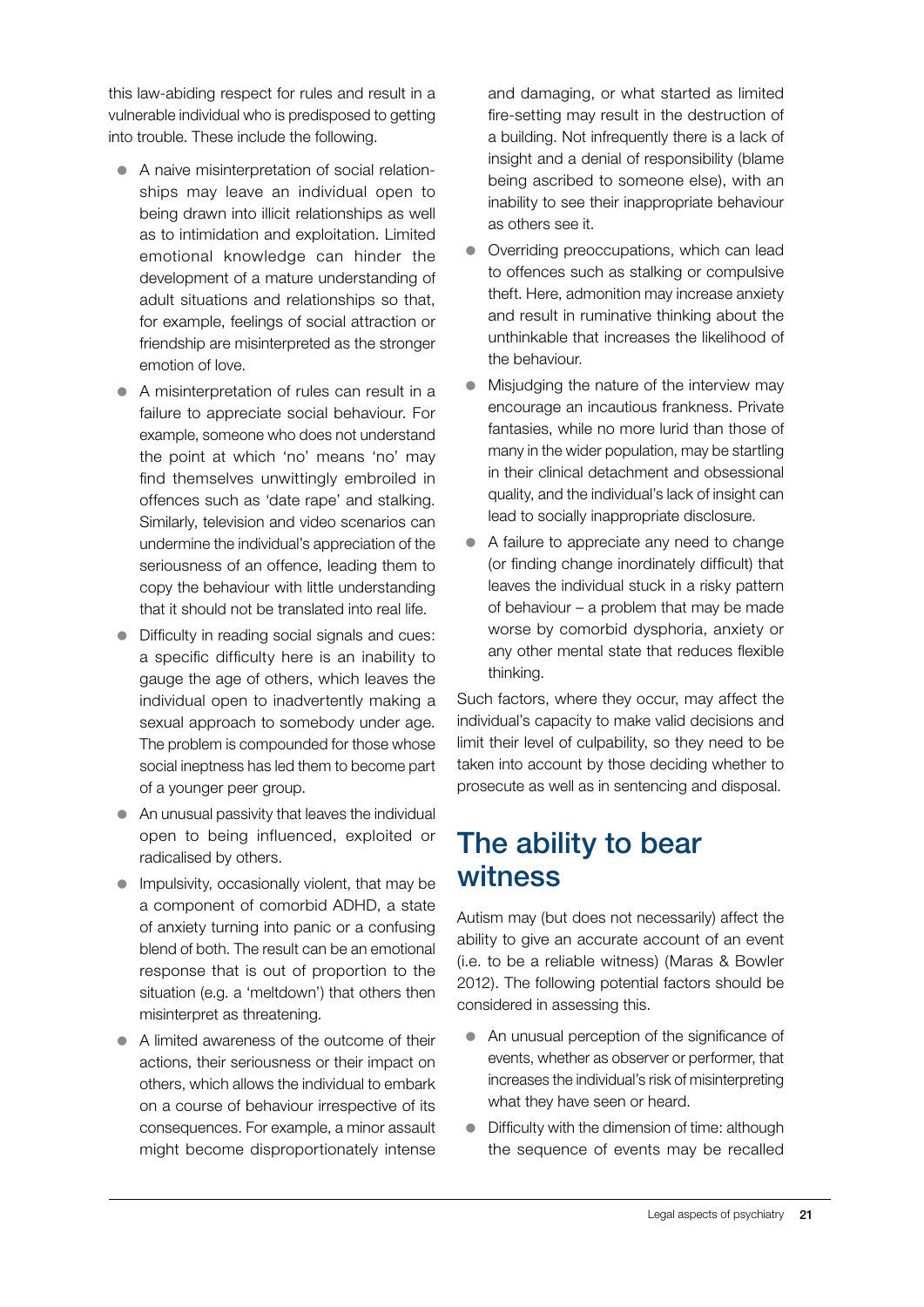this law-abiding respect for rules and result in a vulnerable individual who is predisposed to getting into trouble. These include the following.

- A naive misinterpretation of social relationships may leave an individual open to being drawn into illicit relationships as well as to intimidation and exploitation. Limited emotional knowledge can hinder the development of a mature understanding of adult situations and relationships so that, for example, feelings of social attraction or friendship are misinterpreted as the stronger emotion of love.
- A misinterpretation of rules can result in a failure to appreciate social behaviour. For example, someone who does not understand the point at which 'no' means 'no' may find themselves unwittingly embroiled in offences such as 'date rape' and stalking. Similarly, television and video scenarios can undermine the individual's appreciation of the seriousness of an offence, leading them to copy the behaviour with little understanding that it should not be translated into real life.
- Difficulty in reading social signals and cues: a specific difficulty here is an inability to gauge the age of others, which leaves the individual open to inadvertently making a sexual approach to somebody under age. The problem is compounded for those whose social ineptness has led them to become part of a younger peer group.
- $\bullet$  An unusual passivity that leaves the individual open to being influenced, exploited or radicalised by others.
- $\bullet$  Impulsivity, occasionally violent, that may be a component of comorbid ADHD, a state of anxiety turning into panic or a confusing blend of both. The result can be an emotional response that is out of proportion to the situation (e.g. a 'meltdown') that others then misinterpret as threatening.
- $\bullet$  A limited awareness of the outcome of their actions, their seriousness or their impact on others, which allows the individual to embark on a course of behaviour irrespective of its consequences. For example, a minor assault might become disproportionately intense

and damaging, or what started as limited fire-setting may result in the destruction of a building. Not infrequently there is a lack of insight and a denial of responsibility (blame being ascribed to someone else), with an inability to see their inappropriate behaviour as others see it.

- Overriding preoccupations, which can lead to offences such as stalking or compulsive theft. Here, admonition may increase anxiety and result in ruminative thinking about the unthinkable that increases the likelihood of the behaviour.
- $\bullet$  Misjudging the nature of the interview may encourage an incautious frankness. Private fantasies, while no more lurid than those of many in the wider population, may be startling in their clinical detachment and obsessional quality, and the individual's lack of insight can lead to socially inappropriate disclosure.
- $\bullet$  A failure to appreciate any need to change (or finding change inordinately difficult) that leaves the individual stuck in a risky pattern of behaviour – a problem that may be made worse by comorbid dysphoria, anxiety or any other mental state that reduces flexible thinking.

Such factors, where they occur, may affect the individual's capacity to make valid decisions and limit their level of culpability, so they need to be taken into account by those deciding whether to prosecute as well as in sentencing and disposal.

### The ability to bear witness

Autism may (but does not necessarily) affect the ability to give an accurate account of an event (i.e. to be a reliable witness) (Maras & Bowler 2012). The following potential factors should be considered in assessing this.

- An unusual perception of the significance of events, whether as observer or performer, that increases the individual's risk of misinterpreting what they have seen or heard.
- $\bullet$  Difficulty with the dimension of time: although the sequence of events may be recalled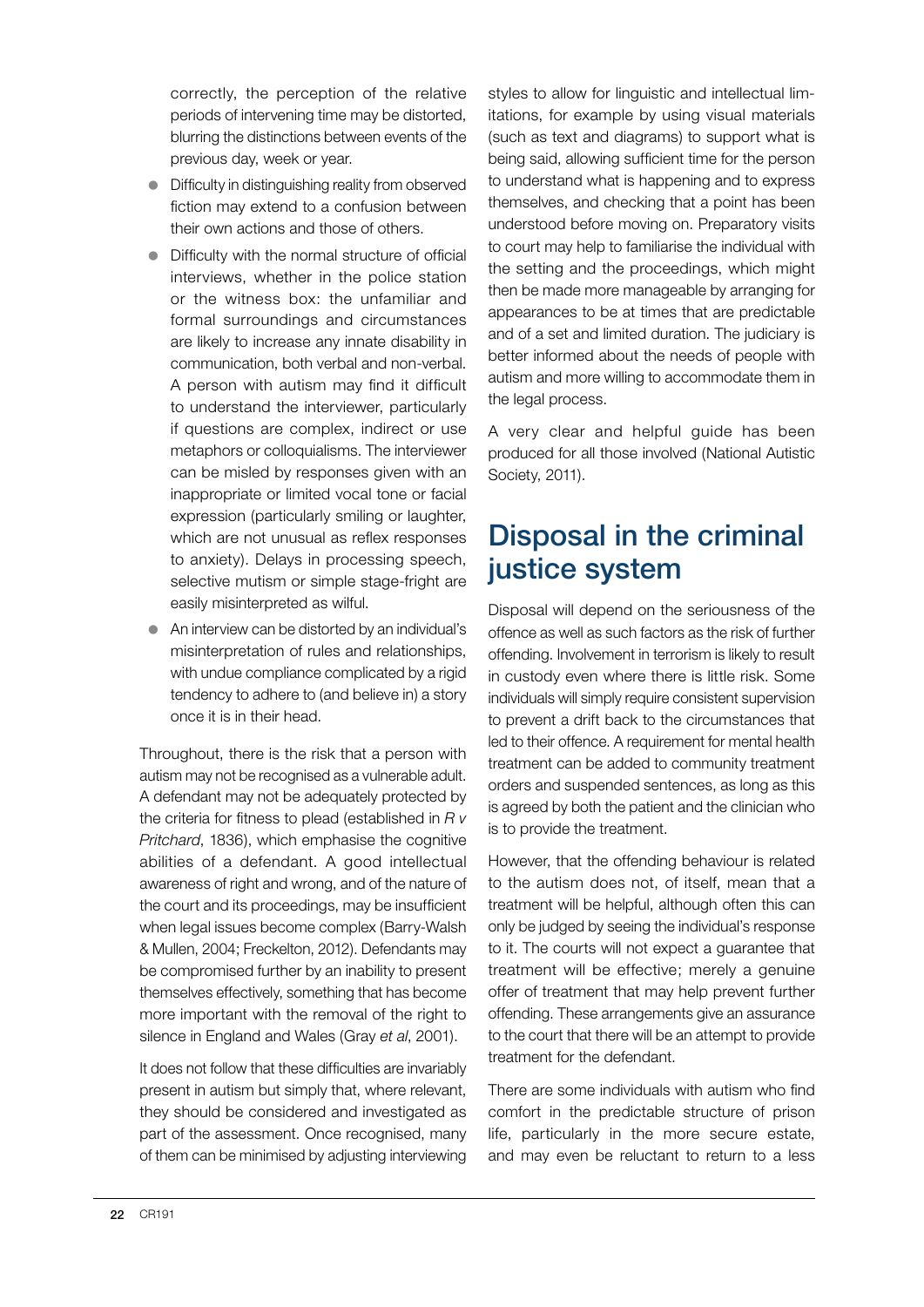correctly, the perception of the relative periods of intervening time may be distorted, blurring the distinctions between events of the previous day, week or year.

- Difficulty in distinguishing reality from observed fiction may extend to a confusion between their own actions and those of others.
- $\bullet$  Difficulty with the normal structure of official interviews, whether in the police station or the witness box: the unfamiliar and formal surroundings and circumstances are likely to increase any innate disability in communication, both verbal and non-verbal. A person with autism may find it difficult to understand the interviewer, particularly if questions are complex, indirect or use metaphors or colloquialisms. The interviewer can be misled by responses given with an inappropriate or limited vocal tone or facial expression (particularly smiling or laughter, which are not unusual as reflex responses to anxiety). Delays in processing speech, selective mutism or simple stage-fright are easily misinterpreted as wilful.
- An interview can be distorted by an individual's misinterpretation of rules and relationships, with undue compliance complicated by a rigid tendency to adhere to (and believe in) a story once it is in their head.

Throughout, there is the risk that a person with autism may not be recognised as a vulnerable adult. A defendant may not be adequately protected by the criteria for fitness to plead (established in *R v Pritchard*, 1836), which emphasise the cognitive abilities of a defendant. A good intellectual awareness of right and wrong, and of the nature of the court and its proceedings, may be insufficient when legal issues become complex (Barry-Walsh) & Mullen, 2004; Freckelton, 2012). Defendants may be compromised further by an inability to present themselves effectively, something that has become more important with the removal of the right to silence in England and Wales (Gray *et al*, 2001).

It does not follow that these difficulties are invariably present in autism but simply that, where relevant, they should be considered and investigated as part of the assessment. Once recognised, many of them can be minimised by adjusting interviewing styles to allow for linguistic and intellectual limitations, for example by using visual materials (such as text and diagrams) to support what is being said, allowing sufficient time for the person to understand what is happening and to express themselves, and checking that a point has been understood before moving on. Preparatory visits to court may help to familiarise the individual with the setting and the proceedings, which might then be made more manageable by arranging for appearances to be at times that are predictable and of a set and limited duration. The judiciary is better informed about the needs of people with autism and more willing to accommodate them in the legal process.

A very clear and helpful guide has been produced for all those involved (National Autistic Society, 2011).

## Disposal in the criminal justice system

Disposal will depend on the seriousness of the offence as well as such factors as the risk of further offending. Involvement in terrorism is likely to result in custody even where there is little risk. Some individuals will simply require consistent supervision to prevent a drift back to the circumstances that led to their offence. A requirement for mental health treatment can be added to community treatment orders and suspended sentences, as long as this is agreed by both the patient and the clinician who is to provide the treatment.

However, that the offending behaviour is related to the autism does not, of itself, mean that a treatment will be helpful, although often this can only be judged by seeing the individual's response to it. The courts will not expect a guarantee that treatment will be effective; merely a genuine offer of treatment that may help prevent further offending. These arrangements give an assurance to the court that there will be an attempt to provide treatment for the defendant.

There are some individuals with autism who find comfort in the predictable structure of prison life, particularly in the more secure estate, and may even be reluctant to return to a less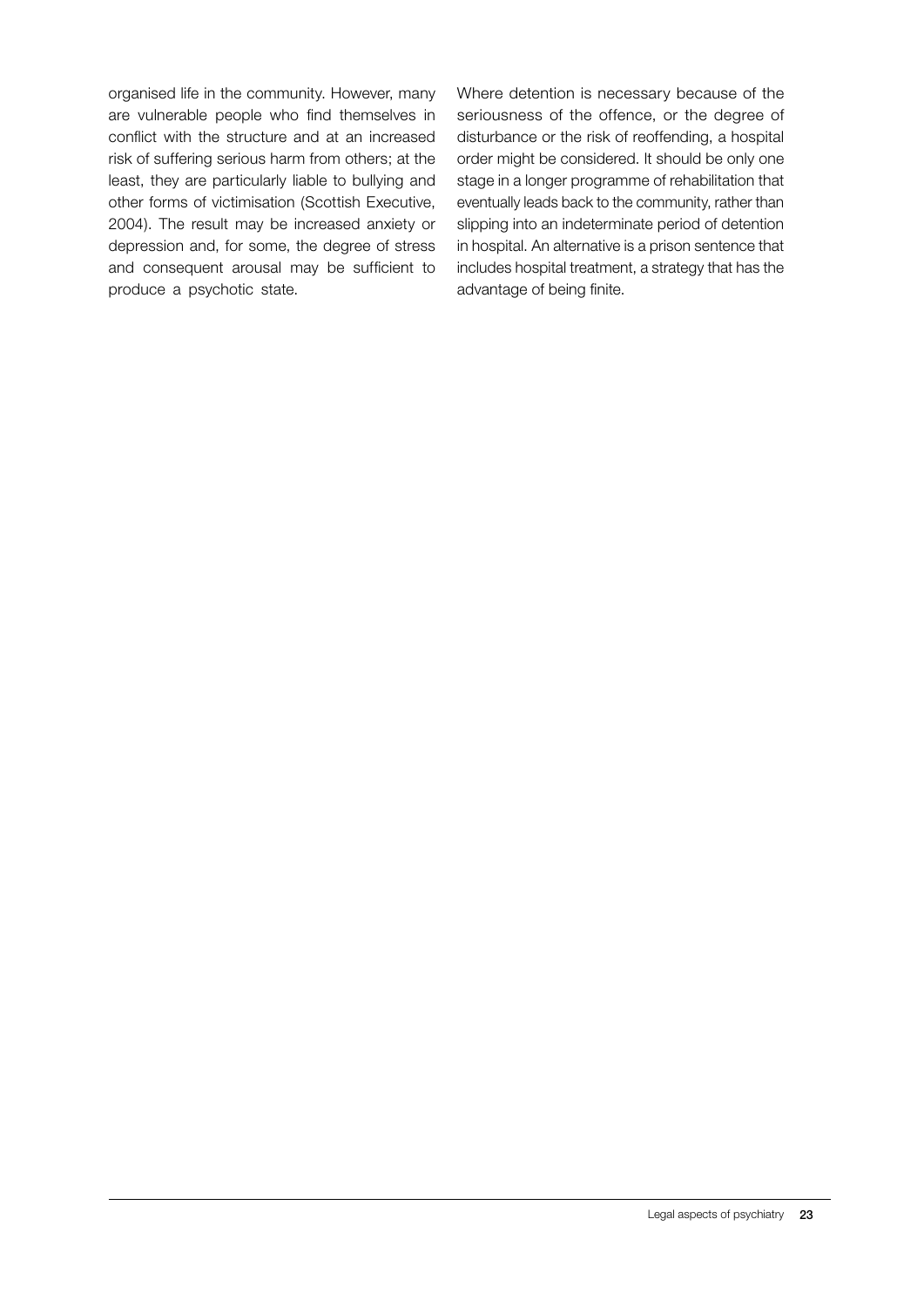organised life in the community. However, many are vulnerable people who find themselves in conflict with the structure and at an increased risk of suffering serious harm from others; at the least, they are particularly liable to bullying and other forms of victimisation (Scottish Executive, 2004). The result may be increased anxiety or depression and, for some, the degree of stress and consequent arousal may be sufficient to produce a psychotic state.

Where detention is necessary because of the seriousness of the offence, or the degree of disturbance or the risk of reoffending, a hospital order might be considered. It should be only one stage in a longer programme of rehabilitation that eventually leads back to the community, rather than slipping into an indeterminate period of detention in hospital. An alternative is a prison sentence that includes hospital treatment, a strategy that has the advantage of being finite.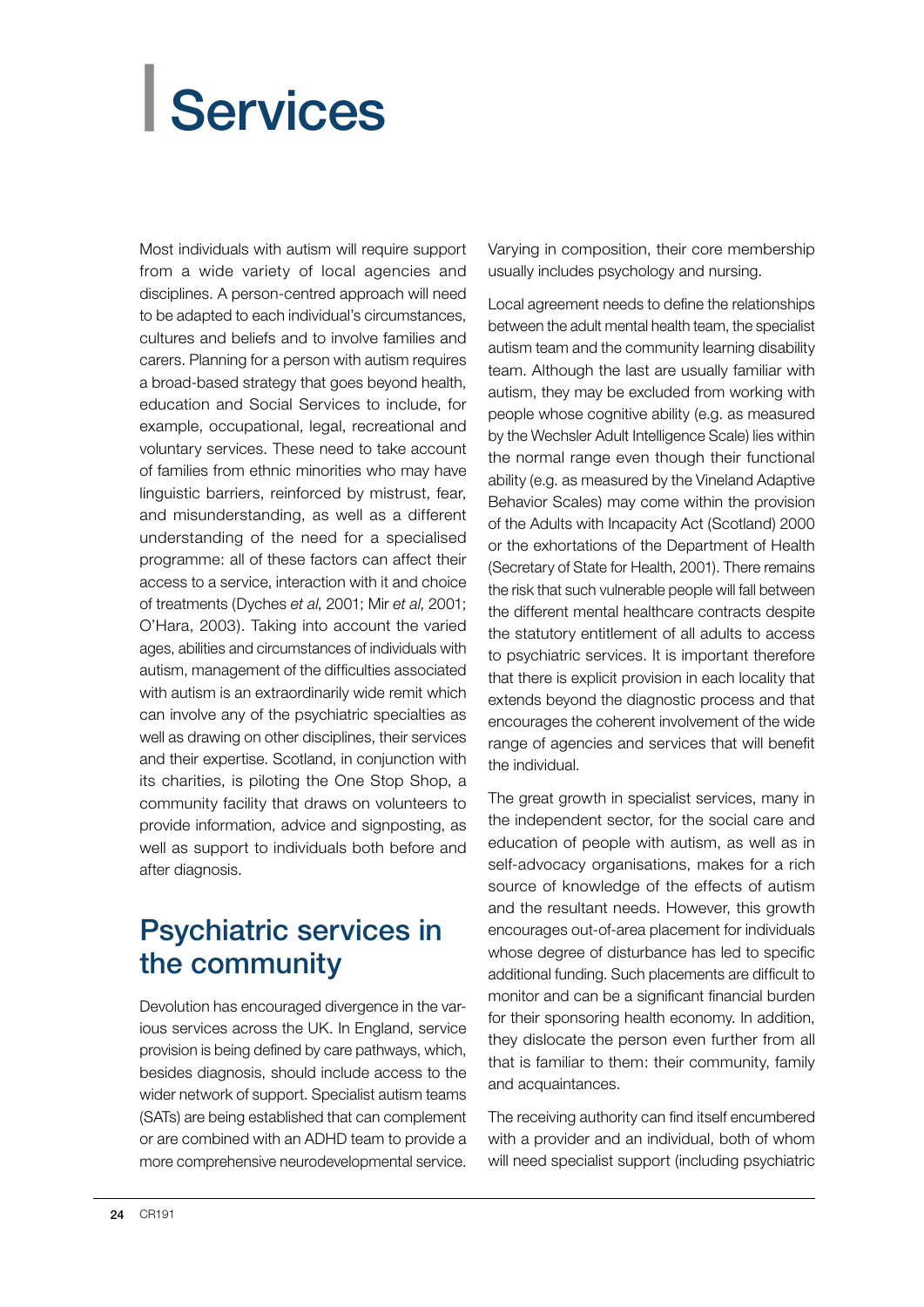# <span id="page-25-0"></span>| Services

Most individuals with autism will require support from a wide variety of local agencies and disciplines. A person-centred approach will need to be adapted to each individual's circumstances, cultures and beliefs and to involve families and carers. Planning for a person with autism requires a broad-based strategy that goes beyond health, education and Social Services to include, for example, occupational, legal, recreational and voluntary services. These need to take account of families from ethnic minorities who may have linguistic barriers, reinforced by mistrust, fear, and misunderstanding, as well as a different understanding of the need for a specialised programme: all of these factors can affect their access to a service, interaction with it and choice of treatments (Dyches *et al*, 2001; Mir *et al*, 2001; O'Hara, 2003). Taking into account the varied ages, abilities and circumstances of individuals with autism, management of the difficulties associated with autism is an extraordinarily wide remit which can involve any of the psychiatric specialties as well as drawing on other disciplines, their services and their expertise. Scotland, in conjunction with its charities, is piloting the One Stop Shop, a community facility that draws on volunteers to provide information, advice and signposting, as well as support to individuals both before and after diagnosis.

## Psychiatric services in the community

Devolution has encouraged divergence in the various services across the UK. In England, service provision is being defined by care pathways, which, besides diagnosis, should include access to the wider network of support. Specialist autism teams (SATs) are being established that can complement or are combined with an ADHD team to provide a more comprehensive neurodevelopmental service.

Varying in composition, their core membership usually includes psychology and nursing.

Local agreement needs to define the relationships between the adult mental health team, the specialist autism team and the community learning disability team. Although the last are usually familiar with autism, they may be excluded from working with people whose cognitive ability (e.g. as measured by the Wechsler Adult Intelligence Scale) lies within the normal range even though their functional ability (e.g. as measured by the Vineland Adaptive Behavior Scales) may come within the provision of the Adults with Incapacity Act (Scotland) 2000 or the exhortations of the Department of Health (Secretary of State for Health, 2001). There remains the risk that such vulnerable people will fall between the different mental healthcare contracts despite the statutory entitlement of all adults to access to psychiatric services. It is important therefore that there is explicit provision in each locality that extends beyond the diagnostic process and that encourages the coherent involvement of the wide range of agencies and services that will benefit the individual.

The great growth in specialist services, many in the independent sector, for the social care and education of people with autism, as well as in self-advocacy organisations, makes for a rich source of knowledge of the effects of autism and the resultant needs. However, this growth encourages out-of-area placement for individuals whose degree of disturbance has led to specific additional funding. Such placements are difficult to monitor and can be a significant financial burden for their sponsoring health economy. In addition, they dislocate the person even further from all that is familiar to them: their community, family and acquaintances.

The receiving authority can find itself encumbered with a provider and an individual, both of whom will need specialist support (including psychiatric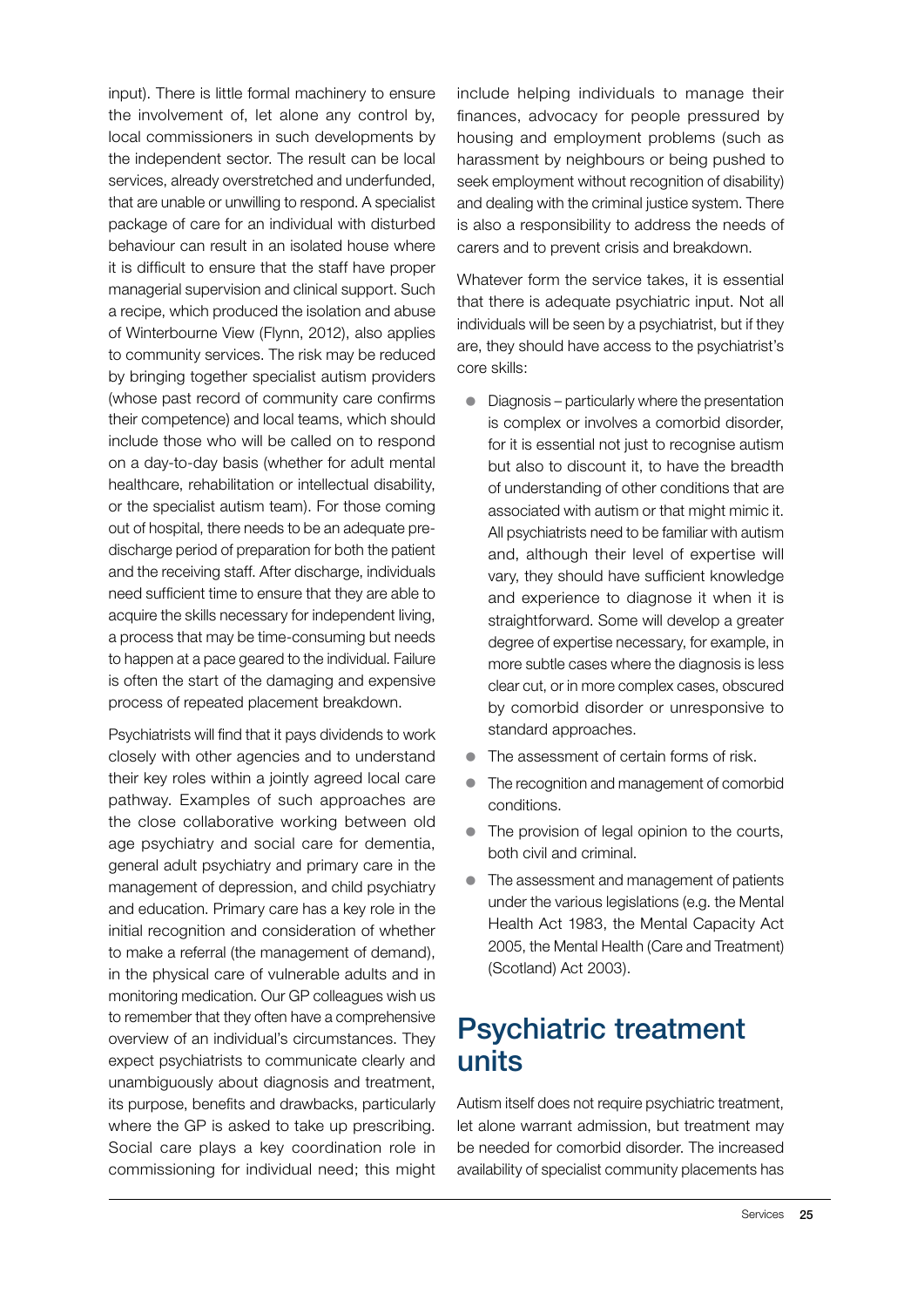input). There is little formal machinery to ensure the involvement of, let alone any control by, local commissioners in such developments by the independent sector. The result can be local services, already overstretched and underfunded, that are unable or unwilling to respond. A specialist package of care for an individual with disturbed behaviour can result in an isolated house where it is difficult to ensure that the staff have proper managerial supervision and clinical support. Such a recipe, which produced the isolation and abuse of Winterbourne View (Flynn, 2012), also applies to community services. The risk may be reduced by bringing together specialist autism providers (whose past record of community care confirms their competence) and local teams, which should include those who will be called on to respond on a day-to-day basis (whether for adult mental healthcare, rehabilitation or intellectual disability, or the specialist autism team). For those coming out of hospital, there needs to be an adequate predischarge period of preparation for both the patient and the receiving staff. After discharge, individuals need sufficient time to ensure that they are able to acquire the skills necessary for independent living, a process that may be time-consuming but needs to happen at a pace geared to the individual. Failure is often the start of the damaging and expensive process of repeated placement breakdown.

Psychiatrists will find that it pays dividends to work closely with other agencies and to understand their key roles within a jointly agreed local care pathway. Examples of such approaches are the close collaborative working between old age psychiatry and social care for dementia, general adult psychiatry and primary care in the management of depression, and child psychiatry and education. Primary care has a key role in the initial recognition and consideration of whether to make a referral (the management of demand), in the physical care of vulnerable adults and in monitoring medication. Our GP colleagues wish us to remember that they often have a comprehensive overview of an individual's circumstances. They expect psychiatrists to communicate clearly and unambiguously about diagnosis and treatment, its purpose, benefits and drawbacks, particularly where the GP is asked to take up prescribing. Social care plays a key coordination role in commissioning for individual need; this might include helping individuals to manage their finances, advocacy for people pressured by housing and employment problems (such as harassment by neighbours or being pushed to seek employment without recognition of disability) and dealing with the criminal justice system. There is also a responsibility to address the needs of carers and to prevent crisis and breakdown.

Whatever form the service takes, it is essential that there is adequate psychiatric input. Not all individuals will be seen by a psychiatrist, but if they are, they should have access to the psychiatrist's core skills:

- $\bullet$  Diagnosis particularly where the presentation is complex or involves a comorbid disorder, for it is essential not just to recognise autism but also to discount it, to have the breadth of understanding of other conditions that are associated with autism or that might mimic it. All psychiatrists need to be familiar with autism and, although their level of expertise will vary, they should have sufficient knowledge and experience to diagnose it when it is straightforward. Some will develop a greater degree of expertise necessary, for example, in more subtle cases where the diagnosis is less clear cut, or in more complex cases, obscured by comorbid disorder or unresponsive to standard approaches.
- The assessment of certain forms of risk.
- The recognition and management of comorbid conditions.
- The provision of legal opinion to the courts. both civil and criminal.
- The assessment and management of patients under the various legislations (e.g. the Mental Health Act 1983, the Mental Capacity Act 2005, the Mental Health (Care and Treatment) (Scotland) Act 2003).

### Psychiatric treatment units

Autism itself does not require psychiatric treatment, let alone warrant admission, but treatment may be needed for comorbid disorder. The increased availability of specialist community placements has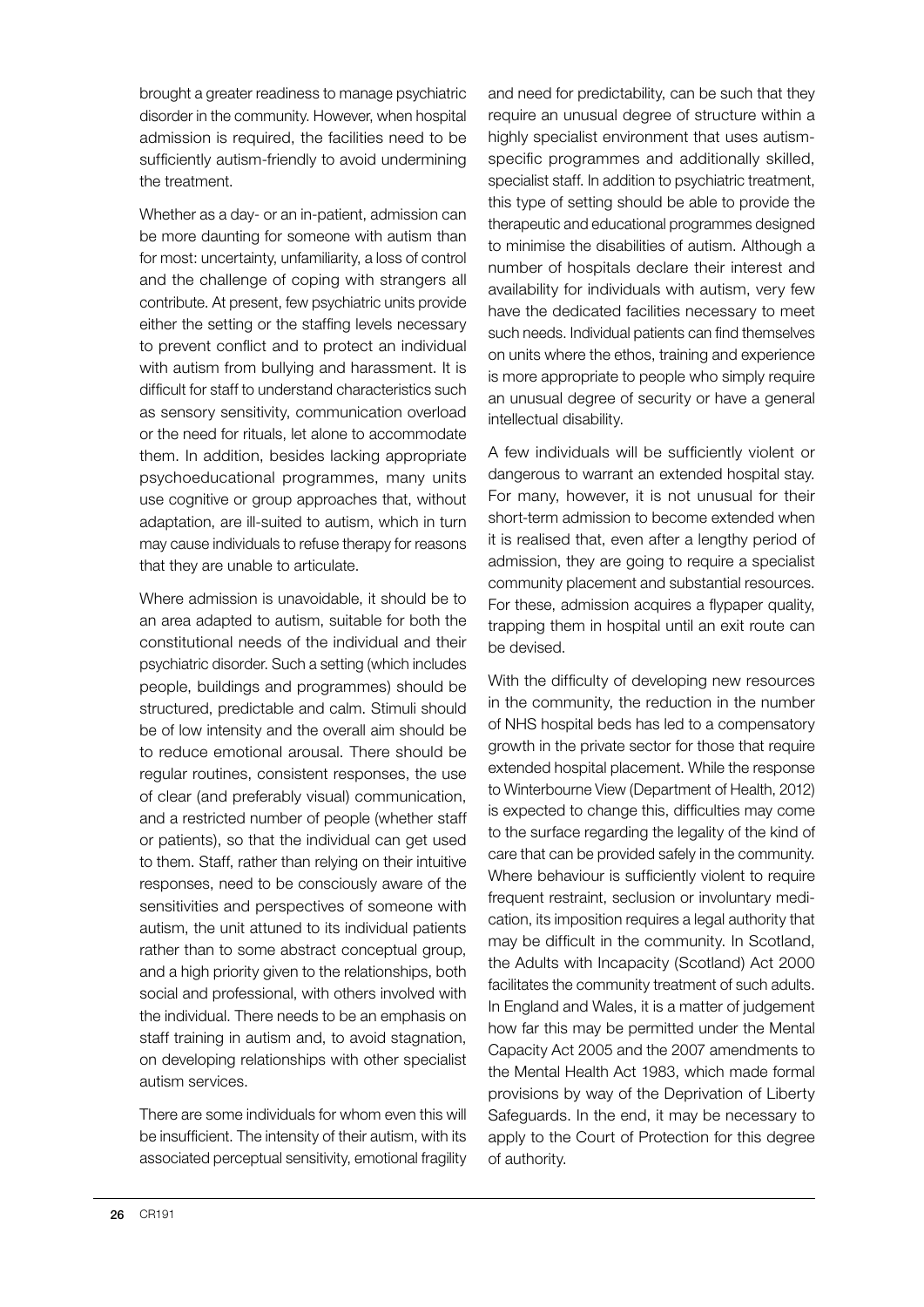brought a greater readiness to manage psychiatric disorder in the community. However, when hospital admission is required, the facilities need to be sufficiently autism-friendly to avoid undermining the treatment.

Whether as a day- or an in-patient, admission can be more daunting for someone with autism than for most: uncertainty, unfamiliarity, a loss of control and the challenge of coping with strangers all contribute. At present, few psychiatric units provide either the setting or the staffing levels necessary to prevent conflict and to protect an individual with autism from bullying and harassment. It is difficult for staff to understand characteristics such as sensory sensitivity, communication overload or the need for rituals, let alone to accommodate them. In addition, besides lacking appropriate psychoeducational programmes, many units use cognitive or group approaches that, without adaptation, are ill-suited to autism, which in turn may cause individuals to refuse therapy for reasons that they are unable to articulate.

Where admission is unavoidable, it should be to an area adapted to autism, suitable for both the constitutional needs of the individual and their psychiatric disorder. Such a setting (which includes people, buildings and programmes) should be structured, predictable and calm. Stimuli should be of low intensity and the overall aim should be to reduce emotional arousal. There should be regular routines, consistent responses, the use of clear (and preferably visual) communication, and a restricted number of people (whether staff or patients), so that the individual can get used to them. Staff, rather than relying on their intuitive responses, need to be consciously aware of the sensitivities and perspectives of someone with autism, the unit attuned to its individual patients rather than to some abstract conceptual group, and a high priority given to the relationships, both social and professional, with others involved with the individual. There needs to be an emphasis on staff training in autism and, to avoid stagnation, on developing relationships with other specialist autism services.

There are some individuals for whom even this will be insufficient. The intensity of their autism, with its associated perceptual sensitivity, emotional fragility and need for predictability, can be such that they require an unusual degree of structure within a highly specialist environment that uses autismspecific programmes and additionally skilled, specialist staff. In addition to psychiatric treatment, this type of setting should be able to provide the therapeutic and educational programmes designed to minimise the disabilities of autism. Although a number of hospitals declare their interest and availability for individuals with autism, very few have the dedicated facilities necessary to meet such needs. Individual patients can find themselves on units where the ethos, training and experience is more appropriate to people who simply require an unusual degree of security or have a general intellectual disability.

A few individuals will be sufficiently violent or dangerous to warrant an extended hospital stay. For many, however, it is not unusual for their short-term admission to become extended when it is realised that, even after a lengthy period of admission, they are going to require a specialist community placement and substantial resources. For these, admission acquires a flypaper quality, trapping them in hospital until an exit route can be devised.

With the difficulty of developing new resources in the community, the reduction in the number of NHS hospital beds has led to a compensatory growth in the private sector for those that require extended hospital placement. While the response to Winterbourne View (Department of Health, 2012) is expected to change this, difficulties may come to the surface regarding the legality of the kind of care that can be provided safely in the community. Where behaviour is sufficiently violent to require frequent restraint, seclusion or involuntary medication, its imposition requires a legal authority that may be difficult in the community. In Scotland, the Adults with Incapacity (Scotland) Act 2000 facilitates the community treatment of such adults. In England and Wales, it is a matter of judgement how far this may be permitted under the Mental Capacity Act 2005 and the 2007 amendments to the Mental Health Act 1983, which made formal provisions by way of the Deprivation of Liberty Safeguards. In the end, it may be necessary to apply to the Court of Protection for this degree of authority.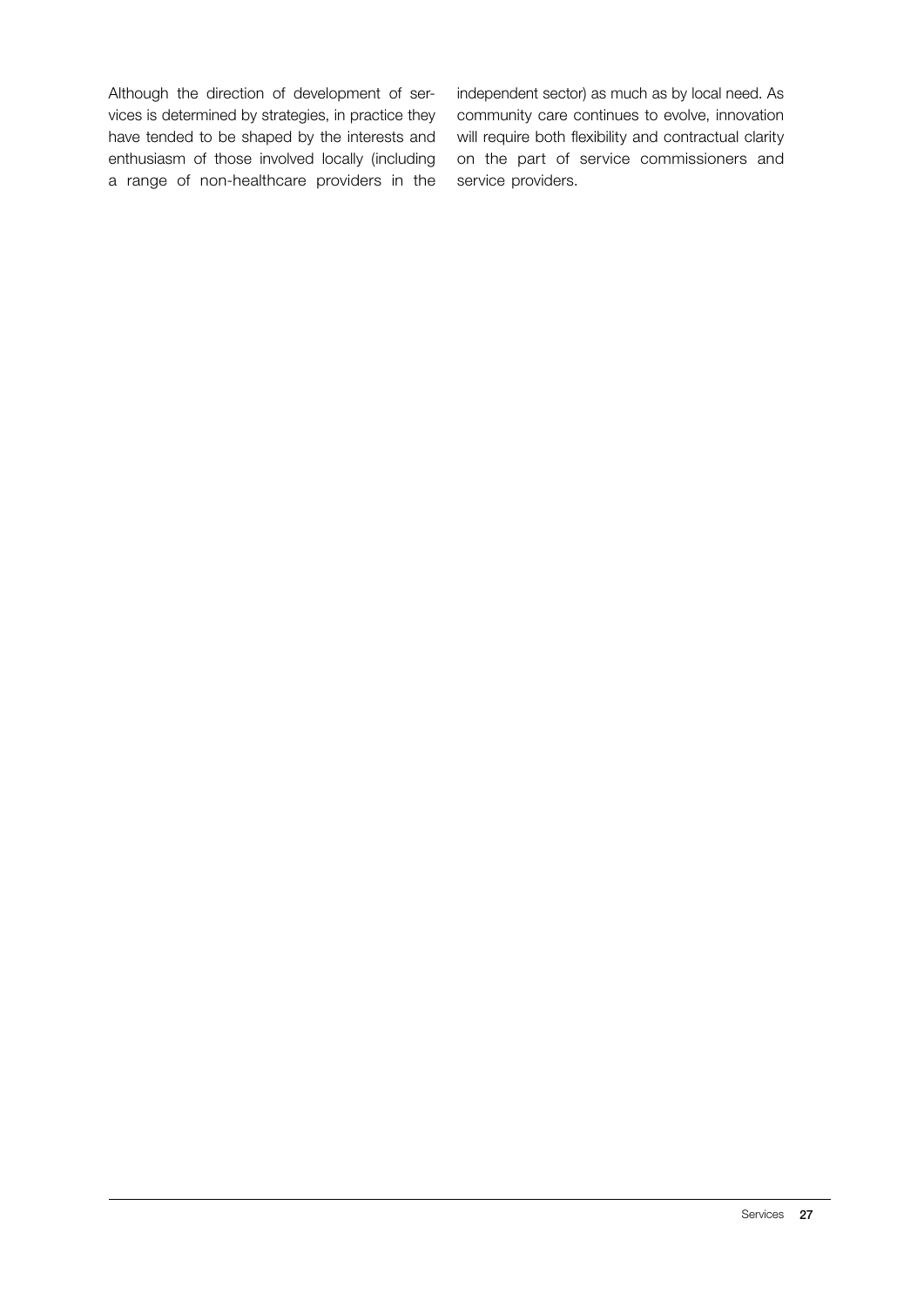Although the direction of development of services is determined by strategies, in practice they have tended to be shaped by the interests and enthusiasm of those involved locally (including a range of non-healthcare providers in the

independent sector) as much as by local need. As community care continues to evolve, innovation will require both flexibility and contractual clarity on the part of service commissioners and service providers.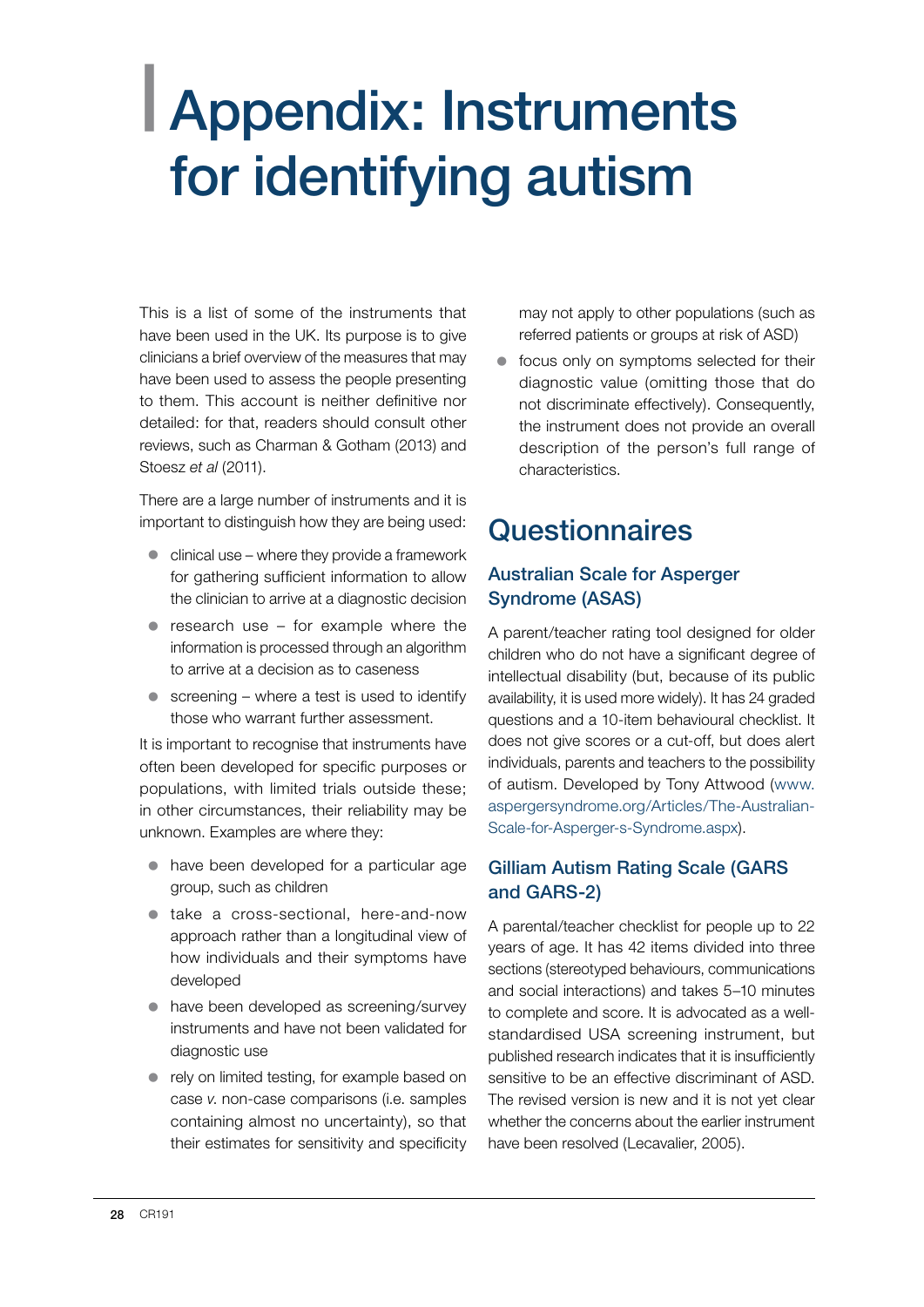## <span id="page-29-0"></span>| Appendix: Instruments for identifying autism

This is a list of some of the instruments that have been used in the UK. Its purpose is to give clinicians a brief overview of the measures that may have been used to assess the people presenting to them. This account is neither definitive nor detailed: for that, readers should consult other reviews, such as Charman & Gotham (2013) and Stoesz *et al* (2011).

There are a large number of instruments and it is important to distinguish how they are being used:

- $\bullet$  clinical use where they provide a framework for gathering sufficient information to allow the clinician to arrive at a diagnostic decision
- $\bullet$  research use for example where the information is processed through an algorithm to arrive at a decision as to caseness
- $\bullet$  screening where a test is used to identify those who warrant further assessment.

It is important to recognise that instruments have often been developed for specific purposes or populations, with limited trials outside these; in other circumstances, their reliability may be unknown. Examples are where they:

- $\bullet$  have been developed for a particular age group, such as children
- take a cross-sectional, here-and-now approach rather than a longitudinal view of how individuals and their symptoms have developed
- have been developed as screening/survey instruments and have not been validated for diagnostic use
- $\bullet$  rely on limited testing, for example based on case *v*. non-case comparisons (i.e. samples containing almost no uncertainty), so that their estimates for sensitivity and specificity

may not apply to other populations (such as referred patients or groups at risk of ASD)

 $\bullet$  focus only on symptoms selected for their diagnostic value (omitting those that do not discriminate effectively). Consequently, the instrument does not provide an overall description of the person's full range of characteristics.

## **Questionnaires**

#### Australian Scale for Asperger Syndrome (ASAS)

A parent/teacher rating tool designed for older children who do not have a significant degree of intellectual disability (but, because of its public availability, it is used more widely). It has 24 graded questions and a 10-item behavioural checklist. It does not give scores or a cut-off, but does alert individuals, parents and teachers to the possibility of autism. Developed by Tony Attwood (www. aspergersyndrome.org/Articles/The-Australian-Scale-for-Asperger-s-Syndrome.aspx).

#### Gilliam Autism Rating Scale (GARS and GARS-2)

A parental/teacher checklist for people up to 22 years of age. It has 42 items divided into three sections (stereotyped behaviours, communications and social interactions) and takes 5–10 minutes to complete and score. It is advocated as a wellstandardised USA screening instrument, but published research indicates that it is insufficiently sensitive to be an effective discriminant of ASD. The revised version is new and it is not yet clear whether the concerns about the earlier instrument have been resolved (Lecavalier, 2005).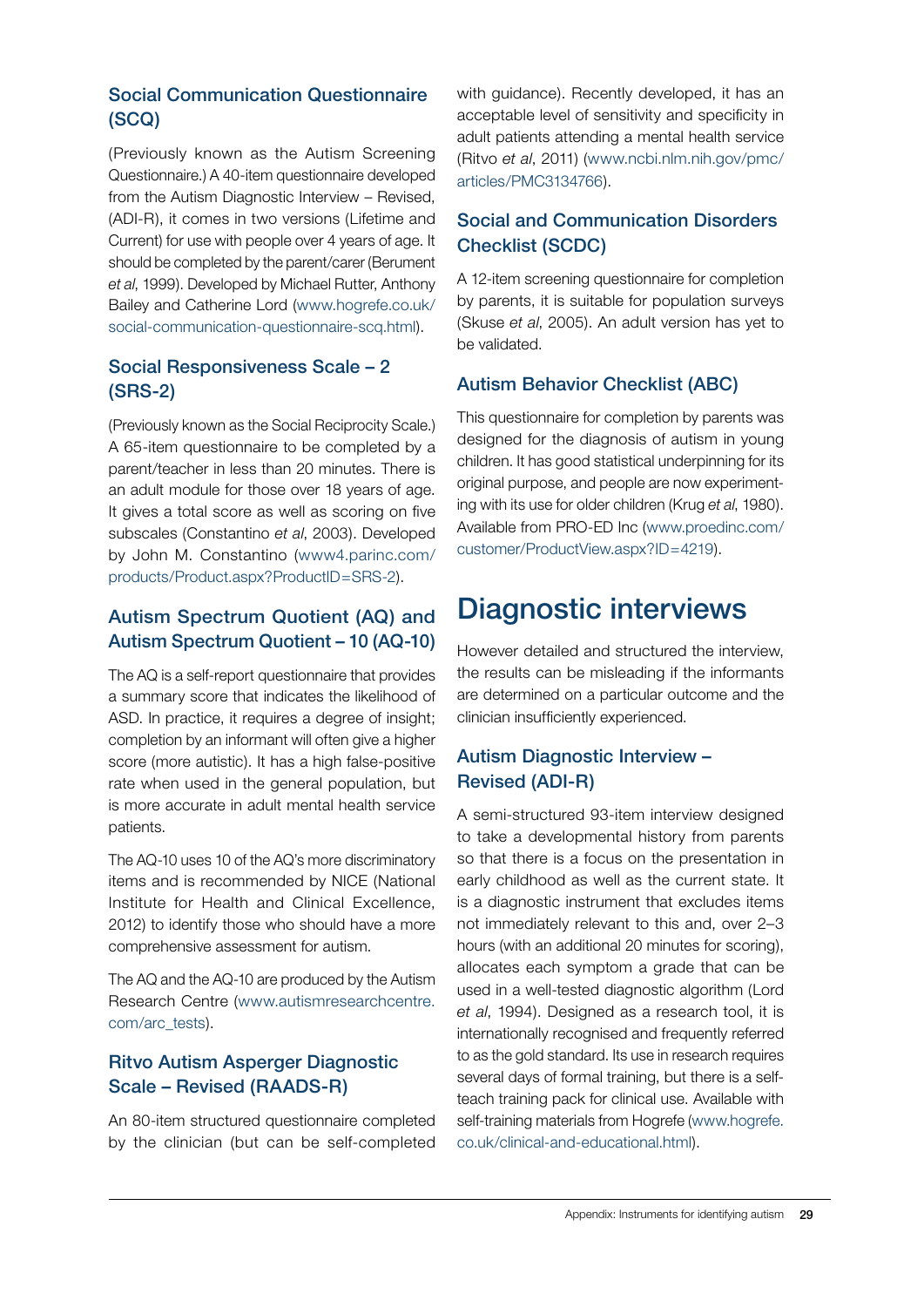### Social Communication Questionnaire (SCQ)

(Previously known as the Autism Screening Questionnaire.) A 40-item questionnaire developed from the Autism Diagnostic Interview – Revised, (ADI-R), it comes in two versions (Lifetime and Current) for use with people over 4 years of age. It should be completed by the parent/carer (Berument *et al*, 1999). Developed by Michael Rutter, Anthony Bailey and Catherine Lord (www.hogrefe.co.uk/ social-communication-questionnaire-scq.html).

#### Social Responsiveness Scale – 2 (SRS-2)

(Previously known as the Social Reciprocity Scale.) A 65-item questionnaire to be completed by a parent/teacher in less than 20 minutes. There is an adult module for those over 18 years of age. It gives a total score as well as scoring on five subscales (Constantino *et al*, 2003). Developed by John M. Constantino (www4.parinc.com/ products/Product.aspx?ProductID=SRS-2).

#### Autism Spectrum Quotient (AQ) and Autism Spectrum Quotient – 10 (AQ-10)

The AQ is a self-report questionnaire that provides a summary score that indicates the likelihood of ASD. In practice, it requires a degree of insight; completion by an informant will often give a higher score (more autistic). It has a high false-positive rate when used in the general population, but is more accurate in adult mental health service patients.

The AQ-10 uses 10 of the AQ's more discriminatory items and is recommended by NICE (National Institute for Health and Clinical Excellence, 2012) to identify those who should have a more comprehensive assessment for autism.

The AQ and the AQ-10 are produced by the Autism Research Centre (www.autismresearchcentre. com/arc\_tests).

#### Ritvo Autism Asperger Diagnostic Scale – Revised (RAADS-R)

An 80-item structured questionnaire completed by the clinician (but can be self-completed with guidance). Recently developed, it has an acceptable level of sensitivity and specificity in adult patients attending a mental health service (Ritvo *et al*, 2011) (www.ncbi.nlm.nih.gov/pmc/ articles/PMC3134766).

#### Social and Communication Disorders Checklist (SCDC)

A 12-item screening questionnaire for completion by parents, it is suitable for population surveys (Skuse *et al*, 2005). An adult version has yet to be validated.

#### Autism Behavior Checklist (ABC)

This questionnaire for completion by parents was designed for the diagnosis of autism in young children. It has good statistical underpinning for its original purpose, and people are now experimenting with its use for older children (Krug *et al*, 1980). Available from PRO-ED Inc (www.proedinc.com/ customer/ProductView.aspx?ID=4219).

## Diagnostic interviews

However detailed and structured the interview, the results can be misleading if the informants are determined on a particular outcome and the clinician insufficiently experienced.

### Autism Diagnostic Interview – Revised (ADI-R)

A semi-structured 93-item interview designed to take a developmental history from parents so that there is a focus on the presentation in early childhood as well as the current state. It is a diagnostic instrument that excludes items not immediately relevant to this and, over 2–3 hours (with an additional 20 minutes for scoring), allocates each symptom a grade that can be used in a well-tested diagnostic algorithm (Lord *et al*, 1994). Designed as a research tool, it is internationally recognised and frequently referred to as the gold standard. Its use in research requires several days of formal training, but there is a selfteach training pack for clinical use. Available with self-training materials from Hogrefe (www.hogrefe. co.uk/clinical-and-educational.html).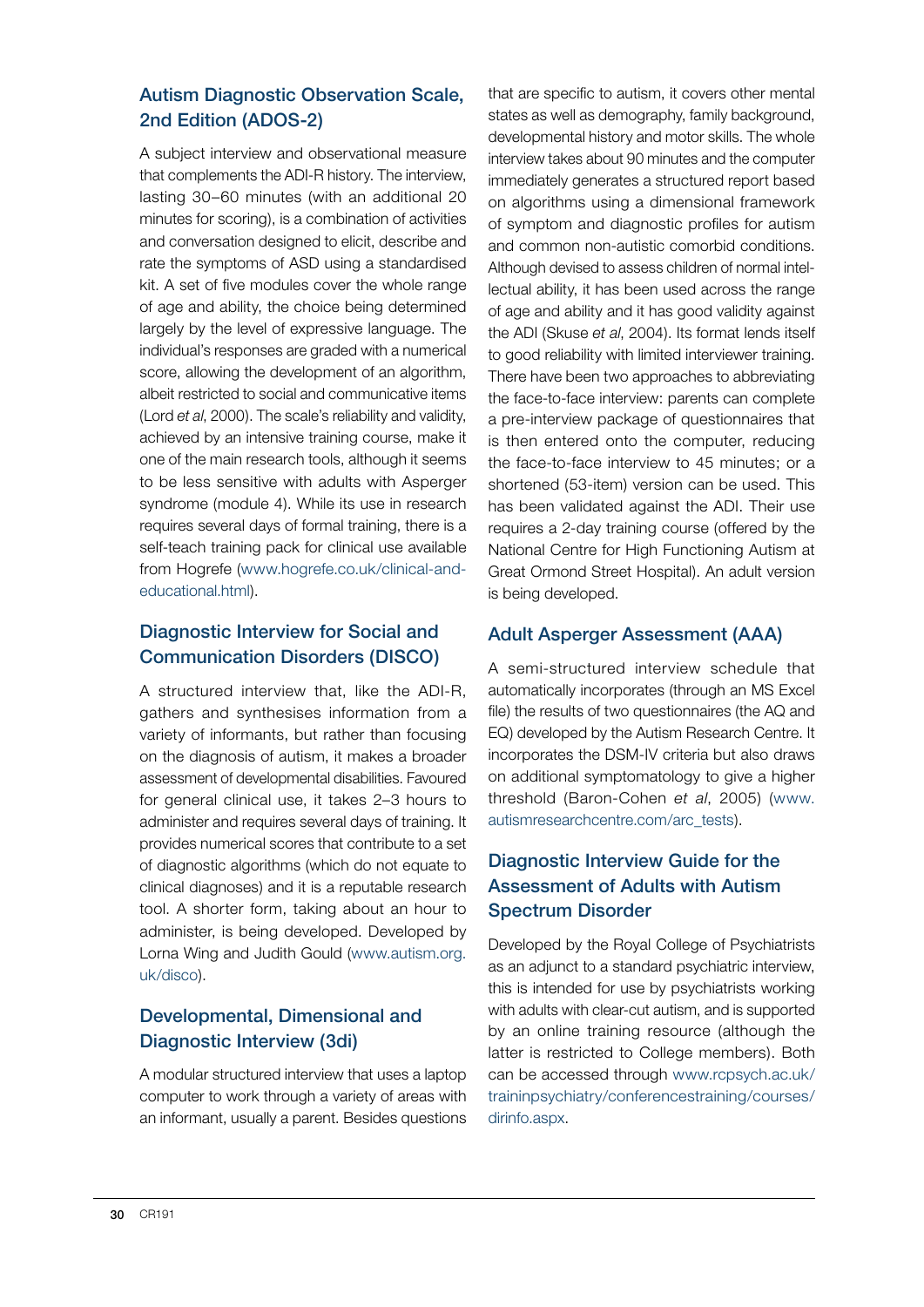#### Autism Diagnostic Observation Scale, 2nd Edition (ADOS-2)

A subject interview and observational measure that complements the ADI-R history. The interview, lasting 30–60 minutes (with an additional 20 minutes for scoring), is a combination of activities and conversation designed to elicit, describe and rate the symptoms of ASD using a standardised kit. A set of five modules cover the whole range of age and ability, the choice being determined largely by the level of expressive language. The individual's responses are graded with a numerical score, allowing the development of an algorithm, albeit restricted to social and communicative items (Lord *et al*, 2000). The scale's reliability and validity, achieved by an intensive training course, make it one of the main research tools, although it seems to be less sensitive with adults with Asperger syndrome (module 4). While its use in research requires several days of formal training, there is a self-teach training pack for clinical use available from Hogrefe (www.hogrefe.co.uk/clinical-andeducational.html).

#### Diagnostic Interview for Social and Communication Disorders (DISCO)

A structured interview that, like the ADI-R, gathers and synthesises information from a variety of informants, but rather than focusing on the diagnosis of autism, it makes a broader assessment of developmental disabilities. Favoured for general clinical use, it takes 2–3 hours to administer and requires several days of training. It provides numerical scores that contribute to a set of diagnostic algorithms (which do not equate to clinical diagnoses) and it is a reputable research tool. A shorter form, taking about an hour to administer, is being developed. Developed by Lorna Wing and Judith Gould (www.autism.org. uk/disco).

#### Developmental, Dimensional and Diagnostic Interview (3di)

A modular structured interview that uses a laptop computer to work through a variety of areas with an informant, usually a parent. Besides questions that are specific to autism, it covers other mental states as well as demography, family background, developmental history and motor skills. The whole interview takes about 90 minutes and the computer immediately generates a structured report based on algorithms using a dimensional framework of symptom and diagnostic profiles for autism and common non-autistic comorbid conditions. Although devised to assess children of normal intellectual ability, it has been used across the range of age and ability and it has good validity against the ADI (Skuse *et al*, 2004). Its format lends itself to good reliability with limited interviewer training. There have been two approaches to abbreviating the face-to-face interview: parents can complete a pre-interview package of questionnaires that is then entered onto the computer, reducing the face-to-face interview to 45 minutes; or a shortened (53-item) version can be used. This has been validated against the ADI. Their use requires a 2-day training course (offered by the National Centre for High Functioning Autism at Great Ormond Street Hospital). An adult version is being developed.

#### Adult Asperger Assessment (AAA)

A semi-structured interview schedule that automatically incorporates (through an MS Excel file) the results of two questionnaires (the AQ and EQ) developed by the Autism Research Centre. It incorporates the DSM-IV criteria but also draws on additional symptomatology to give a higher threshold (Baron-Cohen *et al*, 2005) (www. autismresearchcentre.com/arc\_tests).

#### Diagnostic Interview Guide for the Assessment of Adults with Autism Spectrum Disorder

Developed by the Royal College of Psychiatrists as an adjunct to a standard psychiatric interview, this is intended for use by psychiatrists working with adults with clear-cut autism, and is supported by an online training resource (although the latter is restricted to College members). Both can be accessed through www.rcpsych.ac.uk/ traininpsychiatry/conferencestraining/courses/ dirinfo.aspx.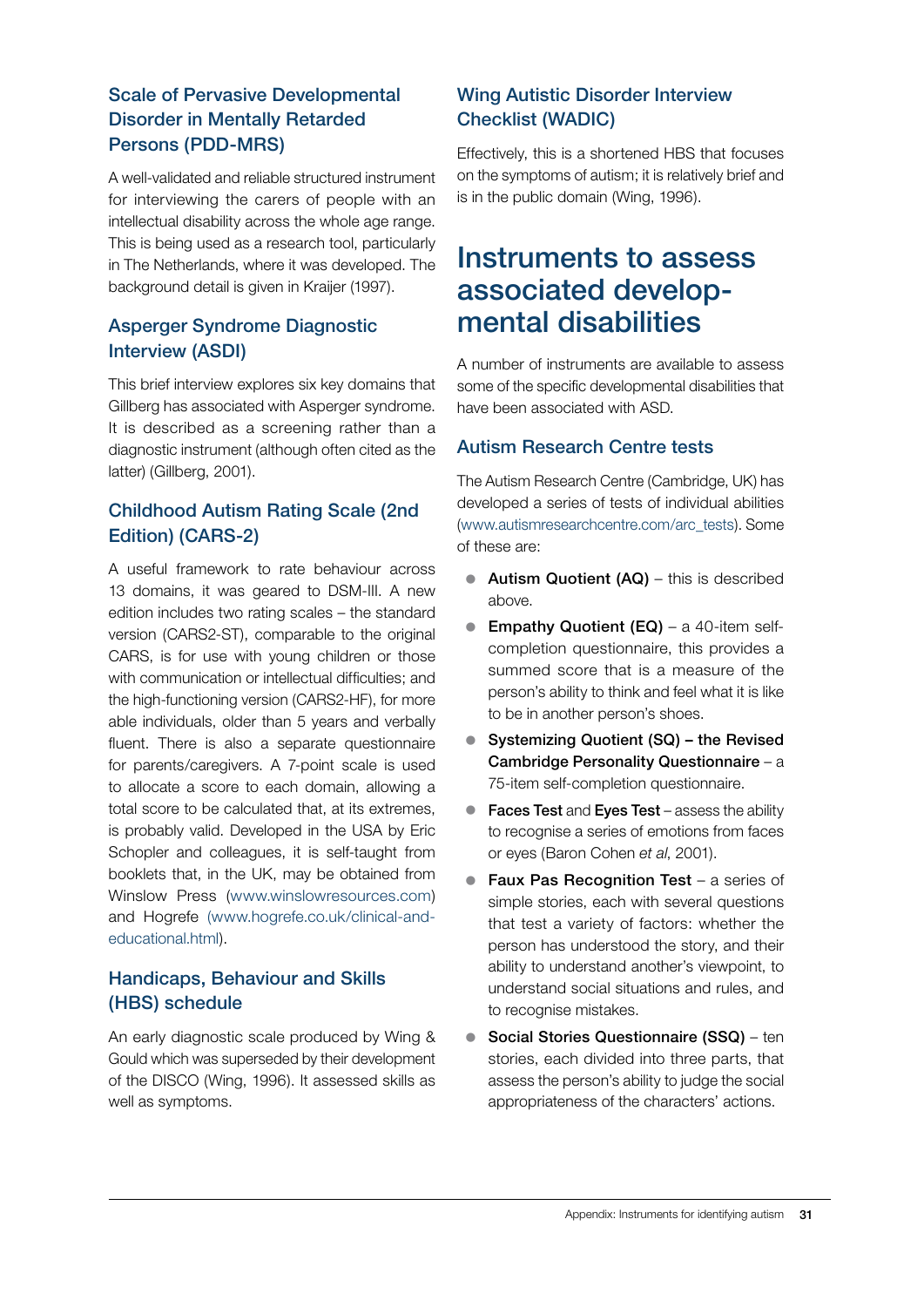#### Scale of Pervasive Developmental Disorder in Mentally Retarded Persons (PDD-MRS)

A well-validated and reliable structured instrument for interviewing the carers of people with an intellectual disability across the whole age range. This is being used as a research tool, particularly in The Netherlands, where it was developed. The background detail is given in Kraijer (1997).

#### Asperger Syndrome Diagnostic Interview (ASDI)

This brief interview explores six key domains that Gillberg has associated with Asperger syndrome. It is described as a screening rather than a diagnostic instrument (although often cited as the latter) (Gillberg, 2001).

#### Childhood Autism Rating Scale (2nd Edition) (CARS-2)

A useful framework to rate behaviour across 13 domains, it was geared to DSM-III. A new edition includes two rating scales – the standard version (CARS2-ST), comparable to the original CARS, is for use with young children or those with communication or intellectual difficulties; and the high-functioning version (CARS2-HF), for more able individuals, older than 5 years and verbally fluent. There is also a separate questionnaire for parents/caregivers. A 7-point scale is used to allocate a score to each domain, allowing a total score to be calculated that, at its extremes, is probably valid. Developed in the USA by Eric Schopler and colleagues, it is self-taught from booklets that, in the UK, may be obtained from Winslow Press (www.winslowresources.com) and Hogrefe (www.hogrefe.co.uk/clinical-andeducational.html).

### Handicaps, Behaviour and Skills (HBS) schedule

An early diagnostic scale produced by Wing & Gould which was superseded by their development of the DISCO (Wing, 1996). It assessed skills as well as symptoms.

### Wing Autistic Disorder Interview Checklist (WADIC)

Effectively, this is a shortened HBS that focuses on the symptoms of autism; it is relatively brief and is in the public domain (Wing, 1996).

## Instruments to assess associated developmental disabilities

A number of instruments are available to assess some of the specific developmental disabilities that have been associated with ASD.

### Autism Research Centre tests

The Autism Research Centre (Cambridge, UK) has developed a series of tests of individual abilities (www.autismresearchcentre.com/arc\_tests). Some of these are:

- Autism Quotient  $(AQ)$  this is described above.
- **Empathy Quotient (EQ)** a 40-item selfcompletion questionnaire, this provides a summed score that is a measure of the person's ability to think and feel what it is like to be in another person's shoes.
- Systemizing Quotient (SQ) the Revised Cambridge Personality Questionnaire – a 75-item self-completion questionnaire.
- $\bullet$  Faces Test and Eyes Test assess the ability to recognise a series of emotions from faces or eyes (Baron Cohen *et al*, 2001).
- Faux Pas Recognition Test a series of simple stories, each with several questions that test a variety of factors: whether the person has understood the story, and their ability to understand another's viewpoint, to understand social situations and rules, and to recognise mistakes.
- Social Stories Questionnaire (SSQ) ten stories, each divided into three parts, that assess the person's ability to judge the social appropriateness of the characters' actions.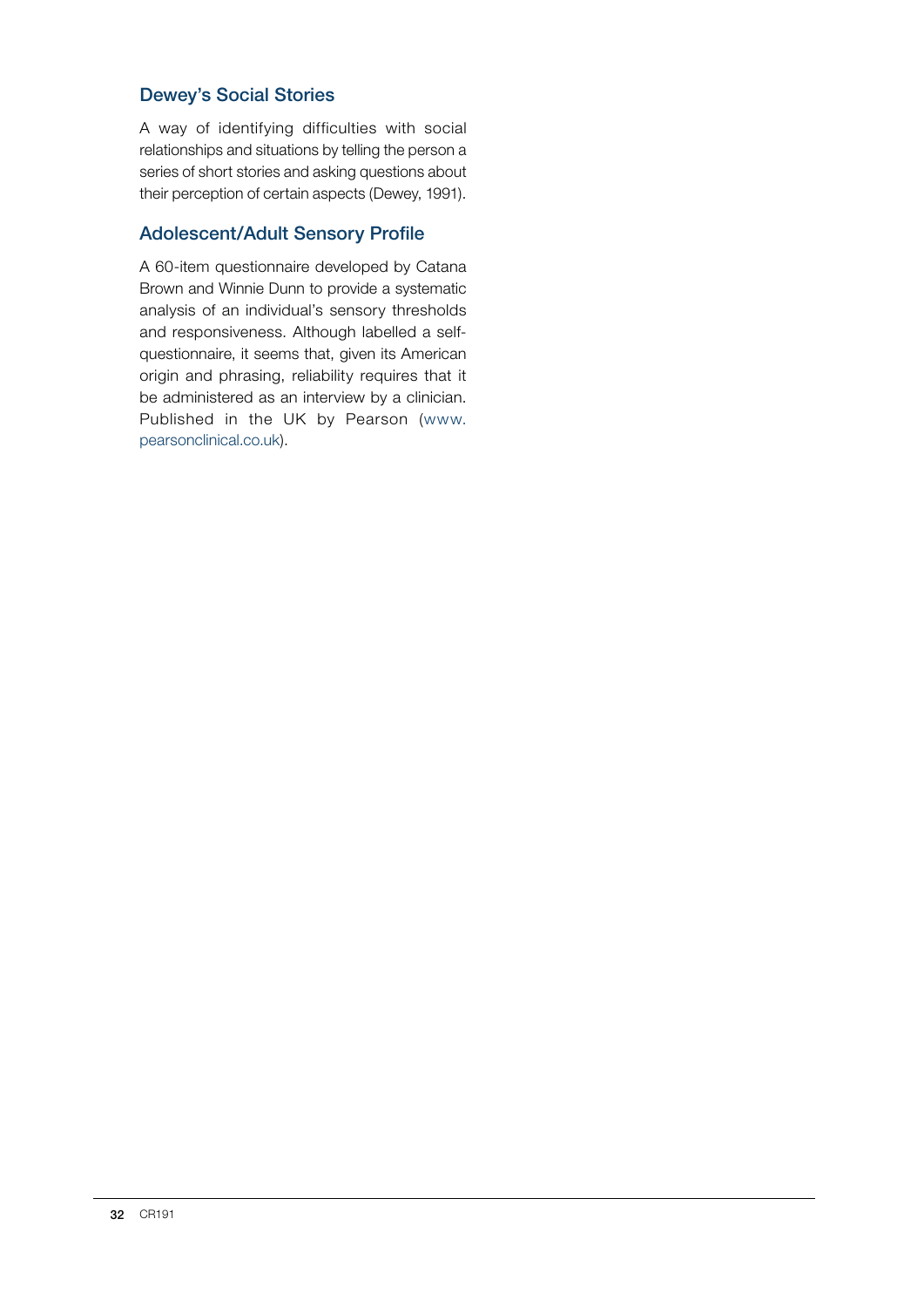#### Dewey's Social Stories

A way of identifying difficulties with social relationships and situations by telling the person a series of short stories and asking questions about their perception of certain aspects (Dewey, 1991).

#### Adolescent/Adult Sensory Profile

A 60-item questionnaire developed by Catana Brown and Winnie Dunn to provide a systematic analysis of an individual's sensory thresholds and responsiveness. Although labelled a selfquestionnaire, it seems that, given its American origin and phrasing, reliability requires that it be administered as an interview by a clinician. Published in the UK by Pearson (www. pearsonclinical.co.uk).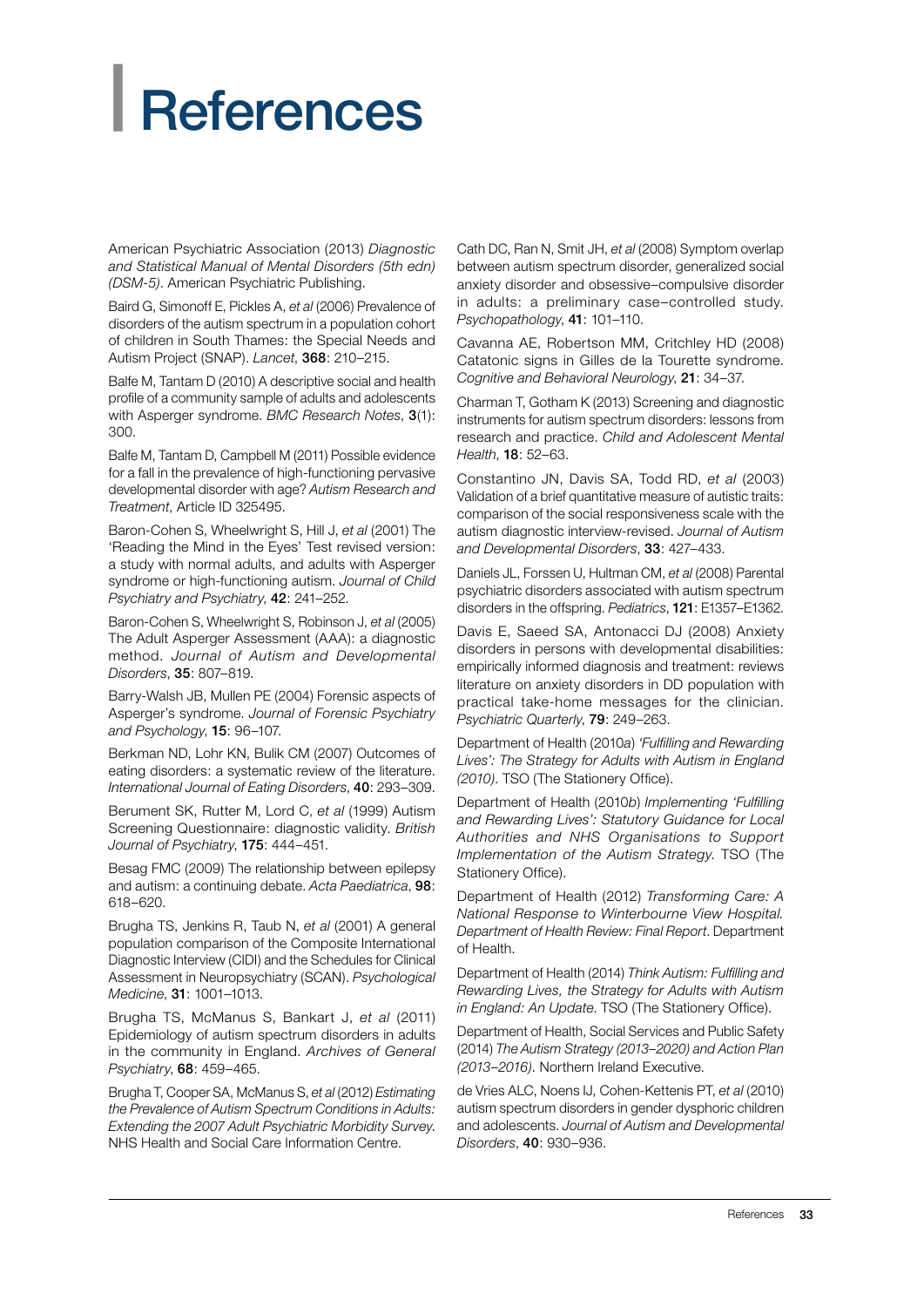# <span id="page-34-0"></span>**References**

American Psychiatric Association (2013) *Diagnostic and Statistical Manual of Mental Disorders (5th edn) (DSM-5)*. American Psychiatric Publishing.

Baird G, Simonoff E, Pickles A, *et al* (2006) Prevalence of disorders of the autism spectrum in a population cohort of children in South Thames: the Special Needs and Autism Project (SNAP). *Lancet*, 368: 210–215.

Balfe M, Tantam D (2010) A descriptive social and health profile of a community sample of adults and adolescents with Asperger syndrome. *BMC Research Notes*, 3(1): 300.

Balfe M, Tantam D, Campbell M (2011) Possible evidence for a fall in the prevalence of high-functioning pervasive developmental disorder with age? *Autism Research and Treatment*, Article ID 325495.

Baron-Cohen S, Wheelwright S, Hill J, *et al* (2001) The 'Reading the Mind in the Eyes' Test revised version: a study with normal adults, and adults with Asperger syndrome or high-functioning autism. *Journal of Child Psychiatry and Psychiatry*, 42: 241–252.

Baron-Cohen S, Wheelwright S, Robinson J, *et al* (2005) The Adult Asperger Assessment (AAA): a diagnostic method. *Journal of Autism and Developmental Disorders*, 35: 807–819.

Barry-Walsh JB, Mullen PE (2004) Forensic aspects of Asperger's syndrome. *Journal of Forensic Psychiatry and Psychology*, 15: 96–107.

Berkman ND, Lohr KN, Bulik CM (2007) Outcomes of eating disorders: a systematic review of the literature. *International Journal of Eating Disorders*, 40: 293–309.

Berument SK, Rutter M, Lord C, *et al* (1999) Autism Screening Questionnaire: diagnostic validity. *British Journal of Psychiatry*, 175: 444–451.

Besag FMC (2009) The relationship between epilepsy and autism: a continuing debate. *Acta Paediatrica*, 98: 618–620.

Brugha TS, Jenkins R, Taub N, *et al* (2001) A general population comparison of the Composite International Diagnostic Interview (CIDI) and the Schedules for Clinical Assessment in Neuropsychiatry (SCAN). *Psychological Medicine*, 31: 1001–1013.

Brugha TS, McManus S, Bankart J, *et al* (2011) Epidemiology of autism spectrum disorders in adults in the community in England. *Archives of General Psychiatry*, 68: 459–465.

Brugha T, Cooper SA, McManus S, *et al* (2012) *Estimating the Prevalence of Autism Spectrum Conditions in Adults: Extending the 2007 Adult Psychiatric Morbidity Survey*. NHS Health and Social Care Information Centre.

Cath DC, Ran N, Smit JH, *et al* (2008) Symptom overlap between autism spectrum disorder, generalized social anxiety disorder and obsessive–compulsive disorder in adults: a preliminary case–controlled study. *Psychopathology*, 41: 101–110.

Cavanna AE, Robertson MM, Critchley HD (2008) Catatonic signs in Gilles de la Tourette syndrome. *Cognitive and Behavioral Neurology*, 21: 34–37.

Charman T, Gotham K (2013) Screening and diagnostic instruments for autism spectrum disorders: lessons from research and practice. *Child and Adolescent Mental Health*, 18: 52–63.

Constantino JN, Davis SA, Todd RD, *et al* (2003) Validation of a brief quantitative measure of autistic traits: comparison of the social responsiveness scale with the autism diagnostic interview-revised. *Journal of Autism and Developmental Disorders*, 33: 427–433.

Daniels JL, Forssen U, Hultman CM, *et al* (2008) Parental psychiatric disorders associated with autism spectrum disorders in the offspring. *Pediatrics*, 121: E1357–E1362.

Davis E, Saeed SA, Antonacci DJ (2008) Anxiety disorders in persons with developmental disabilities: empirically informed diagnosis and treatment: reviews literature on anxiety disorders in DD population with practical take-home messages for the clinician. *Psychiatric Quarterly*, 79: 249–263.

Department of Health (2010*a*) *'Fulfilling and Rewarding Lives': The Strategy for Adults with Autism in England (2010)*. TSO (The Stationery Office).

Department of Health (2010*b*) *Implementing 'Fulfilling and Rewarding Lives': Statutory Guidance for Local Authorities and NHS Organisations to Support Implementation of the Autism Strategy*. TSO (The Stationery Office).

Department of Health (2012) *Transforming Care: A National Response to Winterbourne View Hospital. Department of Health Review: Final Report*. Department of Health.

Department of Health (2014) *Think Autism: Fulfilling and Rewarding Lives, the Strategy for Adults with Autism in England: An Update*. TSO (The Stationery Office).

Department of Health, Social Services and Public Safety (2014) *The Autism Strategy (2013–2020) and Action Plan (2013–2016)*. Northern Ireland Executive.

de Vries ALC, Noens IJ, Cohen-Kettenis PT, *et al* (2010) autism spectrum disorders in gender dysphoric children and adolescents. *Journal of Autism and Developmental Disorders*, 40: 930–936.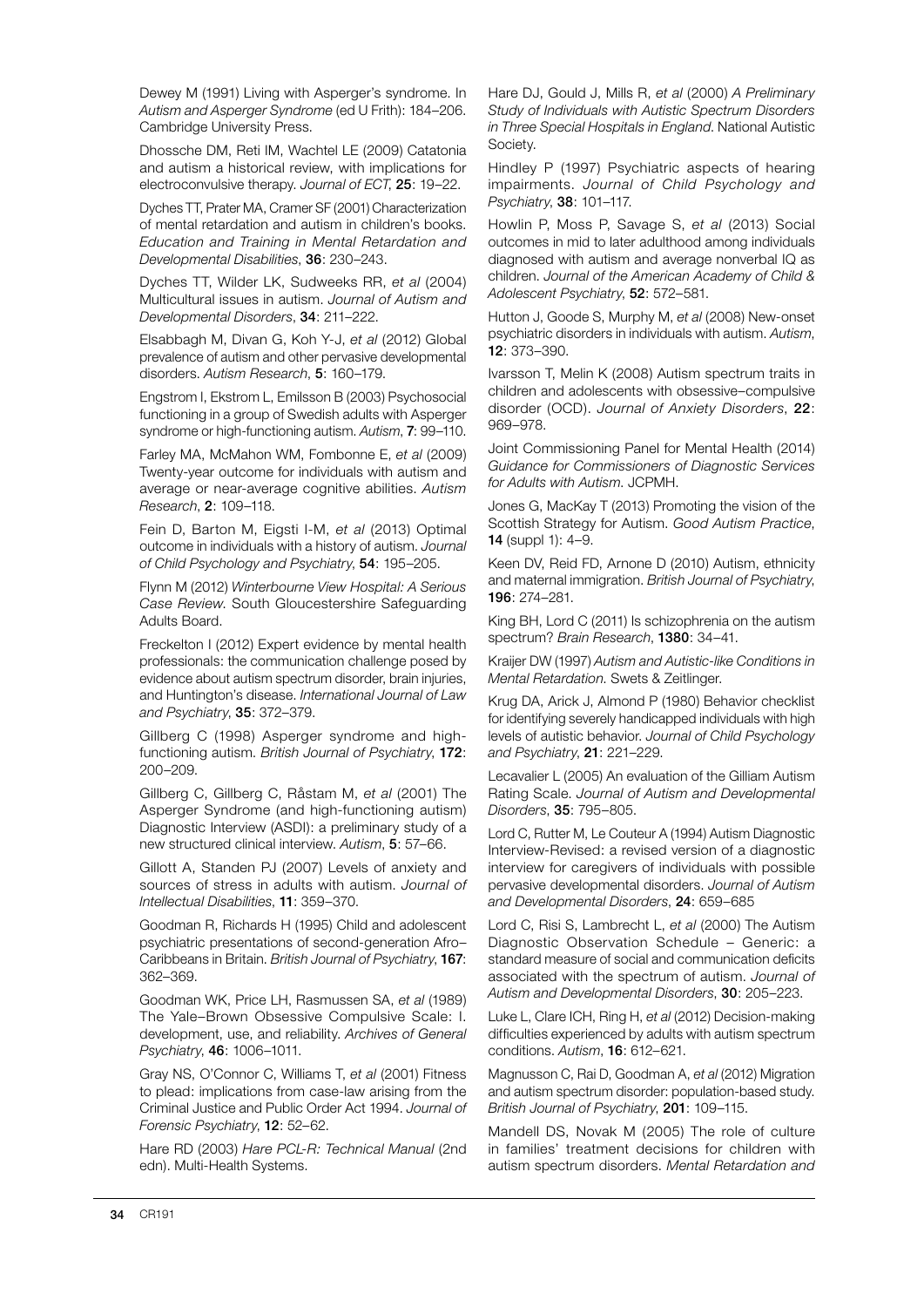Dewey M (1991) Living with Asperger's syndrome. In *Autism and Asperger Syndrome* (ed U Frith): 184–206. Cambridge University Press.

Dhossche DM, Reti IM, Wachtel LE (2009) Catatonia and autism a historical review, with implications for electroconvulsive therapy. *Journal of ECT*, 25: 19–22.

Dyches TT, Prater MA, Cramer SF (2001) Characterization of mental retardation and autism in children's books. *Education and Training in Mental Retardation and Developmental Disabilities*, 36: 230–243.

Dyches TT, Wilder LK, Sudweeks RR, *et al* (2004) Multicultural issues in autism. *Journal of Autism and Developmental Disorders*, 34: 211–222.

Elsabbagh M, Divan G, Koh Y-J, *et al* (2012) Global prevalence of autism and other pervasive developmental disorders. *Autism Research*, 5: 160–179.

Engstrom I, Ekstrom L, Emilsson B (2003) Psychosocial functioning in a group of Swedish adults with Asperger syndrome or high-functioning autism. *Autism*, 7: 99–110.

Farley MA, McMahon WM, Fombonne E, *et al* (2009) Twenty-year outcome for individuals with autism and average or near-average cognitive abilities. *Autism Research*, 2: 109–118.

Fein D, Barton M, Eigsti I-M, *et al* (2013) Optimal outcome in individuals with a history of autism. *Journal of Child Psychology and Psychiatry*, 54: 195–205.

Flynn M (2012) *Winterbourne View Hospital: A Serious Case Review*. South Gloucestershire Safeguarding Adults Board.

Freckelton I (2012) Expert evidence by mental health professionals: the communication challenge posed by evidence about autism spectrum disorder, brain injuries, and Huntington's disease. *International Journal of Law and Psychiatry*, 35: 372–379.

Gillberg C (1998) Asperger syndrome and highfunctioning autism. *British Journal of Psychiatry*, 172: 200–209.

Gillberg C, Gillberg C, Råstam M, *et al* (2001) The Asperger Syndrome (and high-functioning autism) Diagnostic Interview (ASDI): a preliminary study of a new structured clinical interview. *Autism*, 5: 57–66.

Gillott A, Standen PJ (2007) Levels of anxiety and sources of stress in adults with autism. *Journal of Intellectual Disabilities*, 11: 359–370.

Goodman R, Richards H (1995) Child and adolescent psychiatric presentations of second-generation Afro– Caribbeans in Britain. *British Journal of Psychiatry*, 167: 362–369.

Goodman WK, Price LH, Rasmussen SA, *et al* (1989) The Yale–Brown Obsessive Compulsive Scale: I. development, use, and reliability. *Archives of General Psychiatry*, 46: 1006–1011.

Gray NS, O'Connor C, Williams T, *et al* (2001) Fitness to plead: implications from case-law arising from the Criminal Justice and Public Order Act 1994. *Journal of Forensic Psychiatry*, 12: 52–62.

Hare RD (2003) *Hare PCL-R: Technical Manual* (2nd edn). Multi-Health Systems.

Hare DJ, Gould J, Mills R, *et al* (2000) *A Preliminary Study of Individuals with Autistic Spectrum Disorders in Three Special Hospitals in England*. National Autistic Society.

Hindley P (1997) Psychiatric aspects of hearing impairments. *Journal of Child Psychology and Psychiatry*, 38: 101–117.

Howlin P, Moss P, Savage S, *et al* (2013) Social outcomes in mid to later adulthood among individuals diagnosed with autism and average nonverbal IQ as children. *Journal of the American Academy of Child & Adolescent Psychiatry*, 52: 572–581.

Hutton J, Goode S, Murphy M, *et al* (2008) New-onset psychiatric disorders in individuals with autism. *Autism*, 12: 373–390.

Ivarsson T, Melin K (2008) Autism spectrum traits in children and adolescents with obsessive–compulsive disorder (OCD). *Journal of Anxiety Disorders*, 22: 969–978.

Joint Commissioning Panel for Mental Health (2014) *Guidance for Commissioners of Diagnostic Services for Adults with Autism*. JCPMH.

Jones G, MacKay T (2013) Promoting the vision of the Scottish Strategy for Autism. *Good Autism Practice*, 14 (suppl 1): 4–9.

Keen DV, Reid FD, Arnone D (2010) Autism, ethnicity and maternal immigration. *British Journal of Psychiatry*, 196: 274–281.

King BH, Lord C (2011) Is schizophrenia on the autism spectrum? *Brain Research*, 1380: 34–41.

Kraijer DW (1997) *Autism and Autistic-like Conditions in Mental Retardation*. Swets & Zeitlinger.

Krug DA, Arick J, Almond P (1980) Behavior checklist for identifying severely handicapped individuals with high levels of autistic behavior. *Journal of Child Psychology and Psychiatry*, 21: 221–229.

Lecavalier L (2005) An evaluation of the Gilliam Autism Rating Scale. *Journal of Autism and Developmental Disorders*, 35: 795–805.

Lord C, Rutter M, Le Couteur A (1994) Autism Diagnostic Interview-Revised: a revised version of a diagnostic interview for caregivers of individuals with possible pervasive developmental disorders. *Journal of Autism and Developmental Disorders*, 24: 659–685

Lord C, Risi S, Lambrecht L, *et al* (2000) The Autism Diagnostic Observation Schedule – Generic: a standard measure of social and communication deficits associated with the spectrum of autism. *Journal of Autism and Developmental Disorders*, 30: 205–223.

Luke L, Clare ICH, Ring H, *et al* (2012) Decision-making difficulties experienced by adults with autism spectrum conditions. *Autism*, 16: 612–621.

Magnusson C, Rai D, Goodman A, *et al* (2012) Migration and autism spectrum disorder: population-based study. *British Journal of Psychiatry*, 201: 109–115.

Mandell DS, Novak M (2005) The role of culture in families' treatment decisions for children with autism spectrum disorders. *Mental Retardation and*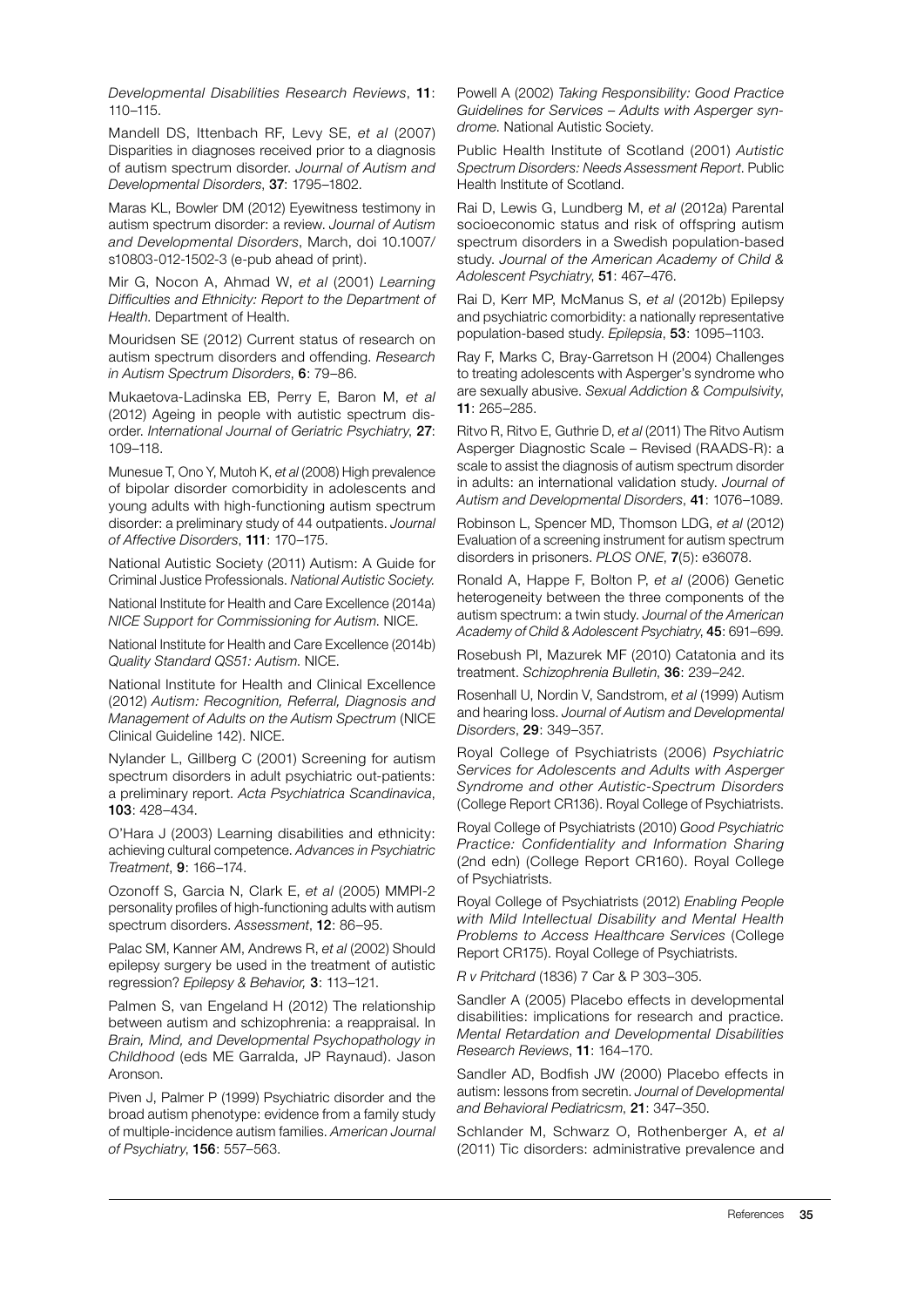*Developmental Disabilities Research Reviews*, 11: 110–115.

Mandell DS, Ittenbach RF, Levy SE, *et al* (2007) Disparities in diagnoses received prior to a diagnosis of autism spectrum disorder. *Journal of Autism and Developmental Disorders*, 37: 1795–1802.

Maras KL, Bowler DM (2012) Eyewitness testimony in autism spectrum disorder: a review. *Journal of Autism and Developmental Disorders*, March, doi 10.1007/ s10803-012-1502-3 (e-pub ahead of print).

Mir G, Nocon A, Ahmad W, *et al* (2001) *Learning Difficulties and Ethnicity: Report to the Department of Health*. Department of Health.

Mouridsen SE (2012) Current status of research on autism spectrum disorders and offending. *Research in Autism Spectrum Disorders*, 6: 79–86.

Mukaetova-Ladinska EB, Perry E, Baron M, *et al* (2012) Ageing in people with autistic spectrum disorder. *International Journal of Geriatric Psychiatry*, 27: 109–118.

Munesue T, Ono Y, Mutoh K, *et al* (2008) High prevalence of bipolar disorder comorbidity in adolescents and young adults with high-functioning autism spectrum disorder: a preliminary study of 44 outpatients. *Journal of Affective Disorders*, 111: 170–175.

National Autistic Society (2011) Autism: A Guide for Criminal Justice Professionals. *National Autistic Society.*

National Institute for Health and Care Excellence (2014a) *NICE Support for Commissioning for Autism*. NICE.

National Institute for Health and Care Excellence (2014b) *Quality Standard QS51: Autism*. NICE.

National Institute for Health and Clinical Excellence (2012) *Autism: Recognition, Referral, Diagnosis and Management of Adults on the Autism Spectrum* (NICE Clinical Guideline 142). NICE.

Nylander L, Gillberg C (2001) Screening for autism spectrum disorders in adult psychiatric out-patients: a preliminary report. *Acta Psychiatrica Scandinavica*, 103: 428–434.

O'Hara J (2003) Learning disabilities and ethnicity: achieving cultural competence. *Advances in Psychiatric Treatment*, 9: 166–174.

Ozonoff S, Garcia N, Clark E, *et al* (2005) MMPI-2 personality profiles of high-functioning adults with autism spectrum disorders. *Assessment*, 12: 86–95.

Palac SM, Kanner AM, Andrews R, *et al* (2002) Should epilepsy surgery be used in the treatment of autistic regression? *Epilepsy & Behavior,* 3: 113–121.

Palmen S, van Engeland H (2012) The relationship between autism and schizophrenia: a reappraisal. In *Brain, Mind, and Developmental Psychopathology in Childhood* (eds ME Garralda, JP Raynaud). Jason Aronson.

Piven J, Palmer P (1999) Psychiatric disorder and the broad autism phenotype: evidence from a family study of multiple-incidence autism families. *American Journal of Psychiatry*, 156: 557–563.

Powell A (2002) *Taking Responsibility: Good Practice Guidelines for Services – Adults with Asperger syndrome*. National Autistic Society.

Public Health Institute of Scotland (2001) *Autistic Spectrum Disorders: Needs Assessment Report*. Public Health Institute of Scotland.

Rai D, Lewis G, Lundberg M, *et al* (2012a) Parental socioeconomic status and risk of offspring autism spectrum disorders in a Swedish population-based study. *Journal of the American Academy of Child & Adolescent Psychiatry*, 51: 467–476.

Rai D, Kerr MP, McManus S, *et al* (2012b) Epilepsy and psychiatric comorbidity: a nationally representative population-based study. *Epilepsia*, 53: 1095–1103.

Ray F, Marks C, Bray-Garretson H (2004) Challenges to treating adolescents with Asperger's syndrome who are sexually abusive. *Sexual Addiction & Compulsivity*, 11: 265–285.

Ritvo R, Ritvo E, Guthrie D, *et al* (2011) The Ritvo Autism Asperger Diagnostic Scale – Revised (RAADS-R): a scale to assist the diagnosis of autism spectrum disorder in adults: an international validation study. *Journal of Autism and Developmental Disorders*, 41: 1076–1089.

Robinson L, Spencer MD, Thomson LDG, *et al* (2012) Evaluation of a screening instrument for autism spectrum disorders in prisoners. *PLOS ONE*, 7(5): e36078.

Ronald A, Happe F, Bolton P, *et al* (2006) Genetic heterogeneity between the three components of the autism spectrum: a twin study. *Journal of the American Academy of Child & Adolescent Psychiatry*, 45: 691–699.

Rosebush PI, Mazurek MF (2010) Catatonia and its treatment. *Schizophrenia Bulletin*, 36: 239–242.

Rosenhall U, Nordin V, Sandstrom, *et al* (1999) Autism and hearing loss. *Journal of Autism and Developmental Disorders*, 29: 349–357.

Royal College of Psychiatrists (2006) *Psychiatric Services for Adolescents and Adults with Asperger Syndrome and other Autistic-Spectrum Disorders*  (College Report CR136). Royal College of Psychiatrists.

Royal College of Psychiatrists (2010) *Good Psychiatric Practice: Confidentiality and Information Sharing*  (2nd edn) (College Report CR160). Royal College of Psychiatrists.

Royal College of Psychiatrists (2012) *Enabling People with Mild Intellectual Disability and Mental Health Problems to Access Healthcare Services* (College Report CR175). Royal College of Psychiatrists.

*R v Pritchard* (1836) 7 Car & P 303–305.

Sandler A (2005) Placebo effects in developmental disabilities: implications for research and practice. *Mental Retardation and Developmental Disabilities Research Reviews*, 11: 164–170.

Sandler AD, Bodfish JW (2000) Placebo effects in autism: lessons from secretin. *Journal of Developmental and Behavioral Pediatricsm*, 21: 347–350.

Schlander M, Schwarz O, Rothenberger A, *et al* (2011) Tic disorders: administrative prevalence and